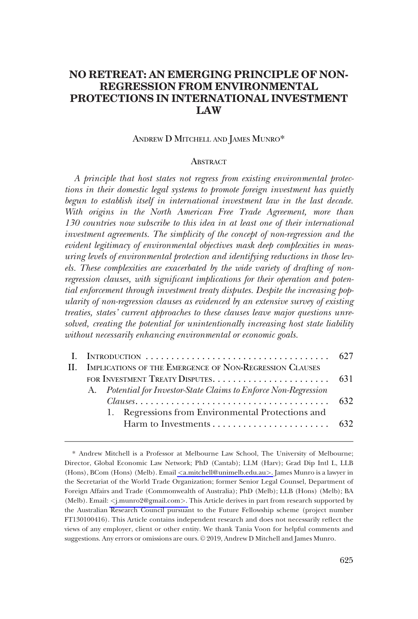# **NO RETREAT: AN EMERGING PRINCIPLE OF NON-REGRESSION FROM ENVIRONMENTAL PROTECTIONS IN INTERNATIONAL INVESTMENT LAW**

### ANDREW D MITCHELL AND JAMES MUNRO\*

### **ABSTRACT**

*A principle that host states not regress from existing environmental protections in their domestic legal systems to promote foreign investment has quietly begun to establish itself in international investment law in the last decade. With origins in the North American Free Trade Agreement, more than 130 countries now subscribe to this idea in at least one of their international investment agreements. The simplicity of the concept of non-regression and the evident legitimacy of environmental objectives mask deep complexities in measuring levels of environmental protection and identifying reductions in those levels. These complexities are exacerbated by the wide variety of drafting of nonregression clauses, with significant implications for their operation and potential enforcement through investment treaty disputes. Despite the increasing popularity of non-regression clauses as evidenced by an extensive survey of existing treaties, states' current approaches to these clauses leave major questions unresolved, creating the potential for unintentionally increasing host state liability without necessarily enhancing environmental or economic goals.* 

| II. IMPLICATIONS OF THE EMERGENCE OF NON-REGRESSION CLAUSES      |  |
|------------------------------------------------------------------|--|
|                                                                  |  |
| A. Potential for Investor-State Claims to Enforce Non-Regression |  |
|                                                                  |  |
| 1. Regressions from Environmental Protections and                |  |
|                                                                  |  |
|                                                                  |  |

<sup>\*</sup> Andrew Mitchell is a Professor at Melbourne Law School, The University of Melbourne; Director, Global Economic Law Network; PhD (Cantab); LLM (Harv); Grad Dip Intl L, LLB (Hons), BCom (Hons) (Melb). Email *<*[a.mitchell@unimelb.edu.au](mailto:a.mitchell@unimelb.edu.au)*>*. James Munro is a lawyer in the Secretariat of the World Trade Organization; former Senior Legal Counsel, Department of Foreign Affairs and Trade (Commonwealth of Australia); PhD (Melb); LLB (Hons) (Melb); BA (Melb). Email: *<*[j.munro2@gmail.com](malto:j.munro2@gmail.com)*>*. This Article derives in part from research supported by the Australian Research Council pursuant to the Future Fellowship scheme (project number FT130100416). This Article contains independent research and does not necessarily reflect the views of any employer, client or other entity. We thank Tania Voon for helpful comments and suggestions. Any errors or omissions are ours. © 2019, Andrew D Mitchell and James Munro.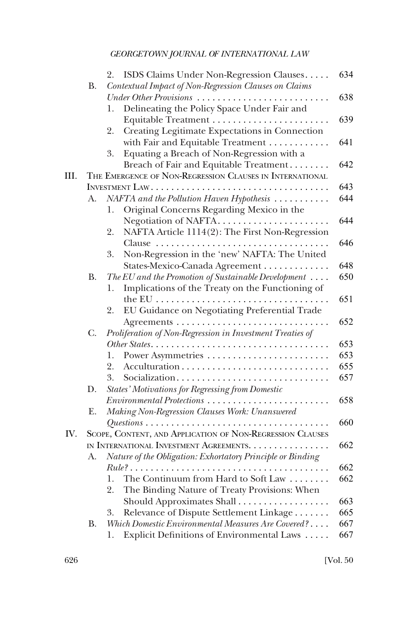|      |                       | 2.                                             | ISDS Claims Under Non-Regression Clauses                    | 634 |  |  |  |
|------|-----------------------|------------------------------------------------|-------------------------------------------------------------|-----|--|--|--|
|      | <b>B.</b>             |                                                | Contextual Impact of Non-Regression Clauses on Claims       |     |  |  |  |
|      |                       |                                                | Under Other Provisions                                      | 638 |  |  |  |
|      |                       | 1.                                             | Delineating the Policy Space Under Fair and                 |     |  |  |  |
|      |                       |                                                |                                                             | 639 |  |  |  |
|      |                       | 2.                                             | Creating Legitimate Expectations in Connection              |     |  |  |  |
|      |                       |                                                | with Fair and Equitable Treatment                           | 641 |  |  |  |
|      |                       | 3.                                             | Equating a Breach of Non-Regression with a                  |     |  |  |  |
|      |                       |                                                | Breach of Fair and Equitable Treatment                      | 642 |  |  |  |
| III. |                       |                                                | THE EMERGENCE OF NON-REGRESSION CLAUSES IN INTERNATIONAL    |     |  |  |  |
|      | 643<br>INVESTMENT LAW |                                                |                                                             |     |  |  |  |
|      | A.                    |                                                | NAFTA and the Pollution Haven Hypothesis                    | 644 |  |  |  |
|      |                       | 1.                                             | Original Concerns Regarding Mexico in the                   |     |  |  |  |
|      |                       |                                                | Negotiation of NAFTA                                        | 644 |  |  |  |
|      |                       | 2.                                             | NAFTA Article 1114(2): The First Non-Regression             |     |  |  |  |
|      |                       |                                                | Clause                                                      | 646 |  |  |  |
|      |                       | 3.                                             | Non-Regression in the 'new' NAFTA: The United               |     |  |  |  |
|      |                       |                                                | States-Mexico-Canada Agreement                              | 648 |  |  |  |
|      | <b>B.</b>             |                                                | The EU and the Promotion of Sustainable Development $\dots$ | 650 |  |  |  |
|      |                       | 1.                                             | Implications of the Treaty on the Functioning of            |     |  |  |  |
|      |                       |                                                | the EU                                                      | 651 |  |  |  |
|      |                       | 2.                                             | EU Guidance on Negotiating Preferential Trade               |     |  |  |  |
|      |                       |                                                |                                                             | 652 |  |  |  |
|      | C.                    |                                                | Proliferation of Non-Regression in Investment Treaties of   |     |  |  |  |
|      |                       |                                                |                                                             | 653 |  |  |  |
|      |                       | 1.                                             |                                                             | 653 |  |  |  |
|      |                       | 2.                                             |                                                             | 655 |  |  |  |
|      |                       | 3.                                             | Socialization                                               | 657 |  |  |  |
|      | D.                    |                                                | <b>States' Motivations for Regressing from Domestic</b>     |     |  |  |  |
|      |                       |                                                | Environmental Protections                                   | 658 |  |  |  |
|      | Ε.                    |                                                | Making Non-Regression Clauses Work: Unanswered              |     |  |  |  |
|      |                       |                                                |                                                             | 660 |  |  |  |
| IV.  |                       |                                                | SCOPE, CONTENT, AND APPLICATION OF NON-REGRESSION CLAUSES   |     |  |  |  |
|      |                       | IN INTERNATIONAL INVESTMENT AGREEMENTS.<br>662 |                                                             |     |  |  |  |
|      | А.                    |                                                | Nature of the Obligation: Exhortatory Principle or Binding  |     |  |  |  |
|      |                       |                                                | $Rule?$ .                                                   | 662 |  |  |  |
|      |                       |                                                |                                                             |     |  |  |  |
|      |                       | 1.                                             | The Continuum from Hard to Soft Law                         | 662 |  |  |  |
|      |                       | 2.                                             | The Binding Nature of Treaty Provisions: When               |     |  |  |  |
|      |                       |                                                | Should Approximates Shall                                   | 663 |  |  |  |
|      |                       | 3.                                             | Relevance of Dispute Settlement Linkage                     | 665 |  |  |  |
|      | В.                    |                                                | Which Domestic Environmental Measures Are Covered?          | 667 |  |  |  |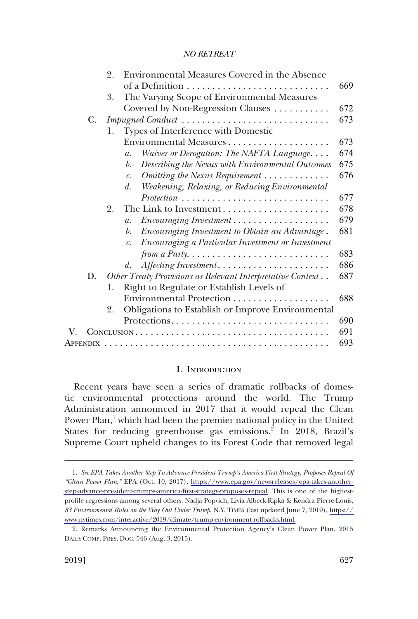<span id="page-2-0"></span>

|   |    | Environmental Measures Covered in the Absence<br>2.                            |     |
|---|----|--------------------------------------------------------------------------------|-----|
|   |    |                                                                                | 669 |
|   |    | The Varying Scope of Environmental Measures<br>3.                              |     |
|   |    | Covered by Non-Regression Clauses                                              | 672 |
|   | C. | Impugned Conduct                                                               | 673 |
|   |    | Types of Interference with Domestic<br>1.                                      |     |
|   |    |                                                                                | 673 |
|   |    | Waiver or Derogation: The NAFTA Language<br>$\mathfrak{a}.$                    | 674 |
|   |    | Describing the Nexus with Environmental Outcomes<br>b.                         | 675 |
|   |    | Omitting the Nexus Requirement<br>$\mathcal{C}$ .                              | 676 |
|   |    | Weakening, Relaxing, or Reducing Environmental<br>d.                           |     |
|   |    | $Protection \dots \dots \dots \dots \dots \dots \dots \dots \dots \dots \dots$ | 677 |
|   |    | 2.                                                                             | 678 |
|   |    | Encouraging Investment<br>$\mathfrak{a}.$                                      | 679 |
|   |    | Encouraging Investment to Obtain an Advantage.<br>$\mathfrak{b}$ .             | 681 |
|   |    | Encouraging a Particular Investment or Investment<br>$\mathcal{C}$ .           |     |
|   |    | from a Party. $\dots \dots \dots \dots \dots \dots \dots \dots \dots \dots$    | 683 |
|   |    | Affecting Investment<br>d.                                                     | 686 |
|   | D. | Other Treaty Provisions as Relevant Interpretative Context                     | 687 |
|   |    | Right to Regulate or Establish Levels of<br>1.                                 |     |
|   |    | Environmental Protection                                                       | 688 |
|   |    | Obligations to Establish or Improve Environmental<br>2.                        |     |
|   |    |                                                                                | 690 |
| V |    |                                                                                | 691 |
|   |    |                                                                                | 693 |

#### I. INTRODUCTION

Recent years have seen a series of dramatic rollbacks of domestic environmental protections around the world. The Trump Administration announced in 2017 that it would repeal the Clean Power Plan,<sup>1</sup> which had been the premier national policy in the United States for reducing greenhouse gas emissions.<sup>2</sup> In 2018, Brazil's Supreme Court upheld changes to its Forest Code that removed legal

*See EPA Takes Another Step To Advance President Trump's America First Strategy, Proposes Repeal Of*  1. *"Clean Power Plan*,*"* EPA (Oct. 10, 2017), [https://www.epa.gov/newsreleases/epa-takes-another](https://www.epa.gov/newsreleases/epa-takes-another-step-advance-president-trumps-america-first-strategy-proposes-repeal)[step-advance-president-trumps-america-first-strategy-proposes-repeal.](https://www.epa.gov/newsreleases/epa-takes-another-step-advance-president-trumps-america-first-strategy-proposes-repeal) This is one of the highestprofile regressions among several others. Nadja Popvich, Livia Albeck-Ripka & Kendra Pierre-Louis, *83 Environmental Rules on the Way Out Under Trump*, N.Y. TIMES (last updated June 7, 2019), [https://](https://www.nytimes.com/interactive/2019/climate/trump-environment-rollbacks.html)  [www.nytimes.com/interactive/2019/climate/trump-environment-rollbacks.html.](https://www.nytimes.com/interactive/2019/climate/trump-environment-rollbacks.html)

<sup>2.</sup> Remarks Announcing the Environmental Protection Agency's Clean Power Plan, 2015 DAILY COMP. PRES. DOC. 546 (Aug. 3, 2015).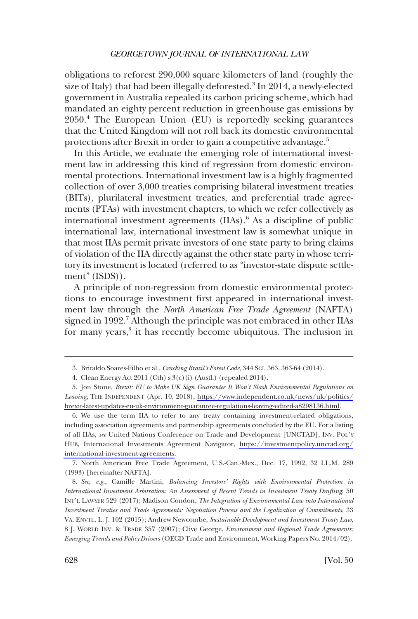obligations to reforest 290,000 square kilometers of land (roughly the size of Italy) that had been illegally deforested.<sup>3</sup> In 2014, a newly-elected government in Australia repealed its carbon pricing scheme, which had mandated an eighty percent reduction in greenhouse gas emissions by 2050.4 The European Union (EU) is reportedly seeking guarantees that the United Kingdom will not roll back its domestic environmental protections after Brexit in order to gain a competitive advantage.<sup>5</sup>

In this Article, we evaluate the emerging role of international investment law in addressing this kind of regression from domestic environmental protections. International investment law is a highly fragmented collection of over 3,000 treaties comprising bilateral investment treaties (BITs), plurilateral investment treaties, and preferential trade agreements (PTAs) with investment chapters, to which we refer collectively as international investment agreements (IIAs).<sup>6</sup> As a discipline of public international law, international investment law is somewhat unique in that most IIAs permit private investors of one state party to bring claims of violation of the IIA directly against the other state party in whose territory its investment is located (referred to as "investor-state dispute settlement" (ISDS)).

A principle of non-regression from domestic environmental protections to encourage investment first appeared in international investment law through the *North American Free Trade Agreement* (NAFTA) signed in 1992.<sup>7</sup> Although the principle was not embraced in other IIAs for many years,<sup>8</sup> it has recently become ubiquitous. The inclusion in

6. We use the term IIA to refer to any treaty containing investment-related obligations, including association agreements and partnership agreements concluded by the EU. For a listing of all IIAs, *see* United Nations Conference on Trade and Development [UNCTAD], INV. POL'Y HUB, International Investments Agreement Navigator, [https://investmentpolicy.unctad.org/](https://investmentpolicy.unctad.org/international-investment-agreements) [international-investment-agreements.](https://investmentpolicy.unctad.org/international-investment-agreements)

7. North American Free Trade Agreement, U.S.-Can.-Mex., Dec. 17, 1992, 32 I.L.M. 289 (1993) [hereinafter NAFTA].

8. *See, e.g*., Camille Martini, *Balancing Investors' Rights with Environmental Protection in International Investment Arbitration: An Assessment of Recent Trends in Investment Treaty Drafting*, 50 INT'L LAWYER 529 (2017); Madison Condon, *The Integration of Environmental Law into International Investment Treaties and Trade Agreements: Negotiation Process and the Legalization of Commitments*, 33 VA. ENVTL. L. J. 102 (2015); Andrew Newcombe, *Sustainable Development and Investment Treaty Law*, 8 J. WORLD INV. & TRADE 357 (2007); Clive George, *Environment and Regional Trade Agreements: Emerging Trends and Policy Drivers* (OECD Trade and Environment, Working Papers No. 2014/02).

<sup>3.</sup> Britaldo Soares-Filho et al., *Cracking Brazil's Forest Code*, 344 SCI. 363, 363-64 (2014).

<sup>4.</sup> Clean Energy Act 2011 (Cth) s 3(c)(i) (Austl.) (repealed 2014).

<sup>5.</sup> Jon Stone, *Brexit: EU to Make UK Sign Guarantee It Won't Slash Environmental Regulations on Leaving*, THE INDEPENDENT (Apr. 10, 2018), [https://www.independent.co.uk/news/uk/politics/](https://www.independent.co.uk/news/uk/politics/brexit-latest-updates-eu-uk-environment-guarantee-regulations-leaving-edited-a8298136.html) [brexit-latest-updates-eu-uk-environment-guarantee-regulations-leaving-edited-a8298136.html.](https://www.independent.co.uk/news/uk/politics/brexit-latest-updates-eu-uk-environment-guarantee-regulations-leaving-edited-a8298136.html)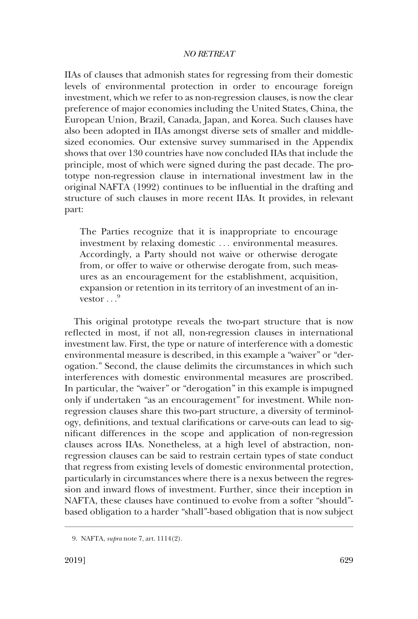IIAs of clauses that admonish states for regressing from their domestic levels of environmental protection in order to encourage foreign investment, which we refer to as non-regression clauses, is now the clear preference of major economies including the United States, China, the European Union, Brazil, Canada, Japan, and Korea. Such clauses have also been adopted in IIAs amongst diverse sets of smaller and middlesized economies. Our extensive survey summarised in the Appendix shows that over 130 countries have now concluded IIAs that include the principle, most of which were signed during the past decade. The prototype non-regression clause in international investment law in the original NAFTA (1992) continues to be influential in the drafting and structure of such clauses in more recent IIAs. It provides, in relevant part:

The Parties recognize that it is inappropriate to encourage investment by relaxing domestic . . . environmental measures. Accordingly, a Party should not waive or otherwise derogate from, or offer to waive or otherwise derogate from, such measures as an encouragement for the establishment, acquisition, expansion or retention in its territory of an investment of an investor  $^{9}$ 

This original prototype reveals the two-part structure that is now reflected in most, if not all, non-regression clauses in international investment law. First, the type or nature of interference with a domestic environmental measure is described, in this example a "waiver" or "derogation." Second, the clause delimits the circumstances in which such interferences with domestic environmental measures are proscribed. In particular, the "waiver" or "derogation" in this example is impugned only if undertaken "as an encouragement" for investment. While nonregression clauses share this two-part structure, a diversity of terminology, definitions, and textual clarifications or carve-outs can lead to significant differences in the scope and application of non-regression clauses across IIAs. Nonetheless, at a high level of abstraction, nonregression clauses can be said to restrain certain types of state conduct that regress from existing levels of domestic environmental protection, particularly in circumstances where there is a nexus between the regression and inward flows of investment. Further, since their inception in NAFTA, these clauses have continued to evolve from a softer "should" based obligation to a harder "shall"-based obligation that is now subject

<sup>9.</sup> NAFTA, *supra* note 7, art. 1114(2).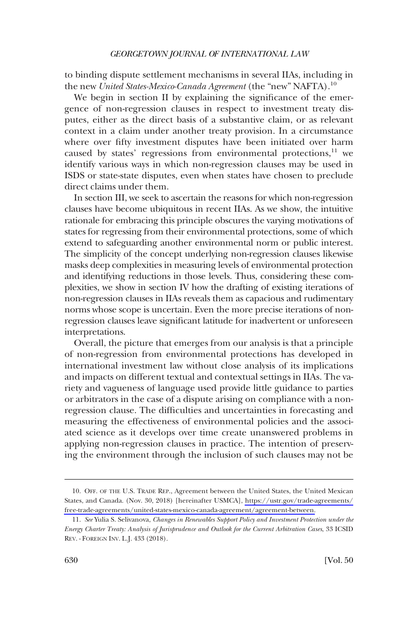to binding dispute settlement mechanisms in several IIAs, including in the new *United States-Mexico-Canada Agreement* (the "new" NAFTA).<sup>10</sup>

We begin in section II by explaining the significance of the emergence of non-regression clauses in respect to investment treaty disputes, either as the direct basis of a substantive claim, or as relevant context in a claim under another treaty provision. In a circumstance where over fifty investment disputes have been initiated over harm caused by states' regressions from environmental protections, $11$  we identify various ways in which non-regression clauses may be used in ISDS or state-state disputes, even when states have chosen to preclude direct claims under them.

In section III, we seek to ascertain the reasons for which non-regression clauses have become ubiquitous in recent IIAs. As we show, the intuitive rationale for embracing this principle obscures the varying motivations of states for regressing from their environmental protections, some of which extend to safeguarding another environmental norm or public interest. The simplicity of the concept underlying non-regression clauses likewise masks deep complexities in measuring levels of environmental protection and identifying reductions in those levels. Thus, considering these complexities, we show in section IV how the drafting of existing iterations of non-regression clauses in IIAs reveals them as capacious and rudimentary norms whose scope is uncertain. Even the more precise iterations of nonregression clauses leave significant latitude for inadvertent or unforeseen interpretations.

Overall, the picture that emerges from our analysis is that a principle of non-regression from environmental protections has developed in international investment law without close analysis of its implications and impacts on different textual and contextual settings in IIAs. The variety and vagueness of language used provide little guidance to parties or arbitrators in the case of a dispute arising on compliance with a nonregression clause. The difficulties and uncertainties in forecasting and measuring the effectiveness of environmental policies and the associated science as it develops over time create unanswered problems in applying non-regression clauses in practice. The intention of preserving the environment through the inclusion of such clauses may not be

OFF. OF THE U.S. TRADE REP., Agreement between the United States, the United Mexican 10. States, and Canada. (Nov. 30, 2018) [hereinafter USMCA], [https://ustr.gov/trade-agreements/](https://ustr.gov/trade-agreements/free-trade-agreements/united-states-mexico-canada-agreement/agreement-between)  [free-trade-agreements/united-states-mexico-canada-agreement/agreement-between.](https://ustr.gov/trade-agreements/free-trade-agreements/united-states-mexico-canada-agreement/agreement-between)

<sup>11.</sup> *See* Yulia S. Selivanova, *Changes in Renewables Support Policy and Investment Protection under the Energy Charter Treaty: Analysis of Jurisprudence and Outlook for the Current Arbitration Cases*, 33 ICSID REV. - FOREIGN INV. L.J. 433 (2018).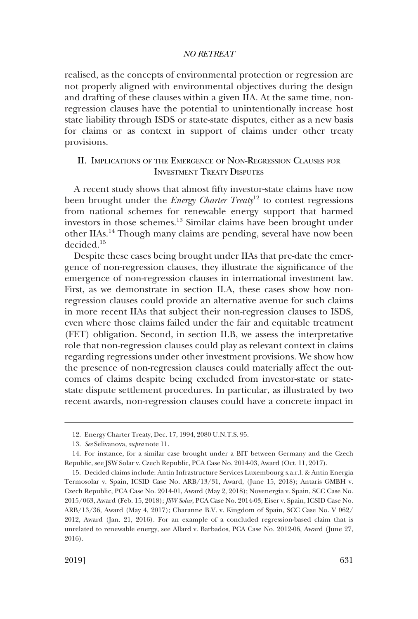<span id="page-6-0"></span>realised, as the concepts of environmental protection or regression are not properly aligned with environmental objectives during the design and drafting of these clauses within a given IIA. At the same time, nonregression clauses have the potential to unintentionally increase host state liability through ISDS or state-state disputes, either as a new basis for claims or as context in support of claims under other treaty provisions.

# II. IMPLICATIONS OF THE EMERGENCE OF NON-REGRESSION CLAUSES FOR INVESTMENT TREATY DISPUTES

A recent study shows that almost fifty investor-state claims have now been brought under the *Energy Charter Treaty*<sup>12</sup> to contest regressions from national schemes for renewable energy support that harmed investors in those schemes.13 Similar claims have been brought under other IIAs.14 Though many claims are pending, several have now been decided.15

Despite these cases being brought under IIAs that pre-date the emergence of non-regression clauses, they illustrate the significance of the emergence of non-regression clauses in international investment law. First, as we demonstrate in section II.A, these cases show how nonregression clauses could provide an alternative avenue for such claims in more recent IIAs that subject their non-regression clauses to ISDS, even where those claims failed under the fair and equitable treatment (FET) obligation. Second, in section II.B, we assess the interpretative role that non-regression clauses could play as relevant context in claims regarding regressions under other investment provisions. We show how the presence of non-regression clauses could materially affect the outcomes of claims despite being excluded from investor-state or statestate dispute settlement procedures. In particular, as illustrated by two recent awards, non-regression clauses could have a concrete impact in

<sup>12.</sup> Energy Charter Treaty, Dec. 17, 1994, 2080 U.N.T.S. 95.

<sup>13.</sup> *See* Selivanova, *supra* note 11.

<sup>14.</sup> For instance, for a similar case brought under a BIT between Germany and the Czech Republic, see JSW Solar v. Czech Republic, PCA Case No. 2014-03, Award (Oct. 11, 2017).

<sup>15.</sup> Decided claims include: Antin Infrastructure Services Luxembourg s.a.r.l. & Antin Energia Termosolar v. Spain, ICSID Case No. ARB/13/31, Award, (June 15, 2018); Antaris GMBH v. Czech Republic, PCA Case No. 2014-01, Award (May 2, 2018); Novenergia v. Spain, SCC Case No. 2015/063, Award (Feb. 15, 2018); *JSW Solar*, PCA Case No. 2014-03; Eiser v. Spain, ICSID Case No. ARB/13/36, Award (May 4, 2017); Charanne B.V. v. Kingdom of Spain, SCC Case No. V 062/ 2012, Award (Jan. 21, 2016). For an example of a concluded regression-based claim that is unrelated to renewable energy, see Allard v. Barbados, PCA Case No. 2012-06, Award (June 27, 2016).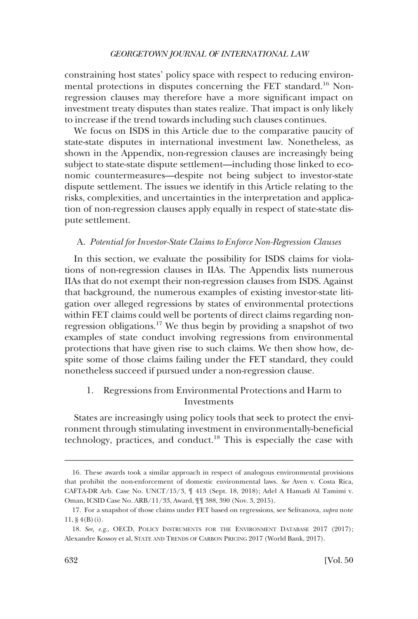<span id="page-7-0"></span>constraining host states' policy space with respect to reducing environmental protections in disputes concerning the FET standard.<sup>16</sup> Nonregression clauses may therefore have a more significant impact on investment treaty disputes than states realize. That impact is only likely to increase if the trend towards including such clauses continues.

We focus on ISDS in this Article due to the comparative paucity of state-state disputes in international investment law. Nonetheless, as shown in the Appendix, non-regression clauses are increasingly being subject to state-state dispute settlement—including those linked to economic countermeasures—despite not being subject to investor-state dispute settlement. The issues we identify in this Article relating to the risks, complexities, and uncertainties in the interpretation and application of non-regression clauses apply equally in respect of state-state dispute settlement.

# A. *Potential for Investor-State Claims to Enforce Non-Regression Clauses*

In this section, we evaluate the possibility for ISDS claims for violations of non-regression clauses in IIAs. The Appendix lists numerous IIAs that do not exempt their non-regression clauses from ISDS. Against that background, the numerous examples of existing investor-state litigation over alleged regressions by states of environmental protections within FET claims could well be portents of direct claims regarding nonregression obligations.17 We thus begin by providing a snapshot of two examples of state conduct involving regressions from environmental protections that have given rise to such claims. We then show how, despite some of those claims failing under the FET standard, they could nonetheless succeed if pursued under a non-regression clause.

# 1. Regressions from Environmental Protections and Harm to Investments

States are increasingly using policy tools that seek to protect the environment through stimulating investment in environmentally-beneficial technology, practices, and conduct.18 This is especially the case with

<sup>16.</sup> These awards took a similar approach in respect of analogous environmental provisions that prohibit the non-enforcement of domestic environmental laws. *See* Aven v. Costa Rica, CAFTA-DR Arb. Case No. UNCT/15/3, ¶ 413 (Sept. 18, 2018); Adel A Hamadi Al Tamimi v. Oman, ICSID Case No. ARB/11/33, Award, ¶¶ 388, 390 (Nov. 3, 2015).

<sup>17.</sup> For a snapshot of those claims under FET based on regressions, see Selivanova, *supra* note  $11, § 4(B(i)).$ 

<sup>18.</sup> *See, e.g*., OECD, POLICY INSTRUMENTS FOR THE ENVIRONMENT DATABASE 2017 (2017); Alexandre Kossoy et al, STATE AND TRENDS OF CARBON PRICING 2017 (World Bank, 2017).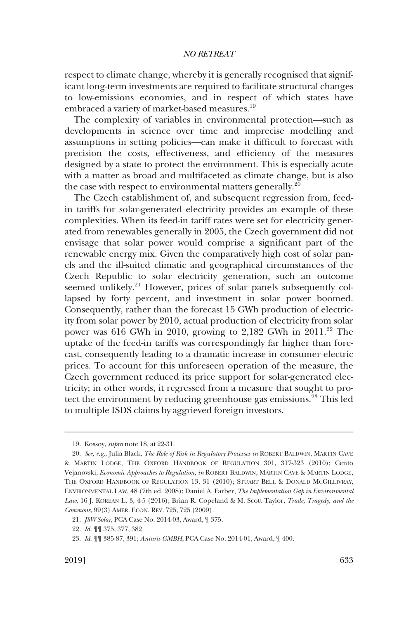respect to climate change, whereby it is generally recognised that significant long-term investments are required to facilitate structural changes to low-emissions economies, and in respect of which states have embraced a variety of market-based measures.<sup>19</sup>

The complexity of variables in environmental protection—such as developments in science over time and imprecise modelling and assumptions in setting policies—can make it difficult to forecast with precision the costs, effectiveness, and efficiency of the measures designed by a state to protect the environment. This is especially acute with a matter as broad and multifaceted as climate change, but is also the case with respect to environmental matters generally.<sup>20</sup>

The Czech establishment of, and subsequent regression from, feedin tariffs for solar-generated electricity provides an example of these complexities. When its feed-in tariff rates were set for electricity generated from renewables generally in 2005, the Czech government did not envisage that solar power would comprise a significant part of the renewable energy mix. Given the comparatively high cost of solar panels and the ill-suited climatic and geographical circumstances of the Czech Republic to solar electricity generation, such an outcome seemed unlikely.<sup>21</sup> However, prices of solar panels subsequently collapsed by forty percent, and investment in solar power boomed. Consequently, rather than the forecast 15 GWh production of electricity from solar power by 2010, actual production of electricity from solar power was 616 GWh in 2010, growing to 2,182 GWh in  $2011.^{22}$  The uptake of the feed-in tariffs was correspondingly far higher than forecast, consequently leading to a dramatic increase in consumer electric prices. To account for this unforeseen operation of the measure, the Czech government reduced its price support for solar-generated electricity; in other words, it regressed from a measure that sought to protect the environment by reducing greenhouse gas emissions.<sup>23</sup> This led to multiple ISDS claims by aggrieved foreign investors.

<sup>19.</sup> Kossoy, *supra* note 18, at 22-31.

<sup>20.</sup> *See, e.g*., Julia Black, *The Role of Risk in Regulatory Processes in* ROBERT BALDWIN, MARTIN CAVE & MARTIN LODGE, THE OXFORD HANDBOOK OF REGULATION 301, 317-323 (2010); Cento Vejanovski, *Economic Approaches to Regulation, in* ROBERT BALDWIN, MARTIN CAVE & MARTIN LODGE, THE OXFORD HANDBOOK OF REGULATION 13, 31 (2010); STUART BELL & DONALD MCGILLIVRAY, ENVIRONMENTAL LAW, 48 (7th ed. 2008); Daniel A. Farber, *The Implementation Gap in Environmental Law*, 16 J. KOREAN L. 3, 4-5 (2016); Brian R. Copeland & M. Scott Taylor, *Trade, Tragedy, and the Commons*, 99(3) AMER. ECON. REV. 725, 725 (2009).

<sup>21.</sup> *JSW Solar*, PCA Case No. 2014-03, Award, ¶ 375.

<sup>22.</sup> *Id*. ¶¶ 375, 377, 382.

<sup>23.</sup> *Id*. ¶¶ 385-87, 391; *Antaris GMBH*, PCA Case No. 2014-01, Award, ¶ 400.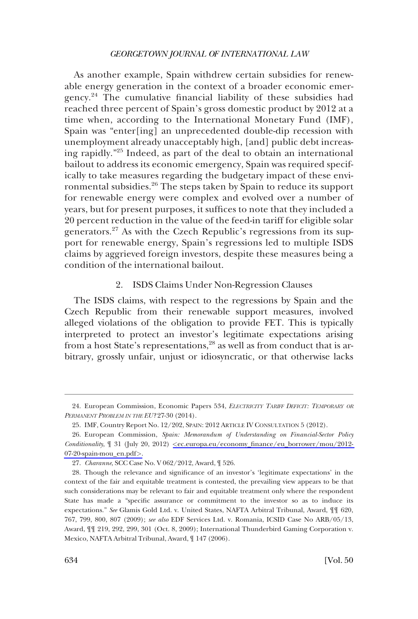<span id="page-9-0"></span>As another example, Spain withdrew certain subsidies for renewable energy generation in the context of a broader economic emergency.24 The cumulative financial liability of these subsidies had reached three percent of Spain's gross domestic product by 2012 at a time when, according to the International Monetary Fund (IMF), Spain was "enter[ing] an unprecedented double-dip recession with unemployment already unacceptably high, [and] public debt increasing rapidly."25 Indeed, as part of the deal to obtain an international bailout to address its economic emergency, Spain was required specifically to take measures regarding the budgetary impact of these environmental subsidies.<sup>26</sup> The steps taken by Spain to reduce its support for renewable energy were complex and evolved over a number of years, but for present purposes, it suffices to note that they included a 20 percent reduction in the value of the feed-in tariff for eligible solar generators.27 As with the Czech Republic's regressions from its support for renewable energy, Spain's regressions led to multiple ISDS claims by aggrieved foreign investors, despite these measures being a condition of the international bailout.

# 2. ISDS Claims Under Non-Regression Clauses

The ISDS claims, with respect to the regressions by Spain and the Czech Republic from their renewable support measures, involved alleged violations of the obligation to provide FET. This is typically interpreted to protect an investor's legitimate expectations arising from a host State's representations,<sup>28</sup> as well as from conduct that is arbitrary, grossly unfair, unjust or idiosyncratic, or that otherwise lacks

<sup>24.</sup> European Commission, Economic Papers 534, *ELECTRICITY TARIFF DEFICIT: TEMPORARY OR PERMANENT PROBLEM IN THE EU?* 27-30 (2014).

<sup>25.</sup> IMF, Country Report No. 12/202, SPAIN: 2012 ARTICLE IV CONSULTATION 5 (2012).

European Commission, *Spain: Memorandum of Understanding on Financial-Sector Policy*  26. *Conditionality*, ¶ 31 (July 20, 2012) *<*[ec.europa.eu/economy\\_finance/eu\\_borrower/mou/2012-](ec.europa.eu/economy_finance/eu_borrower/mou/2012-07-20-spain-mou_en.pdf)  [07-20-spain-mou\\_en.pdf](ec.europa.eu/economy_finance/eu_borrower/mou/2012-07-20-spain-mou_en.pdf)*>*.

<sup>27.</sup> *Charanne*, SCC Case No. V 062/2012, Award, ¶ 526.

<sup>28.</sup> Though the relevance and significance of an investor's 'legitimate expectations' in the context of the fair and equitable treatment is contested, the prevailing view appears to be that such considerations may be relevant to fair and equitable treatment only where the respondent State has made a "specific assurance or commitment to the investor so as to induce its expectations." *See* Glamis Gold Ltd. v. United States, NAFTA Arbitral Tribunal, Award, ¶¶ 620, 767, 799, 800, 807 (2009); *see also* EDF Services Ltd. v. Romania, ICSID Case No ARB/05/13, Award, ¶¶ 219, 292, 299, 301 (Oct. 8, 2009); International Thunderbird Gaming Corporation v. Mexico, NAFTA Arbitral Tribunal, Award, ¶ 147 (2006).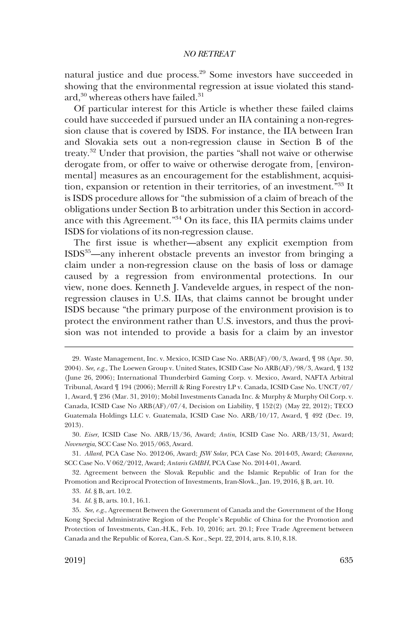natural justice and due process.<sup>29</sup> Some investors have succeeded in showing that the environmental regression at issue violated this standard,<sup>30</sup> whereas others have failed.<sup>31</sup>

Of particular interest for this Article is whether these failed claims could have succeeded if pursued under an IIA containing a non-regression clause that is covered by ISDS. For instance, the IIA between Iran and Slovakia sets out a non-regression clause in Section B of the treaty.32 Under that provision, the parties "shall not waive or otherwise derogate from, or offer to waive or otherwise derogate from, [environmental] measures as an encouragement for the establishment, acquisition, expansion or retention in their territories, of an investment."33 It is ISDS procedure allows for "the submission of a claim of breach of the obligations under Section B to arbitration under this Section in accordance with this Agreement."34 On its face, this IIA permits claims under ISDS for violations of its non-regression clause.

The first issue is whether—absent any explicit exemption from ISDS35—any inherent obstacle prevents an investor from bringing a claim under a non-regression clause on the basis of loss or damage caused by a regression from environmental protections. In our view, none does. Kenneth J. Vandevelde argues, in respect of the nonregression clauses in U.S. IIAs, that claims cannot be brought under ISDS because "the primary purpose of the environment provision is to protect the environment rather than U.S. investors, and thus the provision was not intended to provide a basis for a claim by an investor

<sup>29.</sup> Waste Management, Inc. v. Mexico, ICSID Case No. ARB(AF)/00/3, Award, ¶ 98 (Apr. 30, 2004). *See, e.g*., The Loewen Group v. United States, ICSID Case No ARB(AF)/98/3, Award, ¶ 132 (June 26, 2006); International Thunderbird Gaming Corp. v. Mexico, Award, NAFTA Arbitral Tribunal, Award ¶ 194 (2006); Merrill & Ring Forestry LP v. Canada, ICSID Case No. UNCT/07/ 1, Award, ¶ 236 (Mar. 31, 2010); Mobil Investments Canada Inc. & Murphy & Murphy Oil Corp. v. Canada, ICSID Case No ARB(AF)/07/4, Decision on Liability, ¶ 152(2) (May 22, 2012); TECO Guatemala Holdings LLC v. Guatemala, ICSID Case No. ARB/10/17, Award, ¶ 492 (Dec. 19, 2013).

<sup>30.</sup> *Eiser*, ICSID Case No. ARB/13/36, Award; *Antin*, ICSID Case No. ARB/13/31, Award; *Novenergia*, SCC Case No. 2015/063, Award.

<sup>31.</sup> *Allard*, PCA Case No. 2012-06, Award; *JSW Solar*, PCA Case No. 2014-03, Award; *Charanne*, SCC Case No. V 062/2012, Award; *Antaris GMBH*, PCA Case No. 2014-01, Award.

<sup>32.</sup> Agreement between the Slovak Republic and the Islamic Republic of Iran for the Promotion and Reciprocal Protection of Investments, Iran-Slovk., Jan. 19, 2016, § B, art. 10.

<sup>33.</sup> *Id*. § B, art. 10.2.

<sup>34.</sup> *Id*. § B, arts. 10.1, 16.1.

<sup>35.</sup> *See*, *e.g*., Agreement Between the Government of Canada and the Government of the Hong Kong Special Administrative Region of the People's Republic of China for the Promotion and Protection of Investments, Can.-H.K., Feb. 10, 2016; art. 20.1; Free Trade Agreement between Canada and the Republic of Korea, Can.-S. Kor., Sept. 22, 2014, arts. 8.10, 8.18.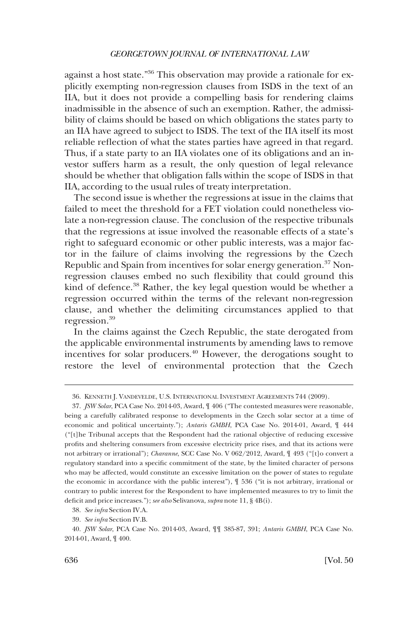against a host state."36 This observation may provide a rationale for explicitly exempting non-regression clauses from ISDS in the text of an IIA, but it does not provide a compelling basis for rendering claims inadmissible in the absence of such an exemption. Rather, the admissibility of claims should be based on which obligations the states party to an IIA have agreed to subject to ISDS. The text of the IIA itself its most reliable reflection of what the states parties have agreed in that regard. Thus, if a state party to an IIA violates one of its obligations and an investor suffers harm as a result, the only question of legal relevance should be whether that obligation falls within the scope of ISDS in that IIA, according to the usual rules of treaty interpretation.

The second issue is whether the regressions at issue in the claims that failed to meet the threshold for a FET violation could nonetheless violate a non-regression clause. The conclusion of the respective tribunals that the regressions at issue involved the reasonable effects of a state's right to safeguard economic or other public interests, was a major factor in the failure of claims involving the regressions by the Czech Republic and Spain from incentives for solar energy generation.<sup>37</sup> Nonregression clauses embed no such flexibility that could ground this kind of defence.<sup>38</sup> Rather, the key legal question would be whether a regression occurred within the terms of the relevant non-regression clause, and whether the delimiting circumstances applied to that regression.<sup>39</sup>

In the claims against the Czech Republic, the state derogated from the applicable environmental instruments by amending laws to remove incentives for solar producers.40 However, the derogations sought to restore the level of environmental protection that the Czech

<sup>36.</sup> KENNETH J. VANDEVELDE, U.S. INTERNATIONAL INVESTMENT AGREEMENTS 744 (2009).

<sup>37.</sup> *JSW Solar*, PCA Case No. 2014-03, Award, ¶ 406 ("The contested measures were reasonable, being a carefully calibrated response to developments in the Czech solar sector at a time of economic and political uncertainty."); *Antaris GMBH*, PCA Case No. 2014-01, Award, ¶ 444 ("[t]he Tribunal accepts that the Respondent had the rational objective of reducing excessive profits and sheltering consumers from excessive electricity price rises, and that its actions were not arbitrary or irrational"); *Charanne*, SCC Case No. V 062/2012, Award, ¶ 493 ("[t]o convert a regulatory standard into a specific commitment of the state, by the limited character of persons who may be affected, would constitute an excessive limitation on the power of states to regulate the economic in accordance with the public interest"), ¶ 536 ("it is not arbitrary, irrational or contrary to public interest for the Respondent to have implemented measures to try to limit the deficit and price increases."); *see also* Selivanova, *supra* note 11, § 4B(i).

<sup>38.</sup> *See infra* Section IV.A.

<sup>39.</sup> *See infra* Section IV.B.

<sup>40.</sup> *JSW Solar*, PCA Case No. 2014-03, Award, ¶¶ 385-87, 391; *Antaris GMBH*, PCA Case No. 2014-01, Award, ¶ 400.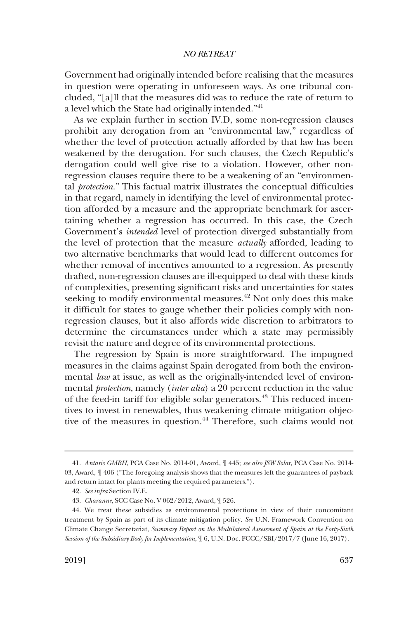Government had originally intended before realising that the measures in question were operating in unforeseen ways. As one tribunal concluded, "[a]ll that the measures did was to reduce the rate of return to a level which the State had originally intended."41

As we explain further in section IV.D, some non-regression clauses prohibit any derogation from an "environmental law," regardless of whether the level of protection actually afforded by that law has been weakened by the derogation. For such clauses, the Czech Republic's derogation could well give rise to a violation. However, other nonregression clauses require there to be a weakening of an "environmental *protection*." This factual matrix illustrates the conceptual difficulties in that regard, namely in identifying the level of environmental protection afforded by a measure and the appropriate benchmark for ascertaining whether a regression has occurred. In this case, the Czech Government's *intended* level of protection diverged substantially from the level of protection that the measure *actually* afforded, leading to two alternative benchmarks that would lead to different outcomes for whether removal of incentives amounted to a regression. As presently drafted, non-regression clauses are ill-equipped to deal with these kinds of complexities, presenting significant risks and uncertainties for states seeking to modify environmental measures.<sup>42</sup> Not only does this make it difficult for states to gauge whether their policies comply with nonregression clauses, but it also affords wide discretion to arbitrators to determine the circumstances under which a state may permissibly revisit the nature and degree of its environmental protections.

The regression by Spain is more straightforward. The impugned measures in the claims against Spain derogated from both the environmental *law* at issue, as well as the originally-intended level of environmental *protection*, namely (*inter alia*) a 20 percent reduction in the value of the feed-in tariff for eligible solar generators.<sup>43</sup> This reduced incentives to invest in renewables, thus weakening climate mitigation objective of the measures in question.<sup>44</sup> Therefore, such claims would not

<sup>41.</sup> *Antaris GMBH*, PCA Case No. 2014-01, Award, ¶ 445; *see also JSW Solar*, PCA Case No. 2014- 03, Award, ¶ 406 ("The foregoing analysis shows that the measures left the guarantees of payback and return intact for plants meeting the required parameters.").

<sup>42.</sup> *See infra* Section IV.E.

<sup>43.</sup> *Charanne*, SCC Case No. V 062/2012, Award, ¶ 526.

<sup>44.</sup> We treat these subsidies as environmental protections in view of their concomitant treatment by Spain as part of its climate mitigation policy. *See* U.N. Framework Convention on Climate Change Secretariat, *Summary Report on the Multilateral Assessment of Spain at the Forty-Sixth Session of the Subsidiary Body for Implementation*, ¶ 6, U.N. Doc. FCCC/SBI/2017/7 (June 16, 2017).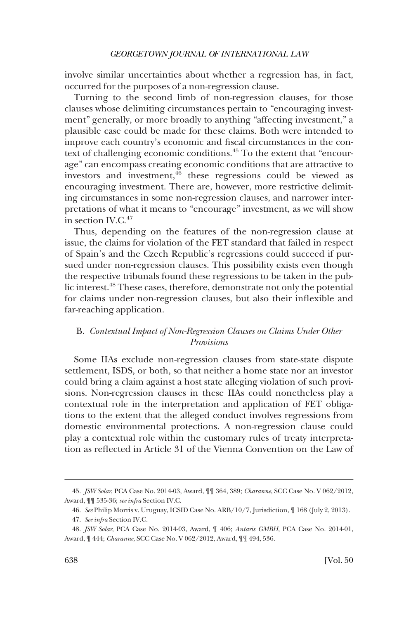<span id="page-13-0"></span>involve similar uncertainties about whether a regression has, in fact, occurred for the purposes of a non-regression clause.

Turning to the second limb of non-regression clauses, for those clauses whose delimiting circumstances pertain to "encouraging investment" generally, or more broadly to anything "affecting investment," a plausible case could be made for these claims. Both were intended to improve each country's economic and fiscal circumstances in the context of challenging economic conditions.<sup>45</sup> To the extent that "encourage" can encompass creating economic conditions that are attractive to investors and investment, $\frac{4}{6}$  these regressions could be viewed as encouraging investment. There are, however, more restrictive delimiting circumstances in some non-regression clauses, and narrower interpretations of what it means to "encourage" investment, as we will show in section  $IV.C.<sup>47</sup>$ 

Thus, depending on the features of the non-regression clause at issue, the claims for violation of the FET standard that failed in respect of Spain's and the Czech Republic's regressions could succeed if pursued under non-regression clauses. This possibility exists even though the respective tribunals found these regressions to be taken in the public interest.48 These cases, therefore, demonstrate not only the potential for claims under non-regression clauses, but also their inflexible and far-reaching application.

# B. *Contextual Impact of Non-Regression Clauses on Claims Under Other Provisions*

Some IIAs exclude non-regression clauses from state-state dispute settlement, ISDS, or both, so that neither a home state nor an investor could bring a claim against a host state alleging violation of such provisions. Non-regression clauses in these IIAs could nonetheless play a contextual role in the interpretation and application of FET obligations to the extent that the alleged conduct involves regressions from domestic environmental protections. A non-regression clause could play a contextual role within the customary rules of treaty interpretation as reflected in Article 31 of the Vienna Convention on the Law of

<sup>45.</sup> *JSW Solar*, PCA Case No. 2014-03, Award, ¶¶ 364, 389; *Charanne*, SCC Case No. V 062/2012, Award, ¶¶ 535-36; *see infra* Section IV.C.

<sup>46.</sup> *See* Philip Morris v. Uruguay, ICSID Case No. ARB/10/7, Jurisdiction, ¶ 168 (July 2, 2013).

<sup>47.</sup> *See infra* Section IV.C.

<sup>48.</sup> *JSW Solar*, PCA Case No. 2014-03, Award, ¶ 406; *Antaris GMBH*, PCA Case No. 2014-01, Award, ¶ 444; *Charanne*, SCC Case No. V 062/2012, Award, ¶¶ 494, 536.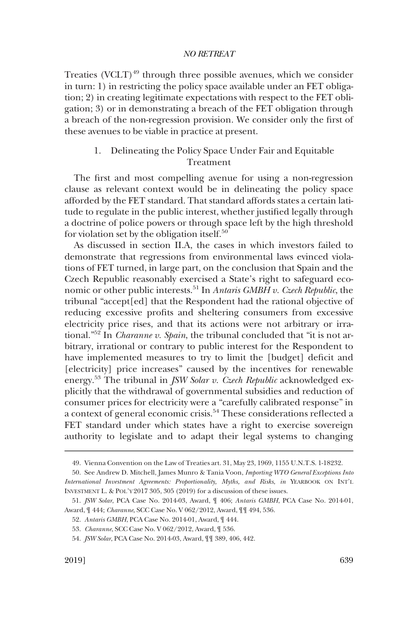<span id="page-14-0"></span>Treaties (VCLT)<sup>49</sup> through three possible avenues, which we consider in turn: 1) in restricting the policy space available under an FET obligation; 2) in creating legitimate expectations with respect to the FET obligation; 3) or in demonstrating a breach of the FET obligation through a breach of the non-regression provision. We consider only the first of these avenues to be viable in practice at present.

# 1. Delineating the Policy Space Under Fair and Equitable Treatment

The first and most compelling avenue for using a non-regression clause as relevant context would be in delineating the policy space afforded by the FET standard. That standard affords states a certain latitude to regulate in the public interest, whether justified legally through a doctrine of police powers or through space left by the high threshold for violation set by the obligation itself. $50$ 

As discussed in section II.A, the cases in which investors failed to demonstrate that regressions from environmental laws evinced violations of FET turned, in large part, on the conclusion that Spain and the Czech Republic reasonably exercised a State's right to safeguard economic or other public interests.51 In *Antaris GMBH v. Czech Republic*, the tribunal "accept[ed] that the Respondent had the rational objective of reducing excessive profits and sheltering consumers from excessive electricity price rises, and that its actions were not arbitrary or irrational."52 In *Charanne v. Spain*, the tribunal concluded that "it is not arbitrary, irrational or contrary to public interest for the Respondent to have implemented measures to try to limit the [budget] deficit and [electricity] price increases" caused by the incentives for renewable energy.53 The tribunal in *JSW Solar v. Czech Republic* acknowledged explicitly that the withdrawal of governmental subsidies and reduction of consumer prices for electricity were a "carefully calibrated response" in a context of general economic crisis.<sup>54</sup> These considerations reflected a FET standard under which states have a right to exercise sovereign authority to legislate and to adapt their legal systems to changing

<sup>49.</sup> Vienna Convention on the Law of Treaties art. 31, May 23, 1969, 1155 U.N.T.S. 1-18232.

<sup>50.</sup> See Andrew D. Mitchell, James Munro & Tania Voon, *Importing WTO General Exceptions Into International Investment Agreements: Proportionality, Myths, and Risks*, *in* YEARBOOK ON INT'L INVESTMENT L. & POL'Y 2017 305, 305 (2019) for a discussion of these issues.

<sup>51.</sup> *JSW Solar*, PCA Case No. 2014-03, Award, ¶ 406; *Antaris GMBH*, PCA Case No. 2014-01, Award, ¶ 444; *Charanne*, SCC Case No. V 062/2012, Award, ¶¶ 494, 536.

<sup>52.</sup> *Antaris GMBH*, PCA Case No. 2014-01, Award, ¶ 444.

<sup>53.</sup> *Charanne*, SCC Case No. V 062/2012, Award, ¶ 536.

<sup>54.</sup> *JSW Solar*, PCA Case No. 2014-03, Award, ¶¶ 389, 406, 442.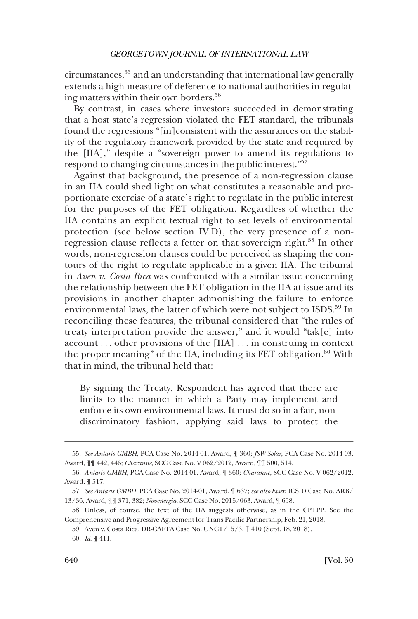circumstances,55 and an understanding that international law generally extends a high measure of deference to national authorities in regulating matters within their own borders.<sup>56</sup>

By contrast, in cases where investors succeeded in demonstrating that a host state's regression violated the FET standard, the tribunals found the regressions "[in]consistent with the assurances on the stability of the regulatory framework provided by the state and required by the [IIA]," despite a "sovereign power to amend its regulations to respond to changing circumstances in the public interest."57

Against that background, the presence of a non-regression clause in an IIA could shed light on what constitutes a reasonable and proportionate exercise of a state's right to regulate in the public interest for the purposes of the FET obligation. Regardless of whether the IIA contains an explicit textual right to set levels of environmental protection (see below section IV.D), the very presence of a nonregression clause reflects a fetter on that sovereign right.<sup>58</sup> In other words, non-regression clauses could be perceived as shaping the contours of the right to regulate applicable in a given IIA. The tribunal in *Aven v. Costa Rica* was confronted with a similar issue concerning the relationship between the FET obligation in the IIA at issue and its provisions in another chapter admonishing the failure to enforce environmental laws, the latter of which were not subject to ISDS.<sup>59</sup> In reconciling these features, the tribunal considered that "the rules of treaty interpretation provide the answer," and it would "tak[e] into account . . . other provisions of the [IIA] . . . in construing in context the proper meaning" of the IIA, including its FET obligation. $60$  With that in mind, the tribunal held that:

By signing the Treaty, Respondent has agreed that there are limits to the manner in which a Party may implement and enforce its own environmental laws. It must do so in a fair, nondiscriminatory fashion, applying said laws to protect the

<sup>55.</sup> *See Antaris GMBH*, PCA Case No. 2014-01, Award, ¶ 360; *JSW Solar*, PCA Case No. 2014-03, Award, ¶¶ 442, 446; *Charanne*, SCC Case No. V 062/2012, Award, ¶¶ 500, 514.

<sup>56.</sup> *Antaris GMBH*, PCA Case No. 2014-01, Award, ¶ 360; *Charanne*, SCC Case No. V 062/2012, Award, ¶ 517.

<sup>57.</sup> *See Antaris GMBH*, PCA Case No. 2014-01, Award, ¶ 637; *see also Eiser*, ICSID Case No. ARB/ 13/36, Award, ¶¶ 371, 382; *Novenergia*, SCC Case No. 2015/063, Award, ¶ 658.

<sup>58.</sup> Unless, of course, the text of the IIA suggests otherwise, as in the CPTPP. See the Comprehensive and Progressive Agreement for Trans-Pacific Partnership, Feb. 21, 2018.

<sup>59.</sup> Aven v. Costa Rica, DR-CAFTA Case No. UNCT/15/3, ¶ 410 (Sept. 18, 2018).

<sup>60.</sup> *Id*. ¶ 411.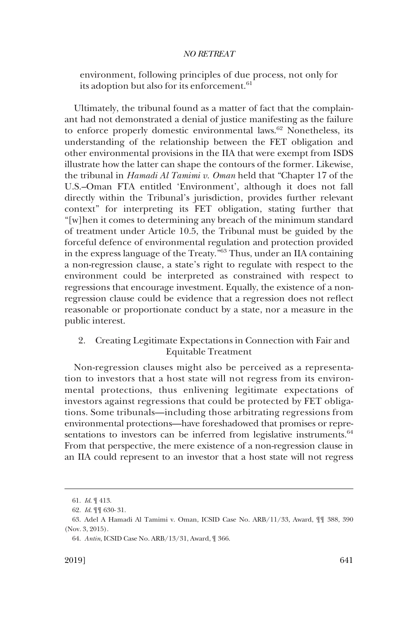<span id="page-16-0"></span>environment, following principles of due process, not only for its adoption but also for its enforcement.<sup>61</sup>

Ultimately, the tribunal found as a matter of fact that the complainant had not demonstrated a denial of justice manifesting as the failure to enforce properly domestic environmental laws.<sup>62</sup> Nonetheless, its understanding of the relationship between the FET obligation and other environmental provisions in the IIA that were exempt from ISDS illustrate how the latter can shape the contours of the former. Likewise, the tribunal in *Hamadi Al Tamimi v. Oman* held that "Chapter 17 of the U.S.–Oman FTA entitled 'Environment', although it does not fall directly within the Tribunal's jurisdiction, provides further relevant context" for interpreting its FET obligation, stating further that "[w]hen it comes to determining any breach of the minimum standard of treatment under Article 10.5, the Tribunal must be guided by the forceful defence of environmental regulation and protection provided in the express language of the Treaty."63 Thus, under an IIA containing a non-regression clause, a state's right to regulate with respect to the environment could be interpreted as constrained with respect to regressions that encourage investment. Equally, the existence of a nonregression clause could be evidence that a regression does not reflect reasonable or proportionate conduct by a state, nor a measure in the public interest.

# 2. Creating Legitimate Expectations in Connection with Fair and Equitable Treatment

Non-regression clauses might also be perceived as a representation to investors that a host state will not regress from its environmental protections, thus enlivening legitimate expectations of investors against regressions that could be protected by FET obligations. Some tribunals—including those arbitrating regressions from environmental protections—have foreshadowed that promises or representations to investors can be inferred from legislative instruments.<sup>64</sup> From that perspective, the mere existence of a non-regression clause in an IIA could represent to an investor that a host state will not regress

<sup>61.</sup> *Id*. ¶ 413.

<sup>62.</sup> *Id*. ¶¶ 630- 31.

<sup>63.</sup> Adel A Hamadi Al Tamimi v. Oman, ICSID Case No. ARB/11/33, Award, ¶¶ 388, 390 (Nov. 3, 2015).

<sup>64.</sup> *Antin*, ICSID Case No. ARB/13/31, Award, ¶ 366.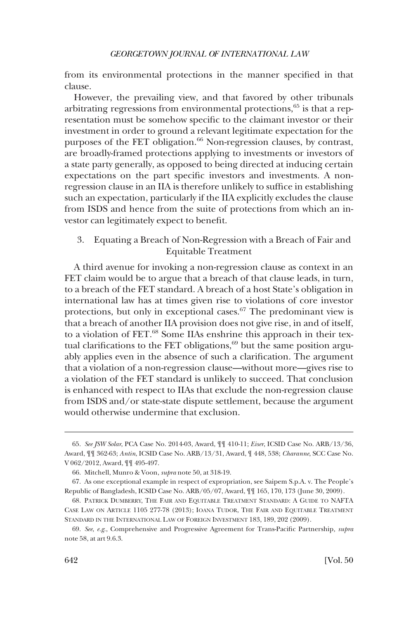<span id="page-17-0"></span>from its environmental protections in the manner specified in that clause.

However, the prevailing view, and that favored by other tribunals arbitrating regressions from environmental protections,65 is that a representation must be somehow specific to the claimant investor or their investment in order to ground a relevant legitimate expectation for the purposes of the FET obligation.<sup>66</sup> Non-regression clauses, by contrast, are broadly-framed protections applying to investments or investors of a state party generally, as opposed to being directed at inducing certain expectations on the part specific investors and investments. A nonregression clause in an IIA is therefore unlikely to suffice in establishing such an expectation, particularly if the IIA explicitly excludes the clause from ISDS and hence from the suite of protections from which an investor can legitimately expect to benefit.

3. Equating a Breach of Non-Regression with a Breach of Fair and Equitable Treatment

A third avenue for invoking a non-regression clause as context in an FET claim would be to argue that a breach of that clause leads, in turn, to a breach of the FET standard. A breach of a host State's obligation in international law has at times given rise to violations of core investor protections, but only in exceptional cases.<sup>67</sup> The predominant view is that a breach of another IIA provision does not give rise, in and of itself, to a violation of FET.68 Some IIAs enshrine this approach in their textual clarifications to the FET obligations,<sup>69</sup> but the same position arguably applies even in the absence of such a clarification. The argument that a violation of a non-regression clause—without more—gives rise to a violation of the FET standard is unlikely to succeed. That conclusion is enhanced with respect to IIAs that exclude the non-regression clause from ISDS and/or state-state dispute settlement, because the argument would otherwise undermine that exclusion.

<sup>65.</sup> *See JSW Solar*, PCA Case No. 2014-03, Award, ¶¶ 410-11; *Eiser*, ICSID Case No. ARB/13/36, Award, ¶¶ 362-63; *Antin*, ICSID Case No. ARB/13/31, Award, ¶ 448, 538; *Charanne*, SCC Case No. V 062/2012, Award, ¶¶ 495-497.

<sup>66.</sup> Mitchell, Munro & Voon, *supra* note 50, at 318-19.

<sup>67.</sup> As one exceptional example in respect of expropriation, see Saipem S.p.A. v. The People's Republic of Bangladesh, ICSID Case No. ARB/05/07, Award, ¶¶ 165, 170, 173 (June 30, 2009).

<sup>68.</sup> PATRICK DUMBERRY, THE FAIR AND EQUITABLE TREATMENT STANDARD: A GUIDE TO NAFTA CASE LAW ON ARTICLE 1105 277-78 (2013); IOANA TUDOR, THE FAIR AND EQUITABLE TREATMENT STANDARD IN THE INTERNATIONAL LAW OF FOREIGN INVESTMENT 183, 189, 202 (2009).

<sup>69.</sup> *See*, *e.g*., Comprehensive and Progressive Agreement for Trans-Pacific Partnership*, supra*  note 58, at art 9.6.3.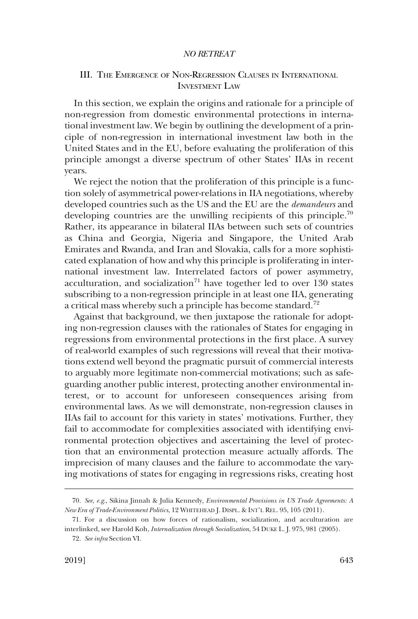# <span id="page-18-0"></span>III. THE EMERGENCE OF NON-REGRESSION CLAUSES IN INTERNATIONAL INVESTMENT LAW

In this section, we explain the origins and rationale for a principle of non-regression from domestic environmental protections in international investment law. We begin by outlining the development of a principle of non-regression in international investment law both in the United States and in the EU, before evaluating the proliferation of this principle amongst a diverse spectrum of other States' IIAs in recent years.

We reject the notion that the proliferation of this principle is a function solely of asymmetrical power-relations in IIA negotiations, whereby developed countries such as the US and the EU are the *demandeurs* and developing countries are the unwilling recipients of this principle.<sup>70</sup> Rather, its appearance in bilateral IIAs between such sets of countries as China and Georgia, Nigeria and Singapore, the United Arab Emirates and Rwanda, and Iran and Slovakia, calls for a more sophisticated explanation of how and why this principle is proliferating in international investment law. Interrelated factors of power asymmetry, acculturation, and socialization $71$  have together led to over 130 states subscribing to a non-regression principle in at least one IIA, generating a critical mass whereby such a principle has become standard.<sup>72</sup>

Against that background, we then juxtapose the rationale for adopting non-regression clauses with the rationales of States for engaging in regressions from environmental protections in the first place. A survey of real-world examples of such regressions will reveal that their motivations extend well beyond the pragmatic pursuit of commercial interests to arguably more legitimate non-commercial motivations; such as safeguarding another public interest, protecting another environmental interest, or to account for unforeseen consequences arising from environmental laws. As we will demonstrate, non-regression clauses in IIAs fail to account for this variety in states' motivations. Further, they fail to accommodate for complexities associated with identifying environmental protection objectives and ascertaining the level of protection that an environmental protection measure actually affords. The imprecision of many clauses and the failure to accommodate the varying motivations of states for engaging in regressions risks, creating host

<sup>70.</sup> *See*, *e.g*., Sikina Jinnah & Julia Kennedy*, Environmental Provisions in US Trade Agreements: A New Era of Trade-Environment Politics*, 12 WHITEHEAD J. DISPL. & INT'L REL. 95, 105 (2011).

<sup>71.</sup> For a discussion on how forces of rationalism, socialization, and acculturation are interlinked, see Harold Koh, *Internalization through Socialization*, 54 DUKE L. J. 975, 981 (2005).

<sup>72.</sup> *See infra* Section VI.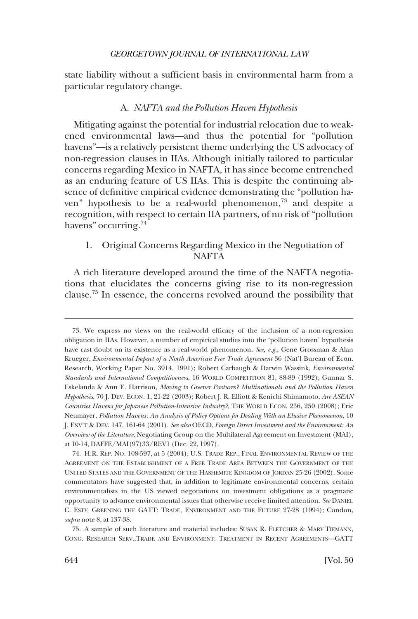<span id="page-19-0"></span>state liability without a sufficient basis in environmental harm from a particular regulatory change.

#### A. *NAFTA and the Pollution Haven Hypothesis*

Mitigating against the potential for industrial relocation due to weakened environmental laws—and thus the potential for "pollution havens"—is a relatively persistent theme underlying the US advocacy of non-regression clauses in IIAs. Although initially tailored to particular concerns regarding Mexico in NAFTA, it has since become entrenched as an enduring feature of US IIAs. This is despite the continuing absence of definitive empirical evidence demonstrating the "pollution haven" hypothesis to be a real-world phenomenon,<sup>73</sup> and despite a recognition, with respect to certain IIA partners, of no risk of "pollution havens" occurring.<sup>74</sup>

# 1. Original Concerns Regarding Mexico in the Negotiation of NAFTA

A rich literature developed around the time of the NAFTA negotiations that elucidates the concerns giving rise to its non-regression clause.75 In essence, the concerns revolved around the possibility that

<sup>73.</sup> We express no views on the real-world efficacy of the inclusion of a non-regression obligation in IIAs. However, a number of empirical studies into the 'pollution haven' hypothesis have cast doubt on its existence as a real-world phenomenon. *See, e.g*., Gene Grossman & Alan Krueger, *Environmental Impact of a North American Free Trade Agreement* 36 (Nat'l Bureau of Econ. Research, Working Paper No. 3914, 1991); Robert Carbaugh & Darwin Wassink, *Environmental Standards and International Competitiveness*, 16 WORLD COMPETITION 81, 88-89 (1992); Gunnar S. Eskelanda & Ann E. Harrison, *Moving to Greener Pastures? Multinationals and the Pollution Haven Hypothesis*, 70 J. DEV. ECON. 1, 21-22 (2003); Robert J. R. Elliott & Kenichi Shimamoto, *Are ASEAN Countries Havens for Japanese Pollution-Intensive Industry?*, THE WORLD ECON. 236, 250 (2008); Eric Neumayer, *Pollution Havens: An Analysis of Policy Options for Dealing With an Elusive Phenomenon*, 10 J. ENV'T & DEV. 147, 161-64 (2001). *See also* OECD, *Foreign Direct Investment and the Environment: An Overview of the Literature*, Negotiating Group on the Multilateral Agreement on Investment (MAI), at 10-14, DAFFE/MAI(97)33/REV1 (Dec. 22, 1997).

<sup>74.</sup> H.R. REP. NO. 108-597, at 5 (2004); U.S. TRADE REP., FINAL ENVIRONMENTAL REVIEW OF THE AGREEMENT ON THE ESTABLISHMENT OF A FREE TRADE AREA BETWEEN THE GOVERNMENT OF THE UNITED STATES AND THE GOVERNMENT OF THE HASHEMITE KINGDOM OF JORDAN 25-26 (2002). Some commentators have suggested that, in addition to legitimate environmental concerns, certain environmentalists in the US viewed negotiations on investment obligations as a pragmatic opportunity to advance environmental issues that otherwise receive limited attention. *See* DANIEL C. ESTY, GREENING THE GATT: TRADE, ENVIRONMENT AND THE FUTURE 27-28 (1994); Condon, *supra* note 8, at 137-38.

<sup>75.</sup> A sample of such literature and material includes: SUSAN R. FLETCHER & MARY TIEMANN, CONG. RESEARCH SERV.,TRADE AND ENVIRONMENT: TREATMENT IN RECENT AGREEMENTS—GATT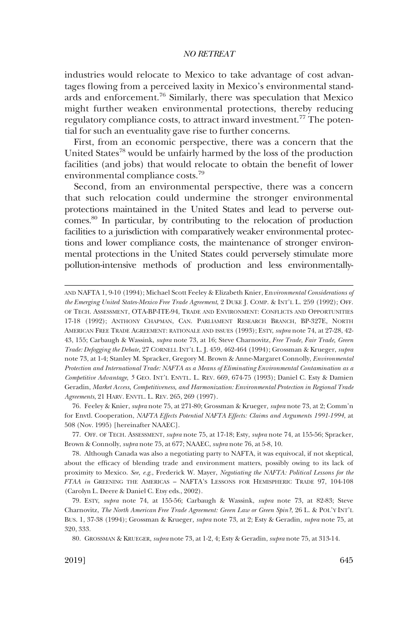industries would relocate to Mexico to take advantage of cost advantages flowing from a perceived laxity in Mexico's environmental standards and enforcement.<sup>76</sup> Similarly, there was speculation that Mexico might further weaken environmental protections, thereby reducing regulatory compliance costs, to attract inward investment.<sup>77</sup> The potential for such an eventuality gave rise to further concerns.

First, from an economic perspective, there was a concern that the United States<sup>78</sup> would be unfairly harmed by the loss of the production facilities (and jobs) that would relocate to obtain the benefit of lower environmental compliance costs.<sup>79</sup>

Second, from an environmental perspective, there was a concern that such relocation could undermine the stronger environmental protections maintained in the United States and lead to perverse outcomes.80 In particular, by contributing to the relocation of production facilities to a jurisdiction with comparatively weaker environmental protections and lower compliance costs, the maintenance of stronger environmental protections in the United States could perversely stimulate more pollution-intensive methods of production and less environmentally-

76. Feeley & Knier, *supra* note 75, at 271-80; Grossman & Krueger*, supra* note 73, at 2; Comm'n for Envtl. Cooperation, *NAFTA Effects Potential NAFTA Effects: Claims and Arguments 1991-1994*, at 508 (Nov. 1995) [hereinafter NAAEC].

77. OFF. OF TECH. ASSESSMENT, *supra* note 75, at 17-18; Esty, *supra* note 74, at 155-56; Spracker, Brown & Connolly, *supra* note 75, at 677; NAAEC, *supra* note 76, at 5-8, 10.

78. Although Canada was also a negotiating party to NAFTA, it was equivocal, if not skeptical, about the efficacy of blending trade and environment matters, possibly owing to its lack of proximity to Mexico. *See, e.g*., Frederick W. Mayer, *Negotiating the NAFTA: Political Lessons for the FTAA in* GREENING THE AMERICAS – NAFTA'S LESSONS FOR HEMISPHERIC TRADE 97, 104-108 (Carolyn L. Deere & Daniel C. Etsy eds., 2002).

79. ESTY, *supra* note 74, at 155-56; Carbaugh & Wassink, *supra* note 73, at 82-83; Steve Charnovitz, *The North American Free Trade Agreement: Green Law or Green Spin?*, 26 L. & POL'Y INT'L BUS. 1, 37-38 (1994); Grossman & Krueger*, supra* note 73, at 2; Esty & Geradin, *supra* note 75, at 320, 333.

80. GROSSMAN & KRUEGER, *supra* note 73, at 1-2, 4; Esty & Geradin, *supra* note 75, at 313-14.

AND NAFTA 1, 9-10 (1994); Michael Scott Feeley & Elizabeth Knier, En*vironmental Considerations of the Emerging United States-Mexico Free Trade Agreement*, 2 DUKE J. COMP. & INT'L L. 259 (1992); OFF. OF TECH. ASSESSMENT, OTA-BP-ITE-94, TRADE AND ENVIRONMENT: CONFLICTS AND OPPORTUNITIES 17-18 (1992); ANTHONY CHAPMAN, CAN. PARLIAMENT RESEARCH BRANCH, BP-327E, NORTH AMERICAN FREE TRADE AGREEMENT: RATIONALE AND ISSUES (1993); ESTY, *supra* note 74, at 27-28, 42- 43, 155; Carbaugh & Wassink, *supra* note 73, at 16; Steve Charnovitz, *Free Trade, Fair Trade, Green Trade: Defogging the Debate*, 27 CORNELL INT'L L. J. 459, 462-464 (1994); Grossman & Krueger, *supra*  note 73, at 1-4; Stanley M. Spracker, Gregory M. Brown & Anne-Margaret Connolly, *Environmental Protection and International Trade: NAFTA as a Means of Eliminating Environmental Contamination as a Competitive Advantage*, *5* GEO. INT'L ENVTL. L. REV. 669, 674-75 (1993); Daniel C. Esty & Damien Geradin, *Market Access, Competitiveness, and Harmonization: Environmental Protection in Regional Trade Agreements*, 21 HARV. ENVTL. L. REV. 265, 269 (1997).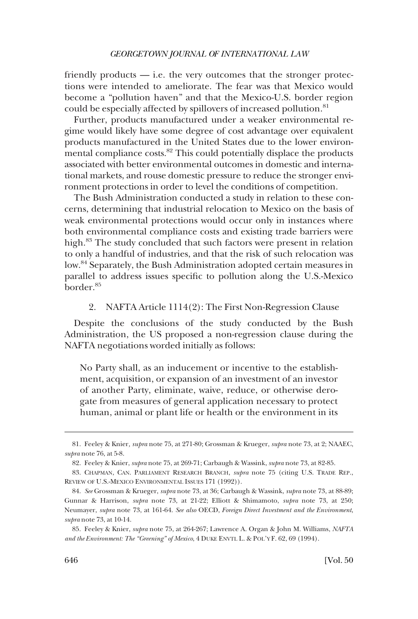<span id="page-21-0"></span>friendly products — i.e. the very outcomes that the stronger protections were intended to ameliorate. The fear was that Mexico would become a "pollution haven" and that the Mexico-U.S. border region could be especially affected by spillovers of increased pollution.<sup>81</sup>

Further, products manufactured under a weaker environmental regime would likely have some degree of cost advantage over equivalent products manufactured in the United States due to the lower environmental compliance costs.<sup>82</sup> This could potentially displace the products associated with better environmental outcomes in domestic and international markets, and rouse domestic pressure to reduce the stronger environment protections in order to level the conditions of competition.

The Bush Administration conducted a study in relation to these concerns, determining that industrial relocation to Mexico on the basis of weak environmental protections would occur only in instances where both environmental compliance costs and existing trade barriers were high.83 The study concluded that such factors were present in relation to only a handful of industries, and that the risk of such relocation was low.84 Separately, the Bush Administration adopted certain measures in parallel to address issues specific to pollution along the U.S.-Mexico border.85

# 2. NAFTA Article 1114(2): The First Non-Regression Clause

Despite the conclusions of the study conducted by the Bush Administration, the US proposed a non-regression clause during the NAFTA negotiations worded initially as follows:

No Party shall, as an inducement or incentive to the establishment, acquisition, or expansion of an investment of an investor of another Party, eliminate, waive, reduce, or otherwise derogate from measures of general application necessary to protect human, animal or plant life or health or the environment in its

<sup>81.</sup> Feeley & Knier*, supra* note 75, at 271-80; Grossman & Krueger, *supra* note 73, at 2; NAAEC, *supra* note 76, at 5-8.

<sup>82.</sup> Feeley & Knier, *supra* note 75, at 269-71; Carbaugh & Wassink, *supra* note 73, at 82-85.

<sup>83.</sup> CHAPMAN, CAN. PARLIAMENT RESEARCH BRANCH, *supra* note 75 (citing U.S. TRADE REP., REVIEW OF U.S.-MEXICO ENVIRONMENTAL ISSUES 171 (1992)).

<sup>84.</sup> *See* Grossman & Krueger, *supra* note 73, at 36; Carbaugh & Wassink, *supra* note 73, at 88-89; Gunnar & Harrison, *supra* note 73, at 21-22; Elliott & Shimamoto, *supra* note 73, at 250; Neumayer, *supra* note 73, at 161-64. *See also* OECD, *Foreign Direct Investment and the Environment*, *supra* note 73, at 10-14.

<sup>85.</sup> Feeley & Knier, *supra* note 75, at 264-267; Lawrence A. Organ & John M. Williams, *NAFTA and the Environment: The "Greening" of Mexico*, 4 DUKE ENVTL L. & POL'Y F. 62, 69 (1994).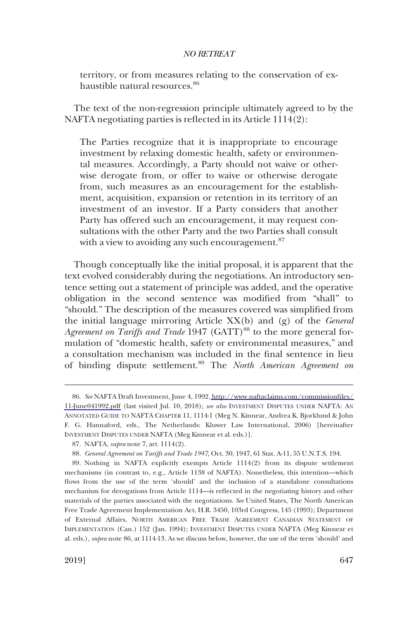territory, or from measures relating to the conservation of exhaustible natural resources.<sup>86</sup>

The text of the non-regression principle ultimately agreed to by the NAFTA negotiating parties is reflected in its Article 1114(2):

The Parties recognize that it is inappropriate to encourage investment by relaxing domestic health, safety or environmental measures. Accordingly, a Party should not waive or otherwise derogate from, or offer to waive or otherwise derogate from, such measures as an encouragement for the establishment, acquisition, expansion or retention in its territory of an investment of an investor. If a Party considers that another Party has offered such an encouragement, it may request consultations with the other Party and the two Parties shall consult with a view to avoiding any such encouragement.<sup>87</sup>

Though conceptually like the initial proposal, it is apparent that the text evolved considerably during the negotiations. An introductory sentence setting out a statement of principle was added, and the operative obligation in the second sentence was modified from "shall" to "should." The description of the measures covered was simplified from the initial language mirroring Article XX(b) and (g) of the *General Agreement on Tariffs and Trade* 1947 (GATT)<sup>88</sup> to the more general formulation of "domestic health, safety or environmental measures," and a consultation mechanism was included in the final sentence in lieu of binding dispute settlement.89 The *North American Agreement on* 

*See* NAFTA Draft Investment, June 4, 1992, [http://www.naftaclaims.com/commissionfiles/](http://www.naftaclaims.com/commissionfiles/11-June041992.pdf)  86. [11-June041992.pdf](http://www.naftaclaims.com/commissionfiles/11-June041992.pdf) (last visited Jul. 10, 2018); *see also* INVESTMENT DISPUTES UNDER NAFTA: AN ANNOTATED GUIDE TO NAFTA CHAPTER 11, 1114-1 (Meg N. Kinnear, Andrea K. Bjorklund & John F. G. Hannaford, eds., The Netherlands: Kluwer Law International, 2006) [hereinafter INVESTMENT DISPUTES UNDER NAFTA (Meg Kinnear et al. eds.)].

<sup>87.</sup> NAFTA, *supra* note 7, art. 1114(2).

<sup>88.</sup> *General Agreement on Tariffs and Trade 1947*, Oct. 30, 1947, 61 Stat. A-11, 55 U.N.T.S. 194.

<sup>89.</sup> Nothing in NAFTA explicitly exempts Article 1114(2) from its dispute settlement mechanisms (in contrast to, e.g., Article 1138 of NAFTA). Nonetheless, this intention—which flows from the use of the term 'should' and the inclusion of a standalone consultations mechanism for derogations from Article 1114—is reflected in the negotiating history and other materials of the parties associated with the negotiations. *See* United States, The North American Free Trade Agreement Implementation Act, H.R. 3450, 103rd Congress, 145 (1993); Department of External Affairs, NORTH AMERICAN FREE TRADE AGREEMENT CANADIAN STATEMENT OF IMPLEMENTATION (Can.) 152 (Jan. 1994); INVESTMENT DISPUTES UNDER NAFTA (Meg Kinnear et al. eds.), *supra* note 86, at 1114-13. As we discuss below, however, the use of the term 'should' and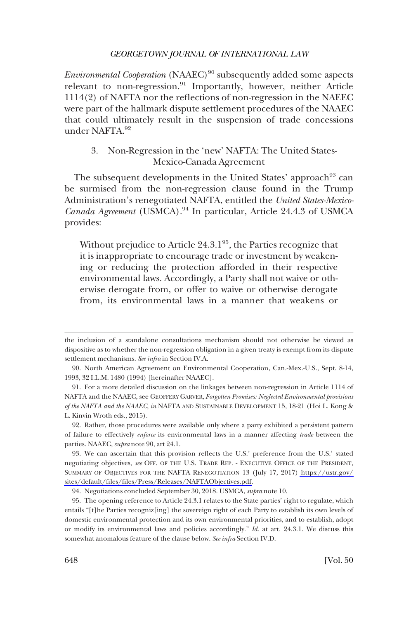<span id="page-23-0"></span>*Environmental Cooperation* (NAAEC)<sup>90</sup> subsequently added some aspects relevant to non-regression.<sup>91</sup> Importantly, however, neither Article 1114(2) of NAFTA nor the reflections of non-regression in the NAEEC were part of the hallmark dispute settlement procedures of the NAAEC that could ultimately result in the suspension of trade concessions under NAFTA.92

# 3. Non-Regression in the 'new' NAFTA: The United States-Mexico-Canada Agreement

The subsequent developments in the United States' approach<sup>93</sup> can be surmised from the non-regression clause found in the Trump Administration's renegotiated NAFTA, entitled the *United States-Mexico-Canada Agreement* (USMCA).<sup>94</sup> In particular, Article 24.4.3 of USMCA provides:

Without prejudice to Article  $24.3 \cdot 1^{95}$ , the Parties recognize that it is inappropriate to encourage trade or investment by weakening or reducing the protection afforded in their respective environmental laws. Accordingly, a Party shall not waive or otherwise derogate from, or offer to waive or otherwise derogate from, its environmental laws in a manner that weakens or

92. Rather, those procedures were available only where a party exhibited a persistent pattern of failure to effectively *enforce* its environmental laws in a manner affecting *trade* between the parties. NAAEC, *supra* note 90, art 24.1.

the inclusion of a standalone consultations mechanism should not otherwise be viewed as dispositive as to whether the non-regression obligation in a given treaty is exempt from its dispute settlement mechanisms. *See infra* in Section IV.A.

<sup>90.</sup> North American Agreement on Environmental Cooperation, Can.-Mex.-U.S., Sept. 8-14, 1993, 32 I.L.M. 1480 (1994) [hereinafter NAAEC].

<sup>91.</sup> For a more detailed discussion on the linkages between non-regression in Article 1114 of NAFTA and the NAAEC, see GEOFFERY GARVER, *Forgotten Promises: Neglected Environmental provisions of the NAFTA and the NAAEC*, *in* NAFTA AND SUSTAINABLE DEVELOPMENT 15, 18-21 (Hoi L. Kong & L. Kinvin Wroth eds., 2015).

We can ascertain that this provision reflects the U.S.' preference from the U.S.' stated 93. negotiating objectives, *see* OFF. OF THE U.S. TRADE REP. - EXECUTIVE OFFICE OF THE PRESIDENT, SUMMARY OF OBJECTIVES FOR THE NAFTA RENEGOTIATION 13 (July 17, 2017) [https://ustr.gov/](https://ustr.gov/sites/default/files/files/Press/Releases/NAFTAObjectives.pdf)  [sites/default/files/files/Press/Releases/NAFTAObjectives.pdf.](https://ustr.gov/sites/default/files/files/Press/Releases/NAFTAObjectives.pdf)

<sup>94.</sup> Negotiations concluded September 30, 2018. USMCA, *supra* note 10.

<sup>95.</sup> The opening reference to Article 24.3.1 relates to the State parties' right to regulate, which entails "[t]he Parties recogniz[ing] the sovereign right of each Party to establish its own levels of domestic environmental protection and its own environmental priorities, and to establish, adopt or modify its environmental laws and policies accordingly." *Id*. at art. 24.3.1. We discuss this somewhat anomalous feature of the clause below. *See infra* Section IV.D.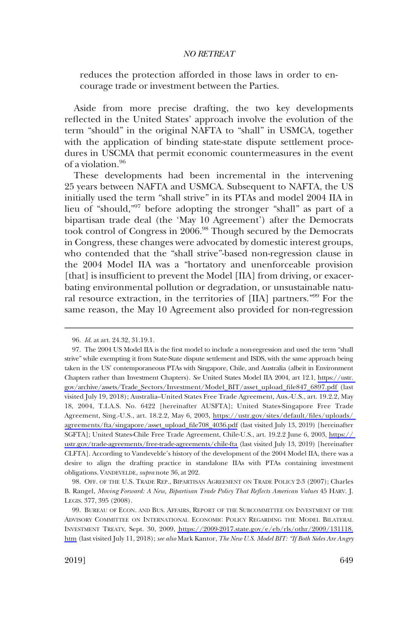reduces the protection afforded in those laws in order to encourage trade or investment between the Parties.

Aside from more precise drafting, the two key developments reflected in the United States' approach involve the evolution of the term "should" in the original NAFTA to "shall" in USMCA, together with the application of binding state-state dispute settlement procedures in USCMA that permit economic countermeasures in the event of a violation.<sup>96</sup>

These developments had been incremental in the intervening 25 years between NAFTA and USMCA. Subsequent to NAFTA, the US initially used the term "shall strive" in its PTAs and model 2004 IIA in lieu of "should,"97 before adopting the stronger "shall" as part of a bipartisan trade deal (the 'May 10 Agreement') after the Democrats took control of Congress in 2006.<sup>98</sup> Though secured by the Democrats in Congress, these changes were advocated by domestic interest groups, who contended that the "shall strive"-based non-regression clause in the 2004 Model IIA was a "hortatory and unenforceable provision [that] is insufficient to prevent the Model [IIA] from driving, or exacerbating environmental pollution or degradation, or unsustainable natural resource extraction, in the territories of [IIA] partners."<sup>99</sup> For the same reason, the May 10 Agreement also provided for non-regression

<sup>96.</sup> *Id*. at art. 24.32, 31.19.1.

<sup>97.</sup> The 2004 US Model IIA is the first model to include a non-regression and used the term "shall strive" while exempting it from State-State dispute settlement and ISDS, with the same approach being taken in the US' contemporaneous PTAs with Singapore, Chile, and Australia (albeit in Environment Chapters rather than Investment Chapters). *See* United States Model IIA 2004, art 12.1, [https://ustr.](https://ustr.gov/archive/assets/Trade_Sectors/Investment/Model_BIT/asset_upload_file847_6897.pdf)  [gov/archive/assets/Trade\\_Sectors/Investment/Model\\_BIT/asset\\_upload\\_file847\\_6897.pdf](https://ustr.gov/archive/assets/Trade_Sectors/Investment/Model_BIT/asset_upload_file847_6897.pdf) (last visited July 19, 2018); Australia–United States Free Trade Agreement, Aus.-U.S., art. 19.2.2, May 18, 2004, T.I.A.S. No. 6422 [hereinafter AUSFTA]; United States-Singapore Free Trade Agreement, Sing.-U.S., art. 18.2.2, May 6, 2003, [https://ustr.gov/sites/default/files/uploads/](https://ustr.gov/sites/default/files/uploads/agreements/fta/singapore/asset_upload_file708_4036.pdf)  [agreements/fta/singapore/asset\\_upload\\_file708\\_4036.pdf](https://ustr.gov/sites/default/files/uploads/agreements/fta/singapore/asset_upload_file708_4036.pdf) (last visited July 13, 2019) [hereinafter SGFTA]; United States-Chile Free Trade Agreement, Chile-U.S., art. 19.2.2 June 6, 2003, [https://](https://ustr.gov/trade-agreements/free-trade-agreements/chile-fta)  [ustr.gov/trade-agreements/free-trade-agreements/chile-fta](https://ustr.gov/trade-agreements/free-trade-agreements/chile-fta) (last visited July 13, 2019) [hereinafter CLFTA]. According to Vandevelde's history of the development of the 2004 Model IIA, there was a desire to align the drafting practice in standalone IIAs with PTAs containing investment obligations. VANDEVELDE, *supra* note 36, at 202.

<sup>98.</sup> OFF. OF THE U.S. TRADE REP., BIPARTISAN AGREEMENT ON TRADE POLICY 2-3 (2007); Charles B. Rangel, *Moving Forward: A New, Bipartisan Trade Policy That Reflects American Values* 45 HARV. J. LEGIS. 377, 395 (2008).

<sup>99.</sup> BUREAU OF ECON. AND BUS. AFFAIRS, REPORT OF THE SUBCOMMITTEE ON INVESTMENT OF THE ADVISORY COMMITTEE ON INTERNATIONAL ECONOMIC POLICY REGARDING THE MODEL BILATERAL INVESTMENT TREATY, Sept. 30, 2009, [https://2009-2017.state.gov/e/eb/rls/othr/2009/131118.](https://2009-2017.state.gov/e/eb/rls/othr/2009/131118.htm)  [htm](https://2009-2017.state.gov/e/eb/rls/othr/2009/131118.htm) (last visited July 11, 2018); *see also* Mark Kantor, *The New U.S. Model BIT: "If Both Sides Are Angry*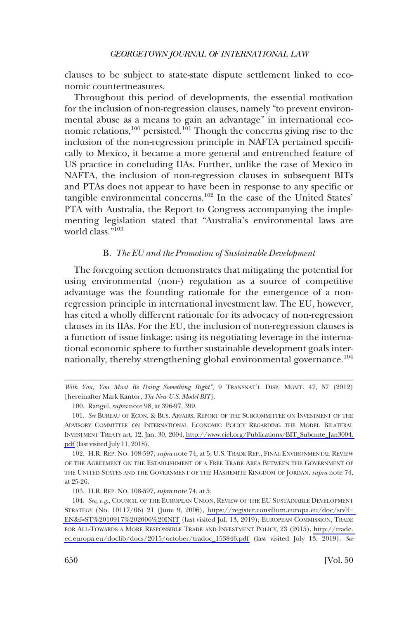<span id="page-25-0"></span>clauses to be subject to state-state dispute settlement linked to economic countermeasures.

Throughout this period of developments, the essential motivation for the inclusion of non-regression clauses, namely "to prevent environmental abuse as a means to gain an advantage" in international economic relations,<sup>100</sup> persisted.<sup>101</sup> Though the concerns giving rise to the inclusion of the non-regression principle in NAFTA pertained specifically to Mexico, it became a more general and entrenched feature of US practice in concluding IIAs. Further, unlike the case of Mexico in NAFTA, the inclusion of non-regression clauses in subsequent BITs and PTAs does not appear to have been in response to any specific or tangible environmental concerns.102 In the case of the United States' PTA with Australia, the Report to Congress accompanying the implementing legislation stated that "Australia's environmental laws are world class."103

#### B. *The EU and the Promotion of Sustainable Development*

The foregoing section demonstrates that mitigating the potential for using environmental (non-) regulation as a source of competitive advantage was the founding rationale for the emergence of a nonregression principle in international investment law. The EU, however, has cited a wholly different rationale for its advocacy of non-regression clauses in its IIAs. For the EU, the inclusion of non-regression clauses is a function of issue linkage: using its negotiating leverage in the international economic sphere to further sustainable development goals internationally, thereby strengthening global environmental governance.<sup>104</sup>

103. H.R. REP. NO. 108-597, *supra* note 74, at 5.

*With You, You Must Be Doing Something Right"*, 9 TRANSNAT'L DISP. MGMT. 47, 57 (2012) [hereinafter Mark Kantor, *The New U.S. Model BIT*].

<sup>100.</sup> Rangel, *supra* note 98, at 396-97, 399.

<sup>101.</sup> See BUREAU OF ECON. & BUS. AFFAIRS, REPORT OF THE SUBCOMMITTEE ON INVESTMENT OF THE ADVISORY COMMITTEE ON INTERNATIONAL ECONOMIC POLICY REGARDING THE MODEL BILATERAL INVESTMENT TREATY art. 12, Jan. 30, 2004, [http://www.ciel.org/Publications/BIT\\_Subcmte\\_Jan3004.](http://www.ciel.org/Publications/BIT_Subcmte_Jan3004.pdf)  [pdf](http://www.ciel.org/Publications/BIT_Subcmte_Jan3004.pdf) (last visited July 11, 2018).

<sup>102.</sup> H.R. REP. NO. 108-597, *supra* note 74, at 5; U.S. TRADE REP., FINAL ENVIRONMENTAL REVIEW OF THE AGREEMENT ON THE ESTABLISHMENT OF A FREE TRADE AREA BETWEEN THE GOVERNMENT OF THE UNITED STATES AND THE GOVERNMENT OF THE HASHEMITE KINGDOM OF JORDAN, *supra* note 74, at 25-26.

<sup>104.</sup> See, e.g., COUNCIL OF THE EUROPEAN UNION, REVIEW OF THE EU SUSTAINABLE DEVELOPMENT STRATEGY (No. 10117/06) 21 (June 9, 2006), [https://register.consilium.europa.eu/doc/srv?l=](https://register.consilium.europa.eu/doc/srv?l=EN&f=ST%2010917%202006%20INIT)  [EN&f=ST%2010917%202006%20INIT](https://register.consilium.europa.eu/doc/srv?l=EN&f=ST%2010917%202006%20INIT) (last visited Jul. 13, 2019); EUROPEAN COMMISSION, TRADE FOR ALL-TOWARDS A MORE RESPONSIBLE TRADE AND INVESTMENT POLICY, 23 (2015), [http://trade.](http://trade.ec.europa.eu/doclib/docs/2015/october/tradoc_153846.pdf)  [ec.europa.eu/doclib/docs/2015/october/tradoc\\_153846.pdf](http://trade.ec.europa.eu/doclib/docs/2015/october/tradoc_153846.pdf) (last visited July 13, 2019). *See*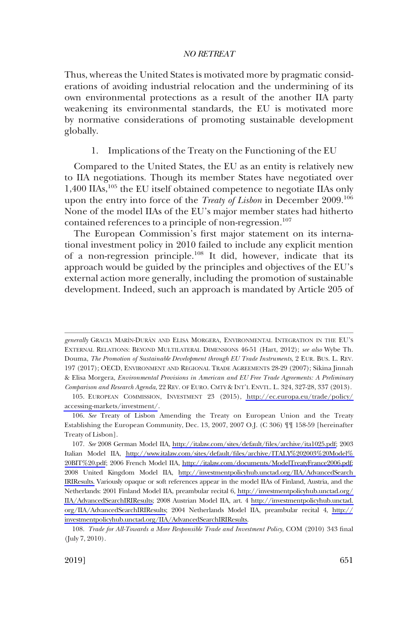<span id="page-26-0"></span>Thus, whereas the United States is motivated more by pragmatic considerations of avoiding industrial relocation and the undermining of its own environmental protections as a result of the another IIA party weakening its environmental standards, the EU is motivated more by normative considerations of promoting sustainable development globally.

#### 1. Implications of the Treaty on the Functioning of the EU

Compared to the United States, the EU as an entity is relatively new to IIA negotiations. Though its member States have negotiated over 1,400 IIAs,<sup>105</sup> the EU itself obtained competence to negotiate IIAs only upon the entry into force of the *Treaty of Lisbon* in December 2009.<sup>106</sup> None of the model IIAs of the EU's major member states had hitherto contained references to a principle of non-regression.<sup>107</sup>

The European Commission's first major statement on its international investment policy in 2010 failed to include any explicit mention of a non-regression principle.108 It did, however, indicate that its approach would be guided by the principles and objectives of the EU's external action more generally, including the promotion of sustainable development. Indeed, such an approach is mandated by Article 205 of

generally GRACIA MARÍN-DURÁN AND ELISA MORGERA, ENVIRONMENTAL INTEGRATION IN THE EU'S EXTERNAL RELATIONS: BEYOND MULTILATERAL DIMENSIONS 46-51 (Hart, 2012); *see also* Wybe Th. Douma, *The Promotion of Sustainable Development through EU Trade Instruments*, 2 EUR. BUS. L. REV. 197 (2017); OECD, ENVIRONMENT AND REGIONAL TRADE AGREEMENTS 28-29 (2007); Sikina Jinnah & Elisa Morgera, *Environmental Provisions in American and EU Free Trade Agreements: A Preliminary Comparison and Research Agenda*, 22 REV. OF EURO. CMTY & INT'L ENVTL. L. 324, 327-28, 337 (2013).

EUROPEAN COMMISSION, INVESTMENT 23 (2015), [http://ec.europa.eu/trade/policy/](http://ec.europa.eu/trade/policy/accessing-markets/investment/)  105. [accessing-markets/investment/](http://ec.europa.eu/trade/policy/accessing-markets/investment/).

<sup>106.</sup> *See* Treaty of Lisbon Amending the Treaty on European Union and the Treaty Establishing the European Community, Dec. 13, 2007, 2007 O.J. (C 306) ¶¶ 158-59 [hereinafter Treaty of Lisbon].

*See* 2008 German Model IIA, [http://italaw.com/sites/default/files/archive/ita1025.pdf;](http://italaw.com/sites/default/files/archive/ita1025.pdf) 2003 107. Italian Model IIA, [http://www.italaw.com/sites/default/files/archive/ITALY%202003%20Model%](http://www.italaw.com/sites/default/files/archive/ITALY%202003%20Model%20BIT%20.pdf)  [20BIT%20.pdf](http://www.italaw.com/sites/default/files/archive/ITALY%202003%20Model%20BIT%20.pdf); 2006 French Model IIA, [http://italaw.com/documents/ModelTreatyFrance2006.pdf;](http://italaw.com/documents/ModelTreatyFrance2006.pdf) 2008 United Kingdom Model IIA, [http://investmentpolicyhub.unctad.org/IIA/AdvancedSearch](http://investmentpolicyhub.unctad.org/IIA/AdvancedSearchIRIResults)  [IRIResults.](http://investmentpolicyhub.unctad.org/IIA/AdvancedSearchIRIResults) Variously opaque or soft references appear in the model IIAs of Finland, Austria, and the Netherlands: 2001 Finland Model IIA, preambular recital 6, [http://investmentpolicyhub.unctad.org/](http://investmentpolicyhub.unctad.org/IIA/AdvancedSearchIRIResults)  [IIA/AdvancedSearchIRIResults;](http://investmentpolicyhub.unctad.org/IIA/AdvancedSearchIRIResults) 2008 Austrian Model IIA, art. 4 [http://investmentpolicyhub.unctad.](http://investmentpolicyhub.unctad.org/IIA/AdvancedSearchIRIResults)  [org/IIA/AdvancedSearchIRIResults](http://investmentpolicyhub.unctad.org/IIA/AdvancedSearchIRIResults); 2004 Netherlands Model IIA, preambular recital 4, [http://](http://investmentpolicyhub.unctad.org/IIA/AdvancedSearchIRIResults) [investmentpolicyhub.unctad.org/IIA/AdvancedSearchIRIResults.](http://investmentpolicyhub.unctad.org/IIA/AdvancedSearchIRIResults)

<sup>108.</sup> *Trade for All-Towards a More Responsible Trade and Investment Policy*, COM (2010) 343 final (July 7, 2010).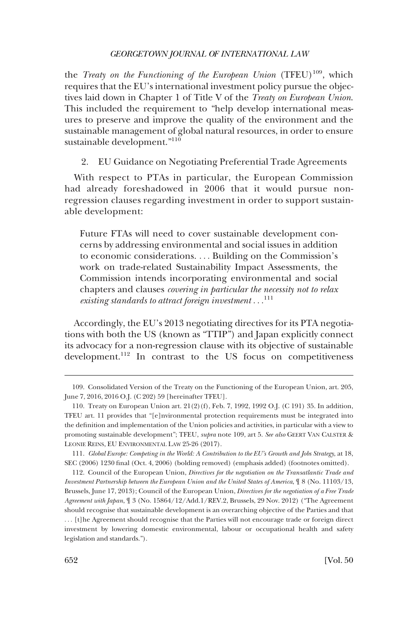<span id="page-27-0"></span>the *Treaty on the Functioning of the European Union* (TFEU)<sup>109</sup>, which requires that the EU's international investment policy pursue the objectives laid down in Chapter 1 of Title V of the *Treaty on European Union*. This included the requirement to "help develop international measures to preserve and improve the quality of the environment and the sustainable management of global natural resources, in order to ensure sustainable development."110

2. EU Guidance on Negotiating Preferential Trade Agreements

With respect to PTAs in particular, the European Commission had already foreshadowed in 2006 that it would pursue nonregression clauses regarding investment in order to support sustainable development:

Future FTAs will need to cover sustainable development concerns by addressing environmental and social issues in addition to economic considerations. . . . Building on the Commission's work on trade-related Sustainability Impact Assessments, the Commission intends incorporating environmental and social chapters and clauses *covering in particular the necessity not to relax existing standards to attract foreign investment* . . .<sup>111</sup>

Accordingly, the EU's 2013 negotiating directives for its PTA negotiations with both the US (known as "TTIP") and Japan explicitly connect its advocacy for a non-regression clause with its objective of sustainable development.112 In contrast to the US focus on competitiveness

<sup>109.</sup> Consolidated Version of the Treaty on the Functioning of the European Union, art. 205, June 7, 2016, 2016 O.J. (C 202) 59 [hereinafter TFEU].

<sup>110.</sup> Treaty on European Union art. 21(2)(f), Feb. 7, 1992, 1992 O.J. (C 191) 35. In addition, TFEU art. 11 provides that "[e]nvironmental protection requirements must be integrated into the definition and implementation of the Union policies and activities, in particular with a view to promoting sustainable development"; TFEU, *supra* note 109, art 5. *See also* GEERT VAN CALSTER & LEONIE REINS, EU ENVIRONMENTAL LAW 25-26 (2017).

<sup>111.</sup> *Global Europe: Competing in the World: A Contribution to the EU's Growth and Jobs Strategy*, at 18, SEC (2006) 1230 final (Oct. 4, 2006) (bolding removed) (emphasis added) (footnotes omitted).

<sup>112.</sup> Council of the European Union, *Directives for the negotiation on the Transatlantic Trade and Investment Partnership between the European Union and the United States of America*, ¶ 8 (No. 11103/13, Brussels, June 17, 2013); Council of the European Union, *Directives for the negotiation of a Free Trade Agreement with Japan*, ¶ 3 (No. 15864/12/Add.1/REV.2, Brussels, 29 Nov. 2012) ("The Agreement should recognise that sustainable development is an overarching objective of the Parties and that . . . [t]he Agreement should recognise that the Parties will not encourage trade or foreign direct investment by lowering domestic environmental, labour or occupational health and safety legislation and standards.").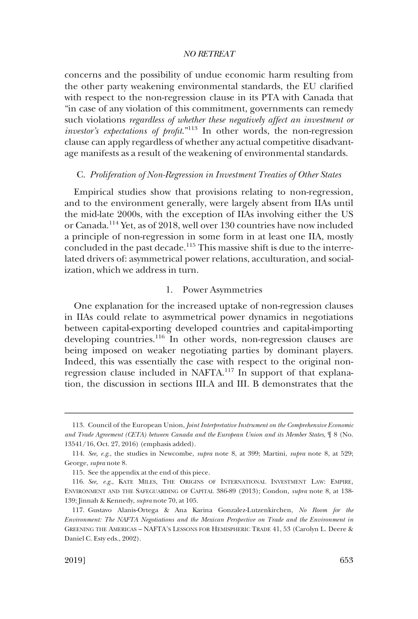<span id="page-28-0"></span>concerns and the possibility of undue economic harm resulting from the other party weakening environmental standards, the EU clarified with respect to the non-regression clause in its PTA with Canada that "in case of any violation of this commitment, governments can remedy such violations *regardless of whether these negatively affect an investment or investor's expectations of profit*."113 In other words, the non-regression clause can apply regardless of whether any actual competitive disadvantage manifests as a result of the weakening of environmental standards.

### C. *Proliferation of Non-Regression in Investment Treaties of Other States*

Empirical studies show that provisions relating to non-regression, and to the environment generally, were largely absent from IIAs until the mid-late 2000s, with the exception of IIAs involving either the US or Canada.114 Yet, as of 2018, well over 130 countries have now included a principle of non-regression in some form in at least one IIA, mostly concluded in the past decade.<sup>115</sup> This massive shift is due to the interrelated drivers of: asymmetrical power relations, acculturation, and socialization, which we address in turn.

#### 1. Power Asymmetries

One explanation for the increased uptake of non-regression clauses in IIAs could relate to asymmetrical power dynamics in negotiations between capital-exporting developed countries and capital-importing developing countries.<sup>116</sup> In other words, non-regression clauses are being imposed on weaker negotiating parties by dominant players. Indeed, this was essentially the case with respect to the original nonregression clause included in NAFTA.117 In support of that explanation, the discussion in sections III.A and III. B demonstrates that the

<sup>113.</sup> Council of the European Union, *Joint Interpretative Instrument on the Comprehensive Economic and Trade Agreement (CETA) between Canada and the European Union and its Member States*, ¶ 8 (No. 13541/16, Oct. 27, 2016) (emphasis added).

<sup>114.</sup> *See, e.g*., the studies in Newcombe, *supra* note 8, at 399; Martini, *supra* note 8, at 529; George, *supra* note 8.

<sup>115.</sup> See the appendix at the end of this piece.

<sup>116.</sup> *See, e.g*., KATE MILES, THE ORIGINS OF INTERNATIONAL INVESTMENT LAW: EMPIRE, ENVIRONMENT AND THE SAFEGUARDING OF CAPITAL 386-89 (2013); Condon*, supra* note 8, at 138- 139; Jinnah & Kennedy, *supra* note 70, at 105.

<sup>117.</sup> Gustavo Alanis-Ortega & Ana Karina Gonzalez-Lutzenkirchen, *No Room for the Environment: The NAFTA Negotiations and the Mexican Perspective on Trade and the Environment in*  GREENING THE AMERICAS – NAFTA'S LESSONS FOR HEMISPHERIC TRADE 41, 53 (Carolyn L. Deere & Daniel C. Esty eds., 2002).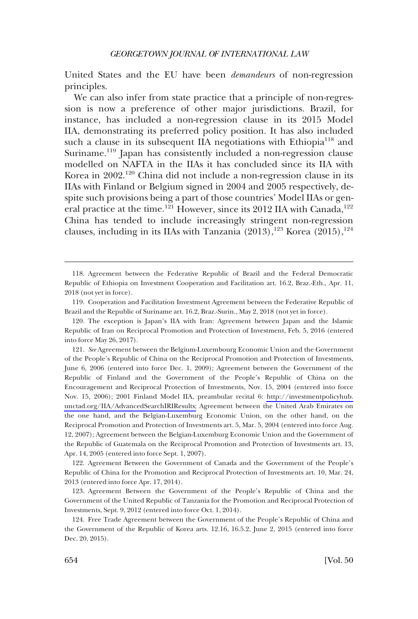United States and the EU have been *demandeurs* of non-regression principles.

We can also infer from state practice that a principle of non-regression is now a preference of other major jurisdictions. Brazil, for instance, has included a non-regression clause in its 2015 Model IIA, demonstrating its preferred policy position. It has also included such a clause in its subsequent IIA negotiations with Ethiopia<sup>118</sup> and Suriname.<sup>119</sup> Japan has consistently included a non-regression clause modelled on NAFTA in the IIAs it has concluded since its IIA with Korea in 2002.<sup>120</sup> China did not include a non-regression clause in its IIAs with Finland or Belgium signed in 2004 and 2005 respectively, despite such provisions being a part of those countries' Model IIAs or general practice at the time.<sup>121</sup> However, since its 2012 IIA with Canada,<sup>122</sup> China has tended to include increasingly stringent non-regression clauses, including in its IIAs with Tanzania  $(2013)$ ,<sup>123</sup> Korea  $(2015)$ ,<sup>124</sup>

<sup>118.</sup> Agreement between the Federative Republic of Brazil and the Federal Democratic Republic of Ethiopia on Investment Cooperation and Facilitation art. 16.2, Braz.-Eth., Apr. 11, 2018 (not yet in force).

<sup>119.</sup> Cooperation and Facilitation Investment Agreement between the Federative Republic of Brazil and the Republic of Suriname art. 16.2, Braz.-Surin., May 2, 2018 (not yet in force).

<sup>120.</sup> The exception is Japan's IIA with Iran: Agreement between Japan and the Islamic Republic of Iran on Reciprocal Promotion and Protection of Investment, Feb. 5, 2016 (entered into force May 26, 2017).

<sup>121.</sup> See Agreement between the Belgium-Luxembourg Economic Union and the Government of the People's Republic of China on the Reciprocal Promotion and Protection of Investments, June 6, 2006 (entered into force Dec. 1, 2009); Agreement between the Government of the Republic of Finland and the Government of the People's Republic of China on the Encouragement and Reciprocal Protection of Investments, Nov. 15, 2004 (entered into force Nov. 15, 2006); 2001 Finland Model IIA, preambular recital 6: [http://investmentpolicyhub.](http://investmentpolicyhub.unctad.org/IIA/AdvancedSearchIRIResults) [unctad.org/IIA/AdvancedSearchIRIResults;](http://investmentpolicyhub.unctad.org/IIA/AdvancedSearchIRIResults) Agreement between the United Arab Emirates on the one hand, and the Belgian-Luxemburg Economic Union, on the other hand, on the Reciprocal Promotion and Protection of Investments art. 5, Mar. 5, 2004 (entered into force Aug. 12, 2007); Agreement between the Belgian-Luxemburg Economic Union and the Government of the Republic of Guatemala on the Reciprocal Promotion and Protection of Investments art. 13, Apr. 14, 2005 (entered into force Sept. 1, 2007).

<sup>122.</sup> Agreement Between the Government of Canada and the Government of the People's Republic of China for the Promotion and Reciprocal Protection of Investments art. 10, Mar. 24, 2013 (entered into force Apr. 17, 2014).

<sup>123.</sup> Agreement Between the Government of the People's Republic of China and the Government of the United Republic of Tanzania for the Promotion and Reciprocal Protection of Investments, Sept. 9, 2012 (entered into force Oct. 1, 2014).

<sup>124.</sup> Free Trade Agreement between the Government of the People's Republic of China and the Government of the Republic of Korea arts. 12.16, 16.5.2, June 2, 2015 (entered into force Dec. 20, 2015).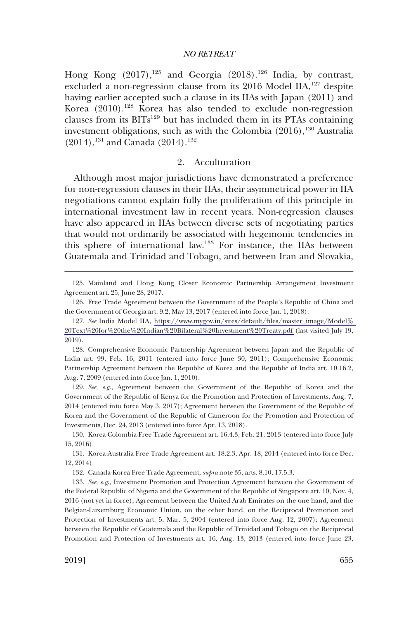<span id="page-30-0"></span>Hong Kong  $(2017),^{125}$  and Georgia  $(2018),^{126}$  India, by contrast, excluded a non-regression clause from its 2016 Model IIA,<sup>127</sup> despite having earlier accepted such a clause in its IIAs with Japan (2011) and Korea (2010).<sup>128</sup> Korea has also tended to exclude non-regression clauses from its  $BITs<sup>129</sup>$  but has included them in its PTAs containing investment obligations, such as with the Colombia  $(2016)$ ,  $^{130}$  Australia  $(2014)$ ,<sup>131</sup> and Canada (2014).<sup>132</sup>

### 2. Acculturation

Although most major jurisdictions have demonstrated a preference for non-regression clauses in their IIAs, their asymmetrical power in IIA negotiations cannot explain fully the proliferation of this principle in international investment law in recent years. Non-regression clauses have also appeared in IIAs between diverse sets of negotiating parties that would not ordinarily be associated with hegemonic tendencies in this sphere of international law.133 For instance, the IIAs between Guatemala and Trinidad and Tobago, and between Iran and Slovakia,

129. *See, e.g*., Agreement between the Government of the Republic of Korea and the Government of the Republic of Kenya for the Promotion and Protection of Investments, Aug. 7, 2014 (entered into force May 3, 2017); Agreement between the Government of the Republic of Korea and the Government of the Republic of Cameroon for the Promotion and Protection of Investments, Dec. 24, 2013 (entered into force Apr. 13, 2018).

132. Canada-Korea Free Trade Agreement, *supra* note 35, arts. 8.10, 17.5.3.

<sup>125.</sup> Mainland and Hong Kong Closer Economic Partnership Arrangement Investment Agreement art. 25, June 28, 2017.

<sup>126.</sup> Free Trade Agreement between the Government of the People's Republic of China and the Government of Georgia art. 9.2, May 13, 2017 (entered into force Jan. 1, 2018).

*See* India Model IIA, [https://www.mygov.in/sites/default/files/master\\_image/Model%](https://www.mygov.in/sites/default/files/master_image/Model%20Text%20for%20the%20Indian%20Bilateral%20Investment%20Treaty.pdf)  127. [20Text%20for%20the%20Indian%20Bilateral%20Investment%20Treaty.pdf](https://www.mygov.in/sites/default/files/master_image/Model%20Text%20for%20the%20Indian%20Bilateral%20Investment%20Treaty.pdf) (last visited July 19, 2019).

<sup>128.</sup> Comprehensive Economic Partnership Agreement between Japan and the Republic of India art. 99, Feb. 16, 2011 (entered into force June 30, 2011); Comprehensive Economic Partnership Agreement between the Republic of Korea and the Republic of India art. 10.16.2, Aug. 7, 2009 (entered into force Jan. 1, 2010).

<sup>130.</sup> Korea-Colombia-Free Trade Agreement art. 16.4.3, Feb. 21, 2013 (entered into force July 15, 2016).

<sup>131.</sup> Korea-Australia Free Trade Agreement art. 18.2.3, Apr. 18, 2014 (entered into force Dec. 12, 2014).

<sup>133.</sup> *See, e.g*., Investment Promotion and Protection Agreement between the Government of the Federal Republic of Nigeria and the Government of the Republic of Singapore art. 10, Nov. 4, 2016 (not yet in force); Agreement between the United Arab Emirates on the one hand, and the Belgian-Luxemburg Economic Union, on the other hand, on the Reciprocal Promotion and Protection of Investments art. 5, Mar. 5, 2004 (entered into force Aug. 12, 2007); Agreement between the Republic of Guatemala and the Republic of Trinidad and Tobago on the Reciprocal Promotion and Protection of Investments art. 16, Aug. 13, 2013 (entered into force June 23,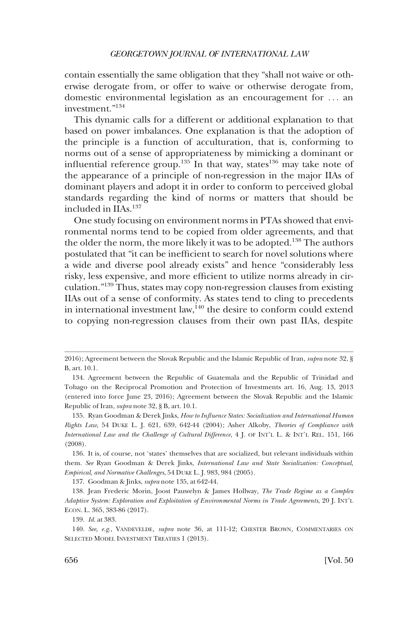contain essentially the same obligation that they "shall not waive or otherwise derogate from, or offer to waive or otherwise derogate from, domestic environmental legislation as an encouragement for . . . an investment."134

This dynamic calls for a different or additional explanation to that based on power imbalances. One explanation is that the adoption of the principle is a function of acculturation, that is, conforming to norms out of a sense of appropriateness by mimicking a dominant or influential reference group.<sup>135</sup> In that way, states<sup>136</sup> may take note of the appearance of a principle of non-regression in the major IIAs of dominant players and adopt it in order to conform to perceived global standards regarding the kind of norms or matters that should be included in IIAs.<sup>137</sup>

One study focusing on environment norms in PTAs showed that environmental norms tend to be copied from older agreements, and that the older the norm, the more likely it was to be adopted.<sup>138</sup> The authors postulated that "it can be inefficient to search for novel solutions where a wide and diverse pool already exists" and hence "considerably less risky, less expensive, and more efficient to utilize norms already in circulation."139 Thus, states may copy non-regression clauses from existing IIAs out of a sense of conformity. As states tend to cling to precedents in international investment law,  $i^{40}$  the desire to conform could extend to copying non-regression clauses from their own past IIAs, despite

<sup>2016);</sup> Agreement between the Slovak Republic and the Islamic Republic of Iran, *supra* note 32, § B, art. 10.1.

<sup>134.</sup> Agreement between the Republic of Guatemala and the Republic of Trinidad and Tobago on the Reciprocal Promotion and Protection of Investments art. 16, Aug. 13, 2013 (entered into force June 23, 2016); Agreement between the Slovak Republic and the Islamic Republic of Iran, *supra* note 32, § B, art. 10.1.

<sup>135.</sup> Ryan Goodman & Derek Jinks, *How to Influence States: Socialization and International Human Rights Law*, 54 DUKE L. J. 621, 639, 642-44 (2004); Asher Alkoby, *Theories of Compliance with International Law and the Challenge of Cultural Difference*, 4 J. OF INT'L L. & INT'L REL. 151, 166 (2008).

<sup>136.</sup> It is, of course, not 'states' themselves that are socialized, but relevant individuals within them. *See* Ryan Goodman & Derek Jinks, *International Law and State Socialization: Conceptual, Empirical, and Normative Challenges*, 54 DUKE L. J. 983, 984 (2005).

<sup>137.</sup> Goodman & Jinks, *supra* note 135, at 642-44.

<sup>138.</sup> Jean Frederic Morin, Joost Pauwelyn & James Hollway, *The Trade Regime as a Complex Adaptive System: Exploration and Exploitation of Environmental Norms in Trade Agreements*, 20 J. INT'L ECON. L. 365, 383-86 (2017).

<sup>139.</sup> *Id*. at 383.

<sup>140.</sup> *See*, *e.g*., VANDEVELDE*, supra* note 36, at 111-12; CHESTER BROWN, COMMENTARIES ON SELECTED MODEL INVESTMENT TREATIES 1 (2013).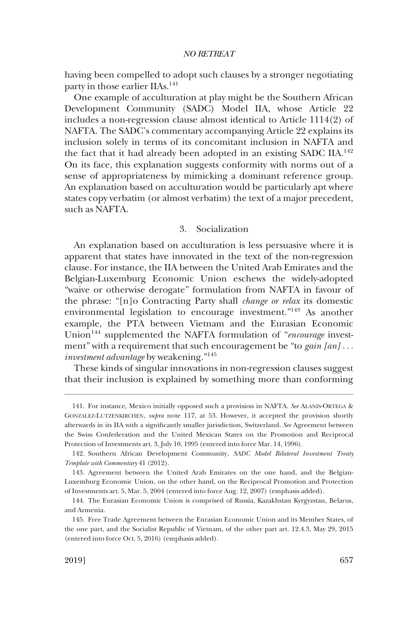<span id="page-32-0"></span>having been compelled to adopt such clauses by a stronger negotiating party in those earlier IIAs.<sup>141</sup>

One example of acculturation at play might be the Southern African Development Community (SADC) Model IIA, whose Article 22 includes a non-regression clause almost identical to Article 1114(2) of NAFTA. The SADC's commentary accompanying Article 22 explains its inclusion solely in terms of its concomitant inclusion in NAFTA and the fact that it had already been adopted in an existing SADC IIA.<sup>142</sup> On its face, this explanation suggests conformity with norms out of a sense of appropriateness by mimicking a dominant reference group. An explanation based on acculturation would be particularly apt where states copy verbatim (or almost verbatim) the text of a major precedent, such as NAFTA.

### 3. Socialization

An explanation based on acculturation is less persuasive where it is apparent that states have innovated in the text of the non-regression clause. For instance, the IIA between the United Arab Emirates and the Belgian-Luxemburg Economic Union eschews the widely-adopted "waive or otherwise derogate" formulation from NAFTA in favour of the phrase: "[n]o Contracting Party shall *change or relax* its domestic environmental legislation to encourage investment."143 As another example, the PTA between Vietnam and the Eurasian Economic Union<sup>144</sup> supplemented the NAFTA formulation of "*encourage* investment" with a requirement that such encouragement be "to *gain [an]* . . . *investment advantage* by weakening."<sup>145</sup>

These kinds of singular innovations in non-regression clauses suggest that their inclusion is explained by something more than conforming

<sup>141.</sup> For instance, Mexico initially opposed such a provision in NAFTA. *See* ALANIS-ORTEGA & GONZALEZ-LUTZENKIRCHEN, *supra* note 117, at 53. However, it accepted the provision shortly afterwards in its IIA with a significantly smaller jurisdiction, Switzerland. *See* Agreement between the Swiss Confederation and the United Mexican States on the Promotion and Reciprocal Protection of Investments art. 3, July 10, 1995 (entered into force Mar. 14, 1996).

<sup>142.</sup> Southern African Development Community, *SADC Model Bilateral Investment Treaty Template with Commentary* 41 (2012).

<sup>143.</sup> Agreement between the United Arab Emirates on the one hand, and the Belgian-Luxemburg Economic Union, on the other hand, on the Reciprocal Promotion and Protection of Investments art. 5, Mar. 5, 2004 (entered into force Aug. 12, 2007) (emphasis added).

<sup>144.</sup> The Eurasian Economic Union is comprised of Russia, Kazakhstan Kyrgyzstan, Belarus, and Armenia.

<sup>145.</sup> Free Trade Agreement between the Eurasian Economic Union and its Member States, of the one part, and the Socialist Republic of Vietnam, of the other part art. 12.4.3, May 29, 2015 (entered into force Oct. 5, 2016) (emphasis added).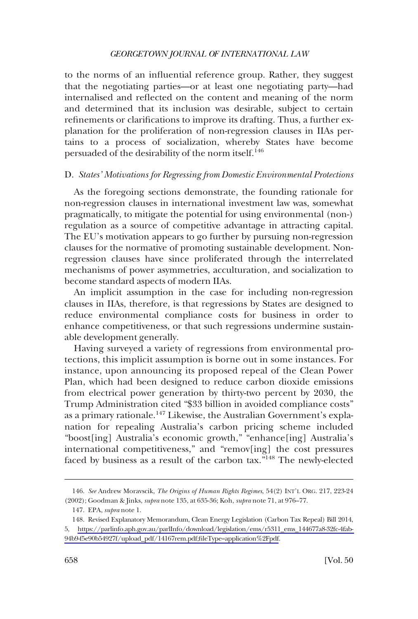<span id="page-33-0"></span>to the norms of an influential reference group. Rather, they suggest that the negotiating parties—or at least one negotiating party—had internalised and reflected on the content and meaning of the norm and determined that its inclusion was desirable, subject to certain refinements or clarifications to improve its drafting. Thus, a further explanation for the proliferation of non-regression clauses in IIAs pertains to a process of socialization, whereby States have become persuaded of the desirability of the norm itself.<sup>146</sup>

#### D. *States' Motivations for Regressing from Domestic Environmental Protections*

As the foregoing sections demonstrate, the founding rationale for non-regression clauses in international investment law was, somewhat pragmatically, to mitigate the potential for using environmental (non-) regulation as a source of competitive advantage in attracting capital. The EU's motivation appears to go further by pursuing non-regression clauses for the normative of promoting sustainable development. Nonregression clauses have since proliferated through the interrelated mechanisms of power asymmetries, acculturation, and socialization to become standard aspects of modern IIAs.

An implicit assumption in the case for including non-regression clauses in IIAs, therefore, is that regressions by States are designed to reduce environmental compliance costs for business in order to enhance competitiveness, or that such regressions undermine sustainable development generally.

Having surveyed a variety of regressions from environmental protections, this implicit assumption is borne out in some instances. For instance, upon announcing its proposed repeal of the Clean Power Plan, which had been designed to reduce carbon dioxide emissions from electrical power generation by thirty-two percent by 2030, the Trump Administration cited "\$33 billion in avoided compliance costs" as a primary rationale.<sup>147</sup> Likewise, the Australian Government's explanation for repealing Australia's carbon pricing scheme included "boost[ing] Australia's economic growth," "enhance[ing] Australia's international competitiveness," and "remov[ing] the cost pressures faced by business as a result of the carbon tax.<sup>7148</sup> The newly-elected

<sup>146.</sup> *See* Andrew Moravscik, *The Origins of Human Rights Regimes*, 54(2) INT'L ORG. 217, 223-24 (2002); Goodman & Jinks, *supra* note 135, at 635-36; Koh, *supra* note 71, at 976–77.

<sup>147.</sup> EPA, *supra* note 1.

<sup>148.</sup> Revised Explanatory Memorandum, Clean Energy Legislation (Carbon Tax Repeal) Bill 2014, 5, [https://parlinfo.aph.gov.au/parlInfo/download/legislation/ems/r5311\\_ems\\_144677a8-32fc-4fab-](https://parlinfo.aph.gov.au/parlInfo/download/legislation/ems/r5311_ems_144677a8-32fc-4fab-94b9-f5e90b54927f/upload_pdf/14167rem.pdf;fileType=application%2Fpdf)[94b9-f5e90b54927f/upload\\_pdf/14167rem.pdf;fileType=application%2Fpdf](https://parlinfo.aph.gov.au/parlInfo/download/legislation/ems/r5311_ems_144677a8-32fc-4fab-94b9-f5e90b54927f/upload_pdf/14167rem.pdf;fileType=application%2Fpdf).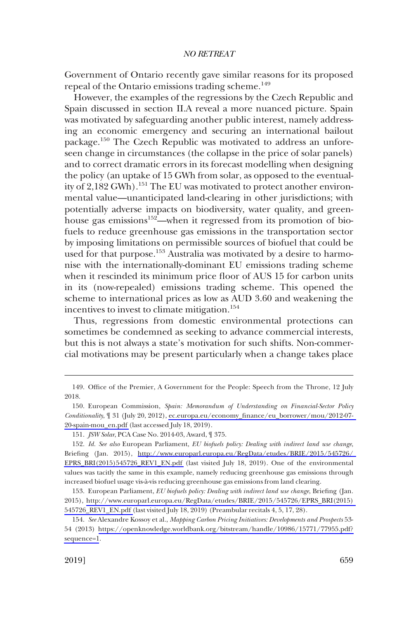Government of Ontario recently gave similar reasons for its proposed repeal of the Ontario emissions trading scheme.<sup>149</sup>

However, the examples of the regressions by the Czech Republic and Spain discussed in section II.A reveal a more nuanced picture. Spain was motivated by safeguarding another public interest, namely addressing an economic emergency and securing an international bailout package.<sup>150</sup> The Czech Republic was motivated to address an unforeseen change in circumstances (the collapse in the price of solar panels) and to correct dramatic errors in its forecast modelling when designing the policy (an uptake of 15 GWh from solar, as opposed to the eventuality of 2,182 GWh).<sup>151</sup> The EU was motivated to protect another environmental value—unanticipated land-clearing in other jurisdictions; with potentially adverse impacts on biodiversity, water quality, and greenhouse gas emissions<sup>152</sup>—when it regressed from its promotion of biofuels to reduce greenhouse gas emissions in the transportation sector by imposing limitations on permissible sources of biofuel that could be used for that purpose.<sup>153</sup> Australia was motivated by a desire to harmonise with the internationally-dominant EU emissions trading scheme when it rescinded its minimum price floor of AUS 15 for carbon units in its (now-repealed) emissions trading scheme. This opened the scheme to international prices as low as AUD 3.60 and weakening the incentives to invest to climate mitigation.<sup>154</sup>

Thus, regressions from domestic environmental protections can sometimes be condemned as seeking to advance commercial interests, but this is not always a state's motivation for such shifts. Non-commercial motivations may be present particularly when a change takes place

<sup>149.</sup> Office of the Premier, A Government for the People: Speech from the Throne, 12 July 2018.

European Commission, *Spain: Memorandum of Understanding on Financial-Sector Policy*  150. *Conditionality*, ¶ 31 (July 20, 2012), [ec.europa.eu/economy\\_finance/eu\\_borrower/mou/2012-07-](ec.europa.eu/economy_finance/eu_borrower/mou/2012-07-20-spain-mou_en.pdf)  [20-spain-mou\\_en.pdf](ec.europa.eu/economy_finance/eu_borrower/mou/2012-07-20-spain-mou_en.pdf) (last accessed July 18, 2019).

<sup>151.</sup> *JSW Solar*, PCA Case No. 2014-03, Award, ¶ 375.

*Id. See also* European Parliament, *EU biofuels policy: Dealing with indirect land use change*, 152. Briefing (Jan. 2015), [http://www.europarl.europa.eu/RegData/etudes/BRIE/2015/545726/](http://www.europarl.europa.eu/RegData/etudes/BRIE/2015/545726/EPRS_BRI(2015)545726_REV1_EN.pdf)  [EPRS\\_BRI\(2015\)545726\\_REV1\\_EN.pdf](http://www.europarl.europa.eu/RegData/etudes/BRIE/2015/545726/EPRS_BRI(2015)545726_REV1_EN.pdf) (last visited July 18, 2019). One of the environmental values was tacitly the same in this example, namely reducing greenhouse gas emissions through increased biofuel usage vis-a`-vis reducing greenhouse gas emissions from land clearing.

European Parliament, *EU biofuels policy: Dealing with indirect land use change*, Briefing (Jan. 153. 2015), [http://www.europarl.europa.eu/RegData/etudes/BRIE/2015/545726/EPRS\\_BRI\(2015\)](http://www.europarl.europa.eu/RegData/etudes/BRIE/2015/545726/EPRS_BRI(2015)545726_REV1_EN.pdf)  [545726\\_REV1\\_EN.pdf](http://www.europarl.europa.eu/RegData/etudes/BRIE/2015/545726/EPRS_BRI(2015)545726_REV1_EN.pdf) (last visited July 18, 2019) (Preambular recitals 4, 5, 17, 28).

*See* Alexandre Kossoy et al., *Mapping Carbon Pricing Initiatives: Developments and Prospects* 53- 154. 54 (2013) [https://openknowledge.worldbank.org/bitstream/handle/10986/15771/77955.pdf?](https://openknowledge.worldbank.org/bitstream/handle/10986/15771/77955.pdf?sequence=1)  [sequence=1](https://openknowledge.worldbank.org/bitstream/handle/10986/15771/77955.pdf?sequence=1).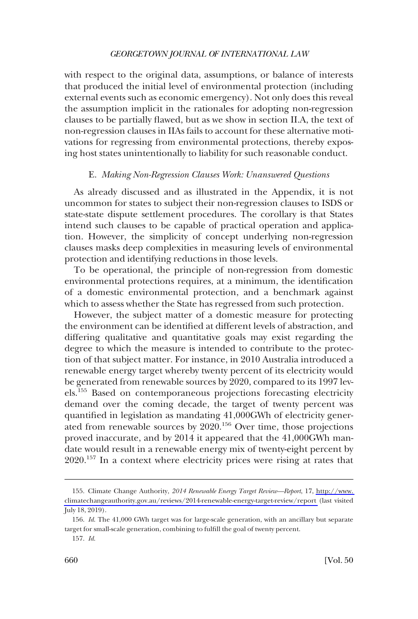<span id="page-35-0"></span>with respect to the original data, assumptions, or balance of interests that produced the initial level of environmental protection (including external events such as economic emergency). Not only does this reveal the assumption implicit in the rationales for adopting non-regression clauses to be partially flawed, but as we show in section II.A, the text of non-regression clauses in IIAs fails to account for these alternative motivations for regressing from environmental protections, thereby exposing host states unintentionally to liability for such reasonable conduct.

#### E. *Making Non-Regression Clauses Work: Unanswered Questions*

As already discussed and as illustrated in the Appendix, it is not uncommon for states to subject their non-regression clauses to ISDS or state-state dispute settlement procedures. The corollary is that States intend such clauses to be capable of practical operation and application. However, the simplicity of concept underlying non-regression clauses masks deep complexities in measuring levels of environmental protection and identifying reductions in those levels.

To be operational, the principle of non-regression from domestic environmental protections requires, at a minimum, the identification of a domestic environmental protection, and a benchmark against which to assess whether the State has regressed from such protection.

However, the subject matter of a domestic measure for protecting the environment can be identified at different levels of abstraction, and differing qualitative and quantitative goals may exist regarding the degree to which the measure is intended to contribute to the protection of that subject matter. For instance, in 2010 Australia introduced a renewable energy target whereby twenty percent of its electricity would be generated from renewable sources by 2020, compared to its 1997 levels.<sup>155</sup> Based on contemporaneous projections forecasting electricity demand over the coming decade, the target of twenty percent was quantified in legislation as mandating 41,000GWh of electricity generated from renewable sources by 2020.156 Over time, those projections proved inaccurate, and by 2014 it appeared that the 41,000GWh mandate would result in a renewable energy mix of twenty-eight percent by 2020.157 In a context where electricity prices were rising at rates that

Climate Change Authority, *2014 Renewable Energy Target Review—Report*, 17, [http://www.](http://www.climatechangeauthority.gov.au/reviews/2014-renewable-energy-target-review/report)  155. [climatechangeauthority.gov.au/reviews/2014-renewable-energy-target-review/report](http://www.climatechangeauthority.gov.au/reviews/2014-renewable-energy-target-review/report) (last visited July 18, 2019).

<sup>156.</sup> *Id*. The 41,000 GWh target was for large-scale generation, with an ancillary but separate target for small-scale generation, combining to fulfill the goal of twenty percent.

<sup>157.</sup> *Id*.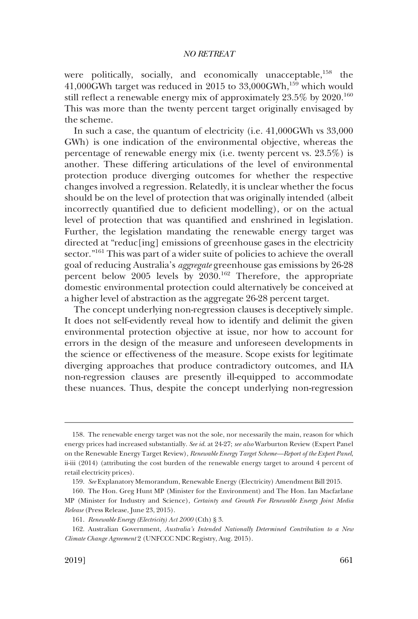were politically, socially, and economically unacceptable,<sup>158</sup> the 41,000GWh target was reduced in 2015 to  $33,000$ GWh,<sup>159</sup> which would still reflect a renewable energy mix of approximately 23.5% by 2020.<sup>160</sup> This was more than the twenty percent target originally envisaged by the scheme.

In such a case, the quantum of electricity (i.e. 41,000GWh vs 33,000 GWh) is one indication of the environmental objective, whereas the percentage of renewable energy mix (i.e. twenty percent vs. 23.5%) is another. These differing articulations of the level of environmental protection produce diverging outcomes for whether the respective changes involved a regression. Relatedly, it is unclear whether the focus should be on the level of protection that was originally intended (albeit incorrectly quantified due to deficient modelling), or on the actual level of protection that was quantified and enshrined in legislation. Further, the legislation mandating the renewable energy target was directed at "reduc[ing] emissions of greenhouse gases in the electricity sector."<sup>161</sup> This was part of a wider suite of policies to achieve the overall goal of reducing Australia's *aggregate* greenhouse gas emissions by 26-28 percent below 2005 levels by 2030.162 Therefore, the appropriate domestic environmental protection could alternatively be conceived at a higher level of abstraction as the aggregate 26-28 percent target.

The concept underlying non-regression clauses is deceptively simple. It does not self-evidently reveal how to identify and delimit the given environmental protection objective at issue, nor how to account for errors in the design of the measure and unforeseen developments in the science or effectiveness of the measure. Scope exists for legitimate diverging approaches that produce contradictory outcomes, and IIA non-regression clauses are presently ill-equipped to accommodate these nuances. Thus, despite the concept underlying non-regression

<sup>158.</sup> The renewable energy target was not the sole, nor necessarily the main, reason for which energy prices had increased substantially. *See id*. at 24-27; *see also* Warburton Review (Expert Panel on the Renewable Energy Target Review), *Renewable Energy Target Scheme—Report of the Expert Panel*, ii-iii (2014) (attributing the cost burden of the renewable energy target to around 4 percent of retail electricity prices).

<sup>159.</sup> *See* Explanatory Memorandum, Renewable Energy (Electricity) Amendment Bill 2015.

<sup>160.</sup> The Hon. Greg Hunt MP (Minister for the Environment) and The Hon. Ian Macfarlane MP (Minister for Industry and Science), *Certainty and Growth For Renewable Energy Joint Media Release* (Press Release, June 23, 2015).

<sup>161.</sup> *Renewable Energy (Electricity) Act 2000* (Cth) § 3.

<sup>162.</sup> Australian Government, *Australia's Intended Nationally Determined Contribution to a New Climate Change Agreement* 2 (UNFCCC NDC Registry, Aug. 2015).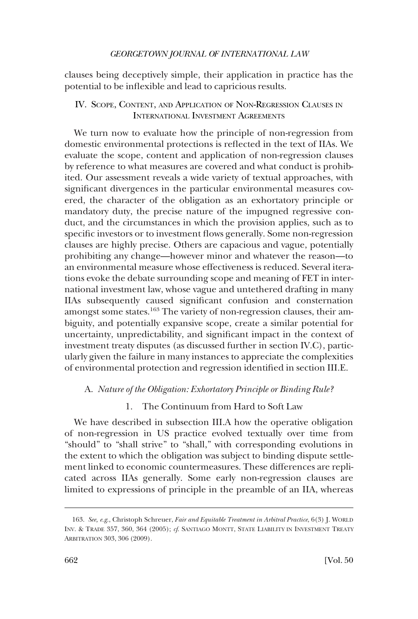clauses being deceptively simple, their application in practice has the potential to be inflexible and lead to capricious results.

# IV. SCOPE, CONTENT, AND APPLICATION OF NON-REGRESSION CLAUSES IN INTERNATIONAL INVESTMENT AGREEMENTS

We turn now to evaluate how the principle of non-regression from domestic environmental protections is reflected in the text of IIAs. We evaluate the scope, content and application of non-regression clauses by reference to what measures are covered and what conduct is prohibited. Our assessment reveals a wide variety of textual approaches, with significant divergences in the particular environmental measures covered, the character of the obligation as an exhortatory principle or mandatory duty, the precise nature of the impugned regressive conduct, and the circumstances in which the provision applies, such as to specific investors or to investment flows generally. Some non-regression clauses are highly precise. Others are capacious and vague, potentially prohibiting any change—however minor and whatever the reason—to an environmental measure whose effectiveness is reduced. Several iterations evoke the debate surrounding scope and meaning of FET in international investment law, whose vague and untethered drafting in many IIAs subsequently caused significant confusion and consternation amongst some states.<sup>163</sup> The variety of non-regression clauses, their ambiguity, and potentially expansive scope, create a similar potential for uncertainty, unpredictability, and significant impact in the context of investment treaty disputes (as discussed further in section IV.C), particularly given the failure in many instances to appreciate the complexities of environmental protection and regression identified in section III.E.

## A. *Nature of the Obligation: Exhortatory Principle or Binding Rule?*

# 1. The Continuum from Hard to Soft Law

We have described in subsection III.A how the operative obligation of non-regression in US practice evolved textually over time from "should" to "shall strive" to "shall," with corresponding evolutions in the extent to which the obligation was subject to binding dispute settlement linked to economic countermeasures. These differences are replicated across IIAs generally. Some early non-regression clauses are limited to expressions of principle in the preamble of an IIA, whereas

<sup>163.</sup> *See, e.g*., Christoph Schreuer, *Fair and Equitable Treatment in Arbitral Practice*, 6(3) J. WORLD INV. & TRADE 357, 360, 364 (2005); *cf*. SANTIAGO MONTT, STATE LIABILITY IN INVESTMENT TREATY ARBITRATION 303, 306 (2009).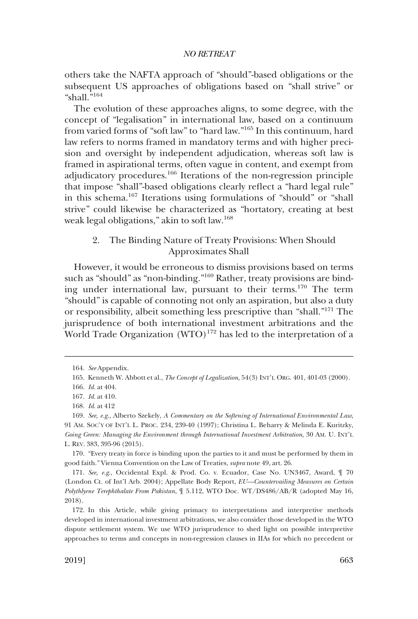others take the NAFTA approach of "should"-based obligations or the subsequent US approaches of obligations based on "shall strive" or "shall."164

The evolution of these approaches aligns, to some degree, with the concept of "legalisation" in international law, based on a continuum from varied forms of "soft law" to "hard law."165 In this continuum, hard law refers to norms framed in mandatory terms and with higher precision and oversight by independent adjudication, whereas soft law is framed in aspirational terms, often vague in content, and exempt from adjudicatory procedures.166 Iterations of the non-regression principle that impose "shall"-based obligations clearly reflect a "hard legal rule" in this schema.167 Iterations using formulations of "should" or "shall strive" could likewise be characterized as "hortatory, creating at best weak legal obligations," akin to soft law.168

# 2. The Binding Nature of Treaty Provisions: When Should Approximates Shall

However, it would be erroneous to dismiss provisions based on terms such as "should" as "non-binding."169 Rather, treaty provisions are binding under international law, pursuant to their terms.170 The term "should" is capable of connoting not only an aspiration, but also a duty or responsibility, albeit something less prescriptive than "shall."171 The jurisprudence of both international investment arbitrations and the World Trade Organization  $(WTO)^{172}$  has led to the interpretation of a

170. "Every treaty in force is binding upon the parties to it and must be performed by them in good faith." Vienna Convention on the Law of Treaties, *supra* note 49, art. 26.

171. *See, e.g*., Occidental Expl. & Prod. Co. v. Ecuador, Case No. UN3467, Award, ¶ 70 (London Ct. of Int'l Arb. 2004); Appellate Body Report, *EU—Countervailing Measures on Certain Polythlyene Terephthalate From Pakistan*, ¶ 5.112, WTO Doc. WT/DS486/AB/R (adopted May 16, 2018).

<sup>164.</sup> *See* Appendix.

<sup>165.</sup> Kenneth W. Abbott et al., *The Concept of Legalization*, 54(3) INT'L ORG. 401, 401-03 (2000).

<sup>166.</sup> *Id*. at 404.

<sup>167.</sup> *Id*. at 410.

<sup>168.</sup> *Id*. at 412

<sup>169.</sup> *See, e.g*., Alberto Szekely, *A Commentary on the Softening of International Environmental Law*, 91 AM. SOC'Y OF INT'L L. PROC. 234, 239-40 (1997); Christina L. Beharry & Melinda E. Kuritzky, *Going Green: Managing the Environment through International Investment Arbitration*, 30 AM. U. INT'L L. REV. 383, 395-96 (2015).

<sup>172.</sup> In this Article, while giving primacy to interpretations and interpretive methods developed in international investment arbitrations, we also consider those developed in the WTO dispute settlement system. We use WTO jurisprudence to shed light on possible interpretive approaches to terms and concepts in non-regression clauses in IIAs for which no precedent or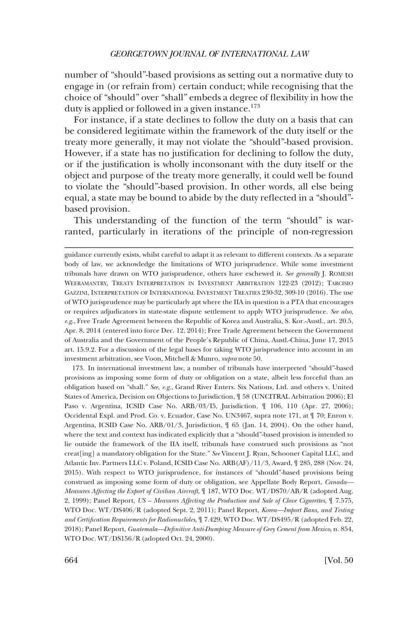number of "should"-based provisions as setting out a normative duty to engage in (or refrain from) certain conduct; while recognising that the choice of "should" over "shall" embeds a degree of flexibility in how the duty is applied or followed in a given instance.<sup>173</sup>

For instance, if a state declines to follow the duty on a basis that can be considered legitimate within the framework of the duty itself or the treaty more generally, it may not violate the "should"-based provision. However, if a state has no justification for declining to follow the duty, or if the justification is wholly inconsonant with the duty itself or the object and purpose of the treaty more generally, it could well be found to violate the "should"-based provision. In other words, all else being equal, a state may be bound to abide by the duty reflected in a "should" based provision.

This understanding of the function of the term "should" is warranted, particularly in iterations of the principle of non-regression

173. In international investment law, a number of tribunals have interpreted "should"-based provisions as imposing some form of duty or obligation on a state, albeit less forceful than an obligation based on "shall." *See, e.g*., Grand River Enters. Six Nations, Ltd. and others v. United States of America, Decision on Objections to Jurisdiction, ¶ 58 (UNCITRAL Arbitration 2006); El Paso v. Argentina, ICSID Case No. ARB/03/15, Jurisdiction,  $\parallel$  106, 110 (Apr. 27, 2006); Occidental Expl. and Prod. Co. v. Ecuador, Case No. UN3467, supra note 171, at ¶ 70; Enron v. Argentina, ICSID Case No. ARB/01/3, Jurisdiction, ¶ 65 (Jan. 14, 2004). On the other hand, where the text and context has indicated explicitly that a "should"-based provision is intended to lie outside the framework of the IIA itself, tribunals have construed such provisions as "not creat[ing] a mandatory obligation for the State." *See* Vincent J. Ryan, Schooner Capital LLC, and Atlantic Inv. Partners LLC v. Poland, ICSID Case No. ARB(AF)/11/3, Award, ¶ 285, 288 (Nov. 24, 2015). With respect to WTO jurisprudence, for instances of "should"-based provisions being construed as imposing some form of duty or obligation, see Appellate Body Report, *Canada— Measures Affecting the Export of Civilian Aircraft*, ¶ 187, WTO Doc. WT/DS70/AB/R (adopted Aug. 2, 1999); Panel Report, *US – Measures Affecting the Production and Sale of Clove Cigarettes*, ¶ 7.575, WTO Doc. WT/DS406/R (adopted Sept. 2, 2011); Panel Report, *Korea—Import Bans, and Testing and Certification Requirements for Radionuclides*, ¶ 7.429, WTO Doc. WT/DS495/R (adopted Feb. 22, 2018); Panel Report, *Guatemala—Definitive Anti-Dumping Measure of Grey Cement from Mexico*, n. 854, WTO Doc. WT/DS156/R (adopted Oct. 24, 2000).

guidance currently exists, whilst careful to adapt it as relevant to different contexts. As a separate body of law, we acknowledge the limitations of WTO jurisprudence. While some investment tribunals have drawn on WTO jurisprudence, others have eschewed it. *See generally* J. ROMESH WEERAMANTRY, TREATY INTERPRETATION IN INVESTMENT ARBITRATION 122-23 (2012); TARCISIO GAZZINI, INTERPRETATION OF INTERNATIONAL INVESTMENT TREATIES 230-32, 309-10 (2016). The use of WTO jurisprudence may be particularly apt where the IIA in question is a PTA that encourages or requires adjudicators in state-state dispute settlement to apply WTO jurisprudence. *See also, e.g*., Free Trade Agreement between the Republic of Korea and Australia, S. Kor.-Austl., art. 20.5, Apr. 8, 2014 (entered into force Dec. 12, 2014); Free Trade Agreement between the Government of Australia and the Government of the People's Republic of China, Austl.-China, June 17, 2015 art. 15.9.2. For a discussion of the legal bases for taking WTO jurisprudence into account in an investment arbitration, see Voon, Mitchell & Munro, *supra* note 50.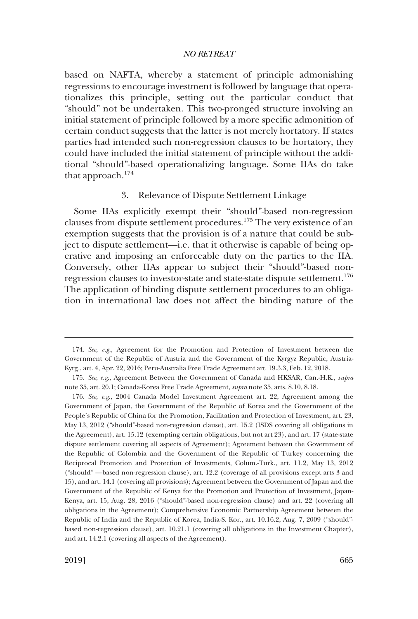based on NAFTA, whereby a statement of principle admonishing regressions to encourage investment is followed by language that operationalizes this principle, setting out the particular conduct that "should" not be undertaken. This two-pronged structure involving an initial statement of principle followed by a more specific admonition of certain conduct suggests that the latter is not merely hortatory. If states parties had intended such non-regression clauses to be hortatory, they could have included the initial statement of principle without the additional "should"-based operationalizing language. Some IIAs do take that approach.<sup>174</sup>

## 3. Relevance of Dispute Settlement Linkage

Some IIAs explicitly exempt their "should"-based non-regression clauses from dispute settlement procedures.175 The very existence of an exemption suggests that the provision is of a nature that could be subject to dispute settlement—i.e. that it otherwise is capable of being operative and imposing an enforceable duty on the parties to the IIA. Conversely, other IIAs appear to subject their "should"-based nonregression clauses to investor-state and state-state dispute settlement.<sup>176</sup> The application of binding dispute settlement procedures to an obligation in international law does not affect the binding nature of the

<sup>174.</sup> *See, e.g*., Agreement for the Promotion and Protection of Investment between the Government of the Republic of Austria and the Government of the Kyrgyz Republic, Austria-Kyrg., art. 4, Apr. 22, 2016; Peru-Australia Free Trade Agreement art. 19.3.3, Feb. 12, 2018.

<sup>175.</sup> *See*, *e.g*., Agreement Between the Government of Canada and HKSAR, Can.-H.K., *supra*  note 35, art. 20.1; Canada-Korea Free Trade Agreement, *supra* note 35, arts. 8.10, 8.18.

<sup>176.</sup> *See, e.g*., 2004 Canada Model Investment Agreement art. 22; Agreement among the Government of Japan, the Government of the Republic of Korea and the Government of the People's Republic of China for the Promotion, Facilitation and Protection of Investment, art. 23, May 13, 2012 ("should"-based non-regression clause), art. 15.2 (ISDS covering all obligations in the Agreement), art. 15.12 (exempting certain obligations, but not art 23), and art. 17 (state-state dispute settlement covering all aspects of Agreement); Agreement between the Government of the Republic of Colombia and the Government of the Republic of Turkey concerning the Reciprocal Promotion and Protection of Investments, Colum.-Turk., art. 11.2, May 13, 2012 ("should" —based non-regression clause), art. 12.2 (coverage of all provisions except arts 3 and 15), and art. 14.1 (covering all provisions); Agreement between the Government of Japan and the Government of the Republic of Kenya for the Promotion and Protection of Investment, Japan-Kenya, art. 15, Aug. 28, 2016 ("should"-based non-regression clause) and art. 22 (covering all obligations in the Agreement); Comprehensive Economic Partnership Agreement between the Republic of India and the Republic of Korea, India-S. Kor., art. 10.16.2, Aug. 7, 2009 ("should" based non-regression clause), art. 10.21.1 (covering all obligations in the Investment Chapter), and art. 14.2.1 (covering all aspects of the Agreement).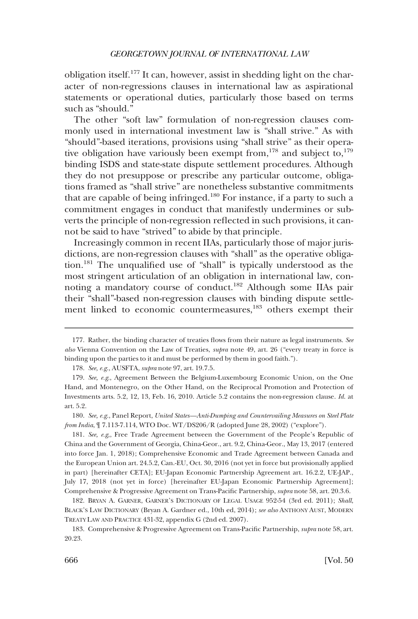obligation itself.177 It can, however, assist in shedding light on the character of non-regressions clauses in international law as aspirational statements or operational duties, particularly those based on terms such as "should."

The other "soft law" formulation of non-regression clauses commonly used in international investment law is "shall strive." As with "should"-based iterations, provisions using "shall strive" as their operative obligation have variously been exempt from,<sup>178</sup> and subject to,<sup>179</sup> binding ISDS and state-state dispute settlement procedures. Although they do not presuppose or prescribe any particular outcome, obligations framed as "shall strive" are nonetheless substantive commitments that are capable of being infringed.<sup>180</sup> For instance, if a party to such a commitment engages in conduct that manifestly undermines or subverts the principle of non-regression reflected in such provisions, it cannot be said to have "strived" to abide by that principle.

Increasingly common in recent IIAs, particularly those of major jurisdictions, are non-regression clauses with "shall" as the operative obligation.181 The unqualified use of "shall" is typically understood as the most stringent articulation of an obligation in international law, connoting a mandatory course of conduct.182 Although some IIAs pair their "shall"-based non-regression clauses with binding dispute settlement linked to economic countermeasures,<sup>183</sup> others exempt their

181. *See, e.g*,, Free Trade Agreement between the Government of the People's Republic of China and the Government of Georgia, China-Geor., art. 9.2, China-Geor., May 13, 2017 (entered into force Jan. 1, 2018); Comprehensive Economic and Trade Agreement between Canada and the European Union art. 24.5.2, Can.-EU, Oct. 30, 2016 (not yet in force but provisionally applied in part) [hereinafter CETA]; EU-Japan Economic Partnership Agreement art. 16.2.2, UE-JAP., July 17, 2018 (not yet in force) [hereinafter EU-Japan Economic Partnership Agreement]; Comprehensive & Progressive Agreement on Trans-Pacific Partnership, *supra* note 58, art. 20.3.6.

<sup>177.</sup> Rather, the binding character of treaties flows from their nature as legal instruments. *See also* Vienna Convention on the Law of Treaties, *supra* note 49, art. 26 ("every treaty in force is binding upon the parties to it and must be performed by them in good faith.").

<sup>178.</sup> *See, e.g*., AUSFTA, *supra* note 97, art. 19.7.5.

<sup>179.</sup> *See, e.g*., Agreement Between the Belgium-Luxembourg Economic Union, on the One Hand, and Montenegro, on the Other Hand, on the Reciprocal Promotion and Protection of Investments arts. 5.2, 12, 13, Feb. 16, 2010. Article 5.2 contains the non-regression clause. *Id*. at art. 5.2.

<sup>180.</sup> *See, e.g*., Panel Report, *United States—Anti-Dumping and Countervailing Measures on Steel Plate from India*, ¶ 7.113-7.114, WTO Doc. WT/DS206/R (adopted June 28, 2002) ("explore").

<sup>182.</sup> BRYAN A. GARNER, GARNER'S DICTIONARY OF LEGAL USAGE 952-54 (3rd ed. 2011); *Shall*, BLACK'S LAW DICTIONARY (Bryan A. Gardner ed., 10th ed, 2014); *see also* ANTHONY AUST, MODERN TREATY LAW AND PRACTICE 431-32, appendix G (2nd ed. 2007).

<sup>183.</sup> Comprehensive & Progressive Agreement on Trans-Pacific Partnership, *supra* note 58, art. 20.23.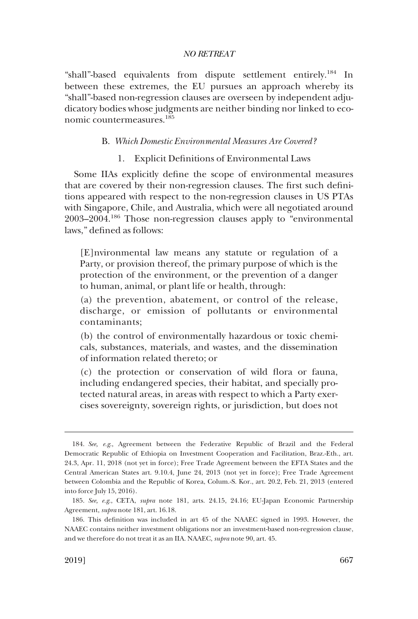"shall"-based equivalents from dispute settlement entirely.<sup>184</sup> In between these extremes, the EU pursues an approach whereby its "shall"-based non-regression clauses are overseen by independent adjudicatory bodies whose judgments are neither binding nor linked to economic countermeasures.185

#### B. *Which Domestic Environmental Measures Are Covered?*

1. Explicit Definitions of Environmental Laws

Some IIAs explicitly define the scope of environmental measures that are covered by their non-regression clauses. The first such definitions appeared with respect to the non-regression clauses in US PTAs with Singapore, Chile, and Australia, which were all negotiated around 2003–2004.186 Those non-regression clauses apply to "environmental laws," defined as follows:

[E]nvironmental law means any statute or regulation of a Party, or provision thereof, the primary purpose of which is the protection of the environment, or the prevention of a danger to human, animal, or plant life or health, through:

(a) the prevention, abatement, or control of the release, discharge, or emission of pollutants or environmental contaminants;

(b) the control of environmentally hazardous or toxic chemicals, substances, materials, and wastes, and the dissemination of information related thereto; or

(c) the protection or conservation of wild flora or fauna, including endangered species, their habitat, and specially protected natural areas, in areas with respect to which a Party exercises sovereignty, sovereign rights, or jurisdiction, but does not

<sup>184.</sup> *See, e.g*., Agreement between the Federative Republic of Brazil and the Federal Democratic Republic of Ethiopia on Investment Cooperation and Facilitation, Braz.-Eth., art. 24.3, Apr. 11, 2018 (not yet in force); Free Trade Agreement between the EFTA States and the Central American States art. 9.10.4, June 24, 2013 (not yet in force); Free Trade Agreement between Colombia and the Republic of Korea, Colum.-S. Kor., art. 20.2, Feb. 21, 2013 (entered into force July 15, 2016).

<sup>185.</sup> *See, e.g*., CETA, *supra* note 181, arts. 24.15, 24.16; EU-Japan Economic Partnership Agreement, *supra* note 181, art. 16.18.

<sup>186.</sup> This definition was included in art 45 of the NAAEC signed in 1993. However, the NAAEC contains neither investment obligations nor an investment-based non-regression clause, and we therefore do not treat it as an IIA. NAAEC, *supra* note 90, art. 45.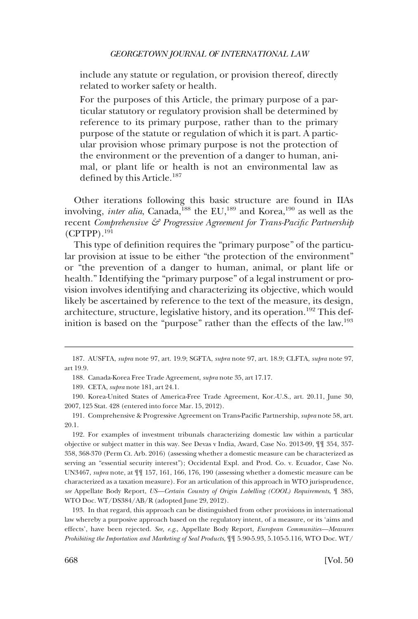include any statute or regulation, or provision thereof, directly related to worker safety or health.

For the purposes of this Article, the primary purpose of a particular statutory or regulatory provision shall be determined by reference to its primary purpose, rather than to the primary purpose of the statute or regulation of which it is part. A particular provision whose primary purpose is not the protection of the environment or the prevention of a danger to human, animal, or plant life or health is not an environmental law as defined by this Article.<sup>187</sup>

Other iterations following this basic structure are found in IIAs involving, *inter alia*, Canada,<sup>188</sup> the EU,<sup>189</sup> and Korea,<sup>190</sup> as well as the recent *Comprehensive & Progressive Agreement for Trans-Pacific Partnership*   $(CPTPP)$ <sup>191</sup>

This type of definition requires the "primary purpose" of the particular provision at issue to be either "the protection of the environment" or "the prevention of a danger to human, animal, or plant life or health." Identifying the "primary purpose" of a legal instrument or provision involves identifying and characterizing its objective, which would likely be ascertained by reference to the text of the measure, its design, architecture, structure, legislative history, and its operation.<sup>192</sup> This definition is based on the "purpose" rather than the effects of the law.193

189. CETA, *supra* note 181, art 24.1.

192. For examples of investment tribunals characterizing domestic law within a particular objective or subject matter in this way. See Devas v India, Award, Case No. 2013-09, ¶¶ 354, 357- 358, 368-370 (Perm Ct. Arb. 2016) (assessing whether a domestic measure can be characterized as serving an "essential security interest"); Occidental Expl. and Prod. Co. v. Ecuador, Case No. UN3467, *supra* note, at ¶¶ 157, 161, 166, 176, 190 (assessing whether a domestic measure can be characterized as a taxation measure). For an articulation of this approach in WTO jurisprudence, *see* Appellate Body Report, *US—Certain Country of Origin Labelling (COOL) Requirements*, ¶ 385, WTO Doc. WT/DS384/AB/R (adopted June 29, 2012).

193. In that regard, this approach can be distinguished from other provisions in international law whereby a purposive approach based on the regulatory intent, of a measure, or its 'aims and effects', have been rejected. *See, e.g*., Appellate Body Report, *European Communities—Measures Prohibiting the Importation and Marketing of Seal Products*, ¶¶ 5.90-5.93, 5.105-5.116, WTO Doc. WT/

<sup>187.</sup> AUSFTA, *supra* note 97, art. 19.9; SGFTA, *supra* note 97, art. 18.9; CLFTA, *supra* note 97, art 19.9.

<sup>188.</sup> Canada-Korea Free Trade Agreement, *supra* note 35, art 17.17.

<sup>190.</sup> Korea-United States of America-Free Trade Agreement, Kor.-U.S., art. 20.11, June 30, 2007, 125 Stat. 428 (entered into force Mar. 15, 2012).

<sup>191.</sup> Comprehensive & Progressive Agreement on Trans-Pacific Partnership, *supra* note 58, art. 20.1.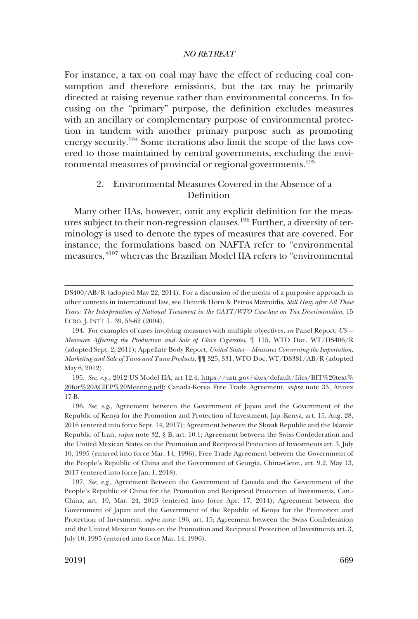For instance, a tax on coal may have the effect of reducing coal consumption and therefore emissions, but the tax may be primarily directed at raising revenue rather than environmental concerns. In focusing on the "primary" purpose, the definition excludes measures with an ancillary or complementary purpose of environmental protection in tandem with another primary purpose such as promoting energy security.<sup>194</sup> Some iterations also limit the scope of the laws covered to those maintained by central governments, excluding the environmental measures of provincial or regional governments.<sup>195</sup>

# 2. Environmental Measures Covered in the Absence of a Definition

Many other IIAs, however, omit any explicit definition for the measures subject to their non-regression clauses.196 Further, a diversity of terminology is used to denote the types of measures that are covered. For instance, the formulations based on NAFTA refer to "environmental measures,"197 whereas the Brazilian Model IIA refers to "environmental

DS400/AB/R (adopted May 22, 2014). For a discussion of the merits of a purposive approach in other contexts in international law, see Heinrik Horn & Petros Mavroidis, *Still Hazy after All These Years: The Interpretation of National Treatment in the GATT/WTO Case-law on Tax Discrimination*, 15 EURO. J. INT'L L. 39, 55-62 (2004).

<sup>194.</sup> For examples of cases involving measures with multiple objectives, *see* Panel Report, *US— Measures Affecting the Production and Sale of Clove Cigarettes*, ¶ 115, WTO Doc. WT/DS406/R (adopted Sept. 2, 2011); Appellate Body Report, *United States—Measures Concerning the Importation, Marketing and Sale of Tuna and Tuna Products*, ¶¶ 325, 331, WTO Doc. WT/DS381/AB/R (adopted May 6, 2012).

<sup>195.</sup> See, e.g., 2012 US Model IIA, art 12.4, https://ustr.gov/sites/default/files/BIT%20text% [20for%20ACIEP%20Meeting.pdf](https://ustr.gov/sites/default/files/BIT%20text%20for%20ACIEP%20Meeting.pdf); Canada-Korea Free Trade Agreement, *supra* note 35, Annex 17-B.

<sup>196.</sup> *See, e.g*., Agreement between the Government of Japan and the Government of the Republic of Kenya for the Promotion and Protection of Investment, Jap.-Kenya, art. 15, Aug. 28, 2016 (entered into force Sept. 14, 2017); Agreement between the Slovak Republic and the Islamic Republic of Iran, *supra* note 32, § B, art. 10.1; Agreement between the Swiss Confederation and the United Mexican States on the Promotion and Reciprocal Protection of Investments art. 3, July 10, 1995 (entered into force Mar. 14, 1996); Free Trade Agreement between the Government of the People's Republic of China and the Government of Georgia, China-Geor., art. 9.2, May 13, 2017 (entered into force Jan. 1, 2018).

<sup>197.</sup> *See, e.g*,, Agreement Between the Government of Canada and the Government of the People's Republic of China for the Promotion and Reciprocal Protection of Investments, Can.- China, art. 10, Mar. 24, 2013 (entered into force Apr. 17, 2014); Agreement between the Government of Japan and the Government of the Republic of Kenya for the Promotion and Protection of Investment, *supra* note 196, art. 15; Agreement between the Swiss Confederation and the United Mexican States on the Promotion and Reciprocal Protection of Investments art. 3, July 10, 1995 (entered into force Mar. 14, 1996).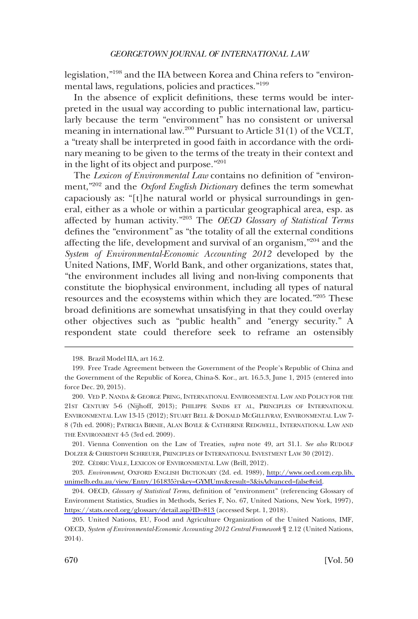legislation,"198 and the IIA between Korea and China refers to "environmental laws, regulations, policies and practices."<sup>199</sup>

In the absence of explicit definitions, these terms would be interpreted in the usual way according to public international law, particularly because the term "environment" has no consistent or universal meaning in international law.200 Pursuant to Article 31(1) of the VCLT, a "treaty shall be interpreted in good faith in accordance with the ordinary meaning to be given to the terms of the treaty in their context and in the light of its object and purpose."201

The *Lexicon of Environmental Law* contains no definition of "environment,"202 and the *Oxford English Dictionary* defines the term somewhat capaciously as: "[t]he natural world or physical surroundings in general, either as a whole or within a particular geographical area, esp. as affected by human activity."<sup>203</sup> The *OECD Glossary of Statistical Terms*  defines the "environment" as "the totality of all the external conditions affecting the life, development and survival of an organism,"<sup>204</sup> and the *System of Environmental-Economic Accounting 2012* developed by the United Nations, IMF, World Bank, and other organizations, states that, "the environment includes all living and non-living components that constitute the biophysical environment, including all types of natural resources and the ecosystems within which they are located."205 These broad definitions are somewhat unsatisfying in that they could overlay other objectives such as "public health" and "energy security." A respondent state could therefore seek to reframe an ostensibly

202. CÉDRIC VIALE, LEXICON OF ENVIRONMENTAL LAW (Brill, 2012).

*Environment,* OXFORD ENGLISH DICTIONARY (2d. ed. 1989), [http://www.oed.com.ezp.lib.](http://www.oed.com.ezp.lib.unimelb.edu.au/view/Entry/161835?rskey=GYMUmv&result=3&isAdvanced=false#eid)  203. [unimelb.edu.au/view/Entry/161835?rskey=GYMUmv&result=3&isAdvanced=false#eid.](http://www.oed.com.ezp.lib.unimelb.edu.au/view/Entry/161835?rskey=GYMUmv&result=3&isAdvanced=false#eid)

<sup>198.</sup> Brazil Model IIA, art 16.2.

<sup>199.</sup> Free Trade Agreement between the Government of the People's Republic of China and the Government of the Republic of Korea, China-S. Kor., art. 16.5.3, June 1, 2015 (entered into force Dec. 20, 2015).

<sup>200.</sup> VED P. NANDA & GEORGE PRING, INTERNATIONAL ENVIRONMENTAL LAW AND POLICY FOR THE 21ST CENTURY 5-6 (Nijhoff, 2013); PHILIPPE SANDS ET AL, PRINCIPLES OF INTERNATIONAL ENVIRONMENTAL LAW 13-15 (2012); STUART BELL & DONALD MCGILLIVRAY, ENVIRONMENTAL LAW 7- 8 (7th ed. 2008); PATRICIA BIRNIE, ALAN BOYLE & CATHERINE REDGWELL, INTERNATIONAL LAW AND THE ENVIRONMENT 4-5 (3rd ed. 2009).

<sup>201.</sup> Vienna Convention on the Law of Treaties*, supra* note 49, art 31.1. *See also* RUDOLF DOLZER & CHRISTOPH SCHREUER, PRINCIPLES OF INTERNATIONAL INVESTMENT LAW 30 (2012).

<sup>204.</sup> OECD, *Glossary of Statistical Terms*, definition of "environment" (referencing Glossary of Environment Statistics, Studies in Methods, Series F, No. 67, United Nations, New York, 1997), <https://stats.oecd.org/glossary/detail.asp?ID=813>(accessed Sept. 1, 2018).

<sup>205.</sup> United Nations, EU, Food and Agriculture Organization of the United Nations, IMF, OECD, *System of Environmental-Economic Accounting 2012 Central Framework* ¶ 2.12 (United Nations, 2014).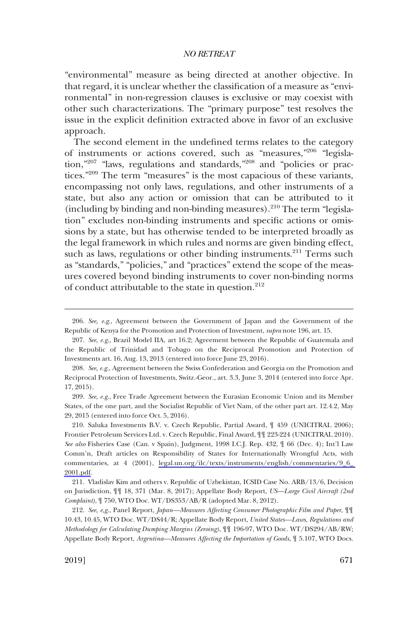"environmental" measure as being directed at another objective. In that regard, it is unclear whether the classification of a measure as "environmental" in non-regression clauses is exclusive or may coexist with other such characterizations. The "primary purpose" test resolves the issue in the explicit definition extracted above in favor of an exclusive approach.

The second element in the undefined terms relates to the category of instruments or actions covered, such as "measures,"206 "legislation,"207 "laws, regulations and standards,"208 and "policies or practices."209 The term "measures" is the most capacious of these variants, encompassing not only laws, regulations, and other instruments of a state, but also any action or omission that can be attributed to it (including by binding and non-binding measures).<sup>210</sup> The term "legislation" excludes non-binding instruments and specific actions or omissions by a state, but has otherwise tended to be interpreted broadly as the legal framework in which rules and norms are given binding effect, such as laws, regulations or other binding instruments. $211$  Terms such as "standards," "policies," and "practices" extend the scope of the measures covered beyond binding instruments to cover non-binding norms of conduct attributable to the state in question.<sup>212</sup>

209. *See, e.g*., Free Trade Agreement between the Eurasian Economic Union and its Member States, of the one part, and the Socialist Republic of Viet Nam, of the other part art. 12.4.2, May 29, 2015 (entered into force Oct. 5, 2016).

210. Saluka Investments B.V. v. Czech Republic, Partial Award,  $\parallel$  459 (UNICITRAL 2006); Frontier Petroleum Services Ltd. v. Czech Republic, Final Award, ¶¶ 223-224 (UNICITRAL 2010). *See also* Fisheries Case (Can. v Spain), Judgment, 1998 I.C.J. Rep. 432, ¶ 66 (Dec. 4); Int'l Law Comm'n, Draft articles on Responsibility of States for Internationally Wrongful Acts, with commentaries, at 4 (2001), [legal.un.org/ilc/texts/instruments/english/commentaries/9\\_6\\_](legal.un.org/ilc/texts/instruments/english/commentaries/9_6_2001.pdf)  [2001.pdf.](legal.un.org/ilc/texts/instruments/english/commentaries/9_6_2001.pdf)

211. Vladislav Kim and others v. Republic of Uzbekistan, ICSID Case No. ARB/13/6, Decision on Jurisdiction, ¶¶ 18, 371 (Mar. 8, 2017); Appellate Body Report, *US—Large Civil Aircraft (2nd Complaint)*, ¶ 750, WTO Doc. WT/DS353/AB/R (adopted Mar. 8, 2012).

212. *See, e,g*., Panel Report, *Japan—Measures Affecting Consumer Photographic Film and Paper*, ¶¶ 10.43, 10.45, WTO Doc. WT/DS44/R; Appellate Body Report, *United States—Laws, Regulations and Methodology for Calculating Dumping Margins (Zeroing)*, ¶¶ 196-97, WTO Doc. WT/DS294/AB/RW; Appellate Body Report, *Argentina—Measures Affecting the Importation of Goods*, ¶ 5.107, WTO Docs.

<sup>206.</sup> *See, e.g*., Agreement between the Government of Japan and the Government of the Republic of Kenya for the Promotion and Protection of Investment, *supra* note 196, art. 15.

<sup>207.</sup> *See, e.g*., Brazil Model IIA, art 16.2; Agreement between the Republic of Guatemala and the Republic of Trinidad and Tobago on the Reciprocal Promotion and Protection of Investments art. 16, Aug. 13, 2013 (entered into force June 23, 2016).

<sup>208.</sup> *See, e.g*., Agreement between the Swiss Confederation and Georgia on the Promotion and Reciprocal Protection of Investments, Switz.-Geor., art. 3.3, June 3, 2014 (entered into force Apr. 17, 2015).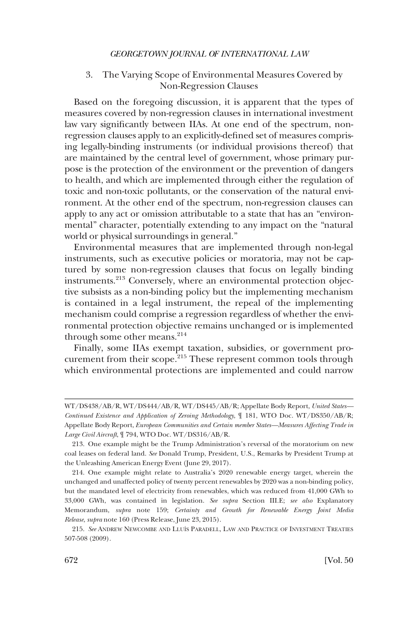# 3. The Varying Scope of Environmental Measures Covered by Non-Regression Clauses

Based on the foregoing discussion, it is apparent that the types of measures covered by non-regression clauses in international investment law vary significantly between IIAs. At one end of the spectrum, nonregression clauses apply to an explicitly-defined set of measures comprising legally-binding instruments (or individual provisions thereof) that are maintained by the central level of government, whose primary purpose is the protection of the environment or the prevention of dangers to health, and which are implemented through either the regulation of toxic and non-toxic pollutants, or the conservation of the natural environment. At the other end of the spectrum, non-regression clauses can apply to any act or omission attributable to a state that has an "environmental" character, potentially extending to any impact on the "natural world or physical surroundings in general."

Environmental measures that are implemented through non-legal instruments, such as executive policies or moratoria, may not be captured by some non-regression clauses that focus on legally binding instruments.<sup>213</sup> Conversely, where an environmental protection objective subsists as a non-binding policy but the implementing mechanism is contained in a legal instrument, the repeal of the implementing mechanism could comprise a regression regardless of whether the environmental protection objective remains unchanged or is implemented through some other means. $214$ 

Finally, some IIAs exempt taxation, subsidies, or government procurement from their scope.<sup>215</sup> These represent common tools through which environmental protections are implemented and could narrow

WT/DS438/AB/R, WT/DS444/AB/R, WT/DS445/AB/R; Appellate Body Report, *United States— Continued Existence and Application of Zeroing Methodology*, ¶ 181, WTO Doc. WT/DS350/AB/R; Appellate Body Report, *European Communities and Certain member States—Measures Affecting Trade in Large Civil Aircraft*, ¶ 794, WTO Doc. WT/DS316/AB/R.

<sup>213.</sup> One example might be the Trump Administration's reversal of the moratorium on new coal leases on federal land. *See* Donald Trump, President, U.S., Remarks by President Trump at the Unleashing American Energy Event (June 29, 2017).

<sup>214.</sup> One example might relate to Australia's 2020 renewable energy target, wherein the unchanged and unaffected policy of twenty percent renewables by 2020 was a non-binding policy, but the mandated level of electricity from renewables, which was reduced from 41,000 GWh to 33,000 GWh, was contained in legislation. *See supra* Section III.E; *see also* Explanatory Memorandum, *supra* note 159; *Certainty and Growth for Renewable Energy Joint Media Release*, *supra* note 160 (Press Release, June 23, 2015).

<sup>215.</sup> *See* ANDREW NEWCOMBE AND LLUI´S PARADELL, LAW AND PRACTICE OF INVESTMENT TREATIES 507-508 (2009).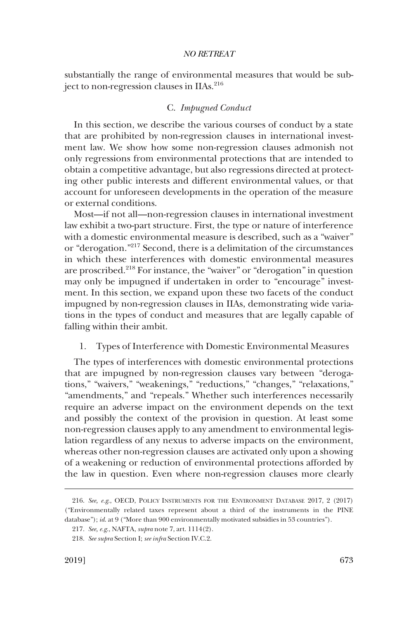substantially the range of environmental measures that would be subject to non-regression clauses in IIAs.<sup>216</sup>

#### C. *Impugned Conduct*

In this section, we describe the various courses of conduct by a state that are prohibited by non-regression clauses in international investment law. We show how some non-regression clauses admonish not only regressions from environmental protections that are intended to obtain a competitive advantage, but also regressions directed at protecting other public interests and different environmental values, or that account for unforeseen developments in the operation of the measure or external conditions.

Most—if not all—non-regression clauses in international investment law exhibit a two-part structure. First, the type or nature of interference with a domestic environmental measure is described, such as a "waiver" or "derogation."217 Second, there is a delimitation of the circumstances in which these interferences with domestic environmental measures are proscribed.218 For instance, the "waiver" or "derogation" in question may only be impugned if undertaken in order to "encourage" investment. In this section, we expand upon these two facets of the conduct impugned by non-regression clauses in IIAs, demonstrating wide variations in the types of conduct and measures that are legally capable of falling within their ambit.

#### 1. Types of Interference with Domestic Environmental Measures

The types of interferences with domestic environmental protections that are impugned by non-regression clauses vary between "derogations," "waivers," "weakenings," "reductions," "changes," "relaxations," "amendments," and "repeals." Whether such interferences necessarily require an adverse impact on the environment depends on the text and possibly the context of the provision in question. At least some non-regression clauses apply to any amendment to environmental legislation regardless of any nexus to adverse impacts on the environment, whereas other non-regression clauses are activated only upon a showing of a weakening or reduction of environmental protections afforded by the law in question. Even where non-regression clauses more clearly

<sup>216.</sup> *See, e.g*., OECD, POLICY INSTRUMENTS FOR THE ENVIRONMENT DATABASE 2017, 2 (2017) ("Environmentally related taxes represent about a third of the instruments in the PINE database"); *id*. at 9 ("More than 900 environmentally motivated subsidies in 53 countries").

<sup>217.</sup> *See, e.g*., NAFTA, *supra* note 7, art. 1114(2).

<sup>218.</sup> *See supra* Section I; *see infra* Section IV.C.2.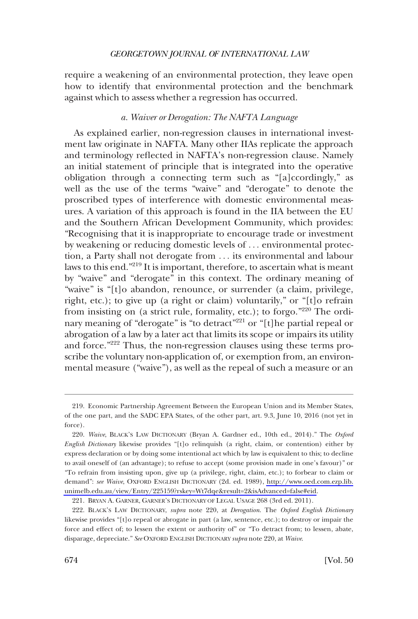require a weakening of an environmental protection, they leave open how to identify that environmental protection and the benchmark against which to assess whether a regression has occurred.

#### *a. Waiver or Derogation: The NAFTA Language*

As explained earlier, non-regression clauses in international investment law originate in NAFTA. Many other IIAs replicate the approach and terminology reflected in NAFTA's non-regression clause. Namely an initial statement of principle that is integrated into the operative obligation through a connecting term such as "[a]ccordingly," as well as the use of the terms "waive" and "derogate" to denote the proscribed types of interference with domestic environmental measures. A variation of this approach is found in the IIA between the EU and the Southern African Development Community, which provides: "Recognising that it is inappropriate to encourage trade or investment by weakening or reducing domestic levels of . . . environmental protection, a Party shall not derogate from . . . its environmental and labour laws to this end."219 It is important, therefore, to ascertain what is meant by "waive" and "derogate" in this context. The ordinary meaning of "waive" is "[t]o abandon, renounce, or surrender (a claim, privilege, right, etc.); to give up (a right or claim) voluntarily," or "[t]o refrain from insisting on (a strict rule, formality, etc.); to forgo."220 The ordinary meaning of "derogate" is "to detract<sup>"221</sup> or "[t] he partial repeal or abrogation of a law by a later act that limits its scope or impairs its utility and force."222 Thus, the non-regression clauses using these terms proscribe the voluntary non-application of, or exemption from, an environmental measure ("waive"), as well as the repeal of such a measure or an

<sup>219.</sup> Economic Partnership Agreement Between the European Union and its Member States, of the one part, and the SADC EPA States, of the other part, art. 9.3, June 10, 2016 (not yet in force).

*Waive*, BLACK'S LAW DICTIONARY (Bryan A. Gardner ed., 10th ed., 2014)." The *Oxford*  220. *English Dictionary* likewise provides "[t]o relinquish (a right, claim, or contention) either by express declaration or by doing some intentional act which by law is equivalent to this; to decline to avail oneself of (an advantage); to refuse to accept (some provision made in one's favour)" or "To refrain from insisting upon, give up (a privilege, right, claim, etc.); to forbear to claim or demand": *see Waive*, OXFORD ENGLISH DICTIONARY (2d. ed. 1989), [http://www.oed.com.ezp.lib.](http://www.oed.com.ezp.lib.unimelb.edu.au/view/Entry/225159?rskey=Wt7dqe&result=2&isAdvanced=false#eid) [unimelb.edu.au/view/Entry/225159?rskey=Wt7dqe&result=2&isAdvanced=false#eid](http://www.oed.com.ezp.lib.unimelb.edu.au/view/Entry/225159?rskey=Wt7dqe&result=2&isAdvanced=false#eid).

<sup>221.</sup> BRYAN A. GARNER, GARNER'S DICTIONARY OF LEGAL USAGE 268 (3rd ed. 2011).

<sup>222.</sup> BLACK'S LAW DICTIONARY, *supra* note 220, at *Derogation*. The *Oxford English Dictionary*  likewise provides "[t]o repeal or abrogate in part (a law, sentence, etc.); to destroy or impair the force and effect of; to lessen the extent or authority of" or "To detract from; to lessen, abate, disparage, depreciate." *See* OXFORD ENGLISH DICTIONARY *supra* note 220, at *Waive*.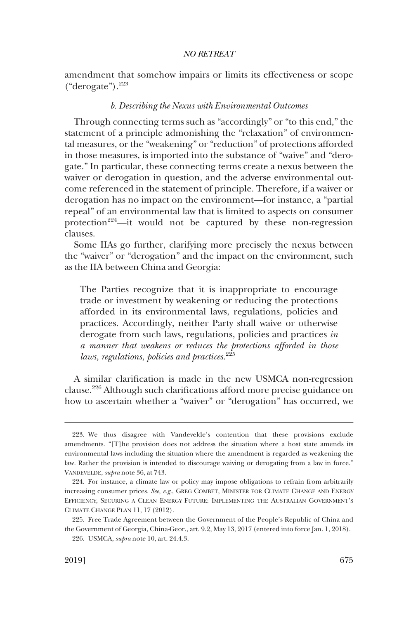amendment that somehow impairs or limits its effectiveness or scope  $("deregrate").<sup>223</sup>$ 

#### *b. Describing the Nexus with Environmental Outcomes*

Through connecting terms such as "accordingly" or "to this end," the statement of a principle admonishing the "relaxation" of environmental measures, or the "weakening" or "reduction" of protections afforded in those measures, is imported into the substance of "waive" and "derogate." In particular, these connecting terms create a nexus between the waiver or derogation in question, and the adverse environmental outcome referenced in the statement of principle. Therefore, if a waiver or derogation has no impact on the environment—for instance, a "partial repeal" of an environmental law that is limited to aspects on consumer protection<sup>224</sup>—it would not be captured by these non-regression clauses.

Some IIAs go further, clarifying more precisely the nexus between the "waiver" or "derogation" and the impact on the environment, such as the IIA between China and Georgia:

The Parties recognize that it is inappropriate to encourage trade or investment by weakening or reducing the protections afforded in its environmental laws, regulations, policies and practices. Accordingly, neither Party shall waive or otherwise derogate from such laws, regulations, policies and practices *in a manner that weakens or reduces the protections afforded in those laws, regulations, policies and practices*. 225

A similar clarification is made in the new USMCA non-regression clause.226 Although such clarifications afford more precise guidance on how to ascertain whether a "waiver" or "derogation" has occurred, we

<sup>223.</sup> We thus disagree with Vandevelde's contention that these provisions exclude amendments. "[T]he provision does not address the situation where a host state amends its environmental laws including the situation where the amendment is regarded as weakening the law. Rather the provision is intended to discourage waiving or derogating from a law in force." VANDEVELDE, *supra* note 36, at 743.

<sup>224.</sup> For instance, a climate law or policy may impose obligations to refrain from arbitrarily increasing consumer prices. *See, e.g*., GREG COMBET, MINISTER FOR CLIMATE CHANGE AND ENERGY EFFICIENCY, SECURING A CLEAN ENERGY FUTURE: IMPLEMENTING THE AUSTRALIAN GOVERNMENT'S CLIMATE CHANGE PLAN 11, 17 (2012).

<sup>225.</sup> Free Trade Agreement between the Government of the People's Republic of China and the Government of Georgia, China-Geor., art. 9.2, May 13, 2017 (entered into force Jan. 1, 2018). 226. USMCA, *supra* note 10, art. 24.4.3.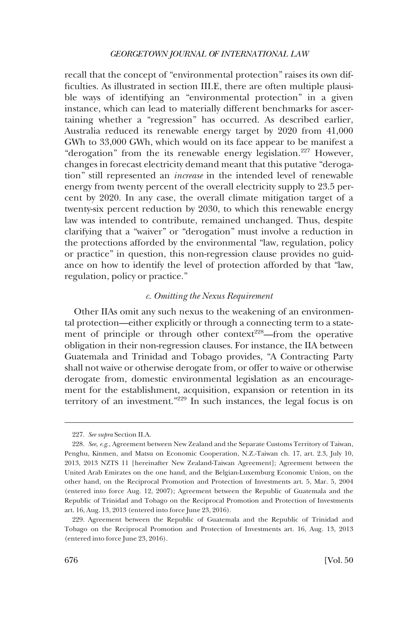recall that the concept of "environmental protection" raises its own difficulties. As illustrated in section III.E, there are often multiple plausible ways of identifying an "environmental protection" in a given instance, which can lead to materially different benchmarks for ascertaining whether a "regression" has occurred. As described earlier, Australia reduced its renewable energy target by 2020 from 41,000 GWh to 33,000 GWh, which would on its face appear to be manifest a "derogation" from the its renewable energy legislation.<sup>227</sup> However, changes in forecast electricity demand meant that this putative "derogation" still represented an *increase* in the intended level of renewable energy from twenty percent of the overall electricity supply to 23.5 percent by 2020. In any case, the overall climate mitigation target of a twenty-six percent reduction by 2030, to which this renewable energy law was intended to contribute, remained unchanged. Thus, despite clarifying that a "waiver" or "derogation" must involve a reduction in the protections afforded by the environmental "law, regulation, policy or practice" in question, this non-regression clause provides no guidance on how to identify the level of protection afforded by that "law, regulation, policy or practice."

### *c. Omitting the Nexus Requirement*

Other IIAs omit any such nexus to the weakening of an environmental protection—either explicitly or through a connecting term to a statement of principle or through other context<sup>228</sup>—from the operative obligation in their non-regression clauses. For instance, the IIA between Guatemala and Trinidad and Tobago provides, "A Contracting Party shall not waive or otherwise derogate from, or offer to waive or otherwise derogate from, domestic environmental legislation as an encouragement for the establishment, acquisition, expansion or retention in its territory of an investment."229 In such instances, the legal focus is on

<sup>227.</sup> *See supra* Section II.A.

<sup>228.</sup> *See, e.g*., Agreement between New Zealand and the Separate Customs Territory of Taiwan, Penghu, Kinmen, and Matsu on Economic Cooperation, N.Z.-Taiwan ch. 17, art. 2.3, July 10, 2013, 2013 NZTS 11 [hereinafter New Zealand-Taiwan Agreement]; Agreement between the United Arab Emirates on the one hand, and the Belgian-Luxemburg Economic Union, on the other hand, on the Reciprocal Promotion and Protection of Investments art. 5, Mar. 5, 2004 (entered into force Aug. 12, 2007); Agreement between the Republic of Guatemala and the Republic of Trinidad and Tobago on the Reciprocal Promotion and Protection of Investments art. 16, Aug. 13, 2013 (entered into force June 23, 2016).

<sup>229.</sup> Agreement between the Republic of Guatemala and the Republic of Trinidad and Tobago on the Reciprocal Promotion and Protection of Investments art. 16, Aug. 13, 2013 (entered into force June 23, 2016).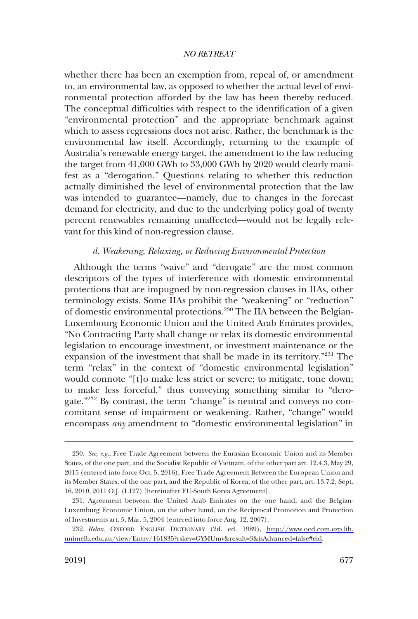whether there has been an exemption from, repeal of, or amendment to, an environmental law, as opposed to whether the actual level of environmental protection afforded by the law has been thereby reduced. The conceptual difficulties with respect to the identification of a given "environmental protection" and the appropriate benchmark against which to assess regressions does not arise. Rather, the benchmark is the environmental law itself. Accordingly, returning to the example of Australia's renewable energy target, the amendment to the law reducing the target from 41,000 GWh to 33,000 GWh by 2020 would clearly manifest as a "derogation." Questions relating to whether this reduction actually diminished the level of environmental protection that the law was intended to guarantee—namely, due to changes in the forecast demand for electricity, and due to the underlying policy goal of twenty percent renewables remaining unaffected—would not be legally relevant for this kind of non-regression clause.

### *d. Weakening, Relaxing, or Reducing Environmental Protection*

Although the terms "waive" and "derogate" are the most common descriptors of the types of interference with domestic environmental protections that are impugned by non-regression clauses in IIAs, other terminology exists. Some IIAs prohibit the "weakening" or "reduction" of domestic environmental protections.230 The IIA between the Belgian-Luxembourg Economic Union and the United Arab Emirates provides, "No Contracting Party shall change or relax its domestic environmental legislation to encourage investment, or investment maintenance or the expansion of the investment that shall be made in its territory."231 The term "relax" in the context of "domestic environmental legislation" would connote "[t]o make less strict or severe; to mitigate, tone down; to make less forceful," thus conveying something similar to "derogate."<sup>232</sup> By contrast, the term "change" is neutral and conveys no concomitant sense of impairment or weakening. Rather, "change" would encompass *any* amendment to "domestic environmental legislation" in

<sup>230.</sup> *See, e.g*., Free Trade Agreement between the Eurasian Economic Union and its Member States, of the one part, and the Socialist Republic of Vietnam, of the other part art. 12.4.3, May 29, 2015 (entered into force Oct. 5, 2016); Free Trade Agreement Between the European Union and its Member States, of the one part, and the Republic of Korea, of the other part, art. 13.7.2, Sept. 16, 2010, 2011 O.J. (L127) [hereinafter EU-South Korea Agreement].

<sup>231.</sup> Agreement between the United Arab Emirates on the one hand, and the Belgian-Luxemburg Economic Union, on the other hand, on the Reciprocal Promotion and Protection of Investments art. 5, Mar. 5, 2004 (entered into force Aug. 12, 2007).

*Relax*, OXFORD ENGLISH DICTIONARY (2d. ed. 1989), [http://www.oed.com.ezp.lib.](http://www.oed.com.ezp.lib.unimelb.edu.au/view/Entry/161835?rskey=GYMUmv&result=3&isAdvanced=false#eid) 232. [unimelb.edu.au/view/Entry/161835?rskey=GYMUmv&result=3&isAdvanced=false#eid.](http://www.oed.com.ezp.lib.unimelb.edu.au/view/Entry/161835?rskey=GYMUmv&result=3&isAdvanced=false#eid)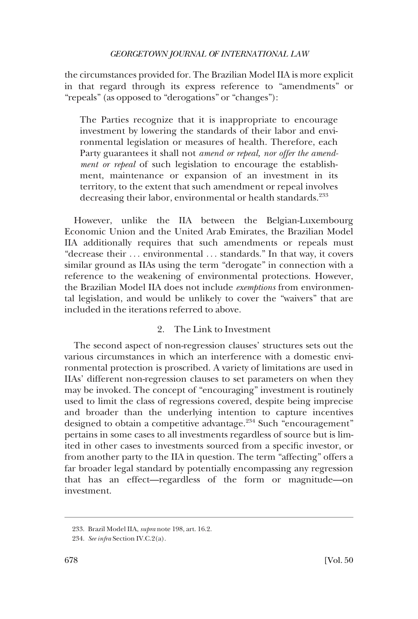the circumstances provided for. The Brazilian Model IIA is more explicit in that regard through its express reference to "amendments" or "repeals" (as opposed to "derogations" or "changes"):

The Parties recognize that it is inappropriate to encourage investment by lowering the standards of their labor and environmental legislation or measures of health. Therefore, each Party guarantees it shall not *amend or repeal, nor offer the amendment or repeal* of such legislation to encourage the establishment, maintenance or expansion of an investment in its territory, to the extent that such amendment or repeal involves decreasing their labor, environmental or health standards.<sup>233</sup>

However, unlike the IIA between the Belgian-Luxembourg Economic Union and the United Arab Emirates, the Brazilian Model IIA additionally requires that such amendments or repeals must "decrease their ... environmental ... standards." In that way, it covers similar ground as IIAs using the term "derogate" in connection with a reference to the weakening of environmental protections. However, the Brazilian Model IIA does not include *exemptions* from environmental legislation, and would be unlikely to cover the "waivers" that are included in the iterations referred to above.

# 2. The Link to Investment

The second aspect of non-regression clauses' structures sets out the various circumstances in which an interference with a domestic environmental protection is proscribed. A variety of limitations are used in IIAs' different non-regression clauses to set parameters on when they may be invoked. The concept of "encouraging" investment is routinely used to limit the class of regressions covered, despite being imprecise and broader than the underlying intention to capture incentives designed to obtain a competitive advantage.<sup>234</sup> Such "encouragement" pertains in some cases to all investments regardless of source but is limited in other cases to investments sourced from a specific investor, or from another party to the IIA in question. The term "affecting" offers a far broader legal standard by potentially encompassing any regression that has an effect—regardless of the form or magnitude—on investment.

<sup>233.</sup> Brazil Model IIA, *supra* note 198, art. 16.2.

<sup>234.</sup> *See infra* Section IV.C.2(a).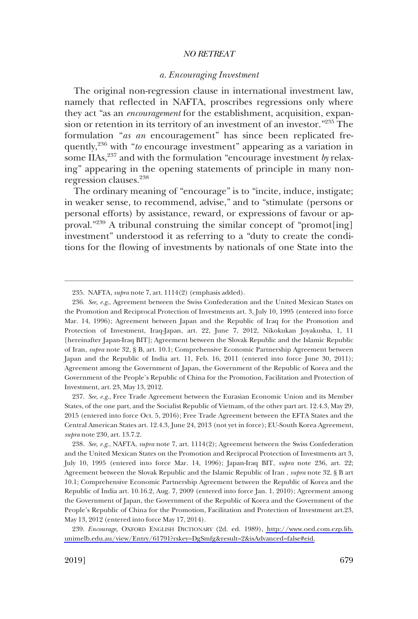#### *a. Encouraging Investment*

The original non-regression clause in international investment law, namely that reflected in NAFTA, proscribes regressions only where they act "as an *encouragement* for the establishment, acquisition, expansion or retention in its territory of an investment of an investor."235 The formulation "*as an* encouragement" has since been replicated frequently,236 with "*to* encourage investment" appearing as a variation in some IIAs,<sup>237</sup> and with the formulation "encourage investment *by* relaxing" appearing in the opening statements of principle in many nonregression clauses.238

The ordinary meaning of "encourage" is to "incite, induce, instigate; in weaker sense, to recommend, advise," and to "stimulate (persons or personal efforts) by assistance, reward, or expressions of favour or approval."<sup>239</sup> A tribunal construing the similar concept of "promot[ing] investment" understood it as referring to a "duty to create the conditions for the flowing of investments by nationals of one State into the

237. *See, e.g*., Free Trade Agreement between the Eurasian Economic Union and its Member States, of the one part, and the Socialist Republic of Vietnam, of the other part art. 12.4.3, May 29, 2015 (entered into force Oct. 5, 2016); Free Trade Agreement between the EFTA States and the Central American States art. 12.4.3, June 24, 2013 (not yet in force); EU-South Korea Agreement, *supra* note 230, art. 13.7.2.

238. *See, e.g*., NAFTA, *supra* note 7, art. 1114(2); Agreement between the Swiss Confederation and the United Mexican States on the Promotion and Reciprocal Protection of Investments art 3, July 10, 1995 (entered into force Mar. 14, 1996); Japan-Iraq BIT, *supra* note 236, art. 22; Agreement between the Slovak Republic and the Islamic Republic of Iran , *supra* note 32, § B art 10.1; Comprehensive Economic Partnership Agreement between the Republic of Korea and the Republic of India art. 10.16.2, Aug. 7, 2009 (entered into force Jan. 1, 2010); Agreement among the Government of Japan, the Government of the Republic of Korea and the Government of the People's Republic of China for the Promotion, Facilitation and Protection of Investment art.23, May 13, 2012 (entered into force May 17, 2014).

*Encourage*, OXFORD ENGLISH DICTIONARY (2d. ed. 1989), [http://www.oed.com.ezp.lib.](http://www.oed.com.ezp.lib.unimelb.edu.au/view/Entry/61791?rskey=DgSmfg&result=2&isAdvanced=false#eid) 239. [unimelb.edu.au/view/Entry/61791?rskey=DgSmfg&result=2&isAdvanced=false#eid.](http://www.oed.com.ezp.lib.unimelb.edu.au/view/Entry/61791?rskey=DgSmfg&result=2&isAdvanced=false#eid)

<sup>235.</sup> NAFTA, *supra* note 7, art. 1114(2) (emphasis added).

<sup>236.</sup> *See, e.g*., Agreement between the Swiss Confederation and the United Mexican States on the Promotion and Reciprocal Protection of Investments art. 3, July 10, 1995 (entered into force Mar. 14, 1996); Agreement between Japan and the Republic of Iraq for the Promotion and Protection of Investment, Iraq-Japan, art. 22, June 7, 2012, Nikokukan Joyakusha, 1, 11 [hereinafter Japan-Iraq BIT]; Agreement between the Slovak Republic and the Islamic Republic of Iran, *supra* note 32, § B, art. 10.1; Comprehensive Economic Partnership Agreement between Japan and the Republic of India art. 11, Feb. 16, 2011 (entered into force June 30, 2011); Agreement among the Government of Japan, the Government of the Republic of Korea and the Government of the People's Republic of China for the Promotion, Facilitation and Protection of Investment, art. 23, May 13, 2012.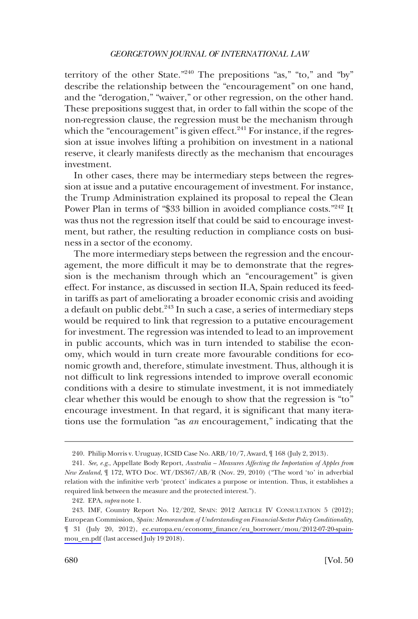territory of the other State."240 The prepositions "as," "to," and "by" describe the relationship between the "encouragement" on one hand, and the "derogation," "waiver," or other regression, on the other hand. These prepositions suggest that, in order to fall within the scope of the non-regression clause, the regression must be the mechanism through which the "encouragement" is given effect. $241$  For instance, if the regression at issue involves lifting a prohibition on investment in a national reserve, it clearly manifests directly as the mechanism that encourages investment.

In other cases, there may be intermediary steps between the regression at issue and a putative encouragement of investment. For instance, the Trump Administration explained its proposal to repeal the Clean Power Plan in terms of "\$33 billion in avoided compliance costs."<sup>242</sup> It was thus not the regression itself that could be said to encourage investment, but rather, the resulting reduction in compliance costs on business in a sector of the economy.

The more intermediary steps between the regression and the encouragement, the more difficult it may be to demonstrate that the regression is the mechanism through which an "encouragement" is given effect. For instance, as discussed in section II.A, Spain reduced its feedin tariffs as part of ameliorating a broader economic crisis and avoiding a default on public debt. $^{243}$  In such a case, a series of intermediary steps would be required to link that regression to a putative encouragement for investment. The regression was intended to lead to an improvement in public accounts, which was in turn intended to stabilise the economy, which would in turn create more favourable conditions for economic growth and, therefore, stimulate investment. Thus, although it is not difficult to link regressions intended to improve overall economic conditions with a desire to stimulate investment, it is not immediately clear whether this would be enough to show that the regression is "to" encourage investment. In that regard, it is significant that many iterations use the formulation "as *an* encouragement," indicating that the

<sup>240.</sup> Philip Morris v. Uruguay, ICSID Case No. ARB/10/7, Award, ¶ 168 (July 2, 2013).

<sup>241.</sup> *See, e.g*., Appellate Body Report, *Australia – Measures Affecting the Importation of Apples from New Zealand*, ¶ 172, WTO Doc. WT/DS367/AB/R (Nov. 29, 2010) ("The word 'to' in adverbial relation with the infinitive verb 'protect' indicates a purpose or intention. Thus, it establishes a required link between the measure and the protected interest.").

<sup>242.</sup> EPA, *supra* note 1.

<sup>243.</sup> IMF, Country Report No. 12/202, SPAIN: 2012 ARTICLE IV CONSULTATION 5 (2012); European Commission, *Spain: Memorandum of Understanding on Financial-Sector Policy Conditionality*, ¶ 31 (July 20, 2012), [ec.europa.eu/economy\\_finance/eu\\_borrower/mou/2012-07-20-spain](ec.europa.eu/economy_finance/eu_borrower/mou/2012-07-20-spain-mou_en.pdf)[mou\\_en.pdf](ec.europa.eu/economy_finance/eu_borrower/mou/2012-07-20-spain-mou_en.pdf) (last accessed July 19 2018).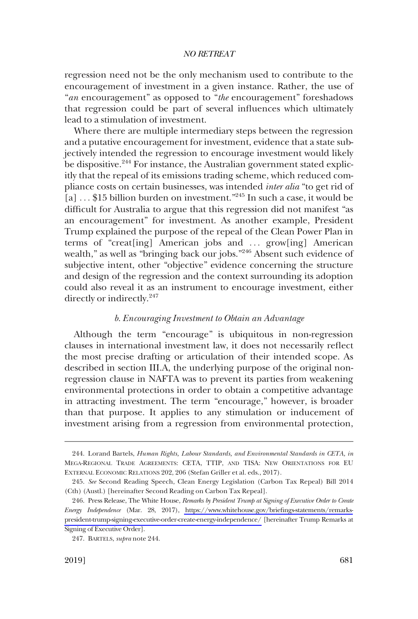regression need not be the only mechanism used to contribute to the encouragement of investment in a given instance. Rather, the use of "*an* encouragement" as opposed to "*the* encouragement" foreshadows that regression could be part of several influences which ultimately lead to a stimulation of investment.

Where there are multiple intermediary steps between the regression and a putative encouragement for investment, evidence that a state subjectively intended the regression to encourage investment would likely be dispositive.<sup>244</sup> For instance, the Australian government stated explicitly that the repeal of its emissions trading scheme, which reduced compliance costs on certain businesses, was intended *inter alia* "to get rid of [a] . . . \$15 billion burden on investment."245 In such a case, it would be difficult for Australia to argue that this regression did not manifest "as an encouragement" for investment. As another example, President Trump explained the purpose of the repeal of the Clean Power Plan in terms of "creat[ing] American jobs and ... grow[ing] American wealth," as well as "bringing back our jobs."<sup>246</sup> Absent such evidence of subjective intent, other "objective" evidence concerning the structure and design of the regression and the context surrounding its adoption could also reveal it as an instrument to encourage investment, either directly or indirectly.<sup>247</sup>

#### *b. Encouraging Investment to Obtain an Advantage*

Although the term "encourage" is ubiquitous in non-regression clauses in international investment law, it does not necessarily reflect the most precise drafting or articulation of their intended scope. As described in section III.A, the underlying purpose of the original nonregression clause in NAFTA was to prevent its parties from weakening environmental protections in order to obtain a competitive advantage in attracting investment. The term "encourage," however, is broader than that purpose. It applies to any stimulation or inducement of investment arising from a regression from environmental protection,

<sup>244.</sup> Lorand Bartels, *Human Rights, Labour Standards, and Environmental Standards in CETA, in*  MEGA-REGIONAL TRADE AGREEMENTS: CETA, TTIP, AND TISA: NEW ORIENTATIONS FOR EU EXTERNAL ECONOMIC RELATIONS 202, 206 (Stefan Griller et al. eds., 2017).

<sup>245.</sup> *See* Second Reading Speech, Clean Energy Legislation (Carbon Tax Repeal) Bill 2014 (Cth) (Austl.) [hereinafter Second Reading on Carbon Tax Repeal].

<sup>246.</sup> Press Release, The White House, *Remarks by President Trump at Signing of Executive Order to Create Energy Independence* (Mar. 28, 2017), [https://www.whitehouse.gov/briefings-statements/remarks](https://www.whitehouse.gov/briefings-statements/remarks-president-trump-signing-executive-order-create-energy-independence/)[president-trump-signing-executive-order-create-energy-independence/](https://www.whitehouse.gov/briefings-statements/remarks-president-trump-signing-executive-order-create-energy-independence/) [hereinafter Trump Remarks at Signing of Executive Order].

<sup>247.</sup> BARTELS, *supra* note 244.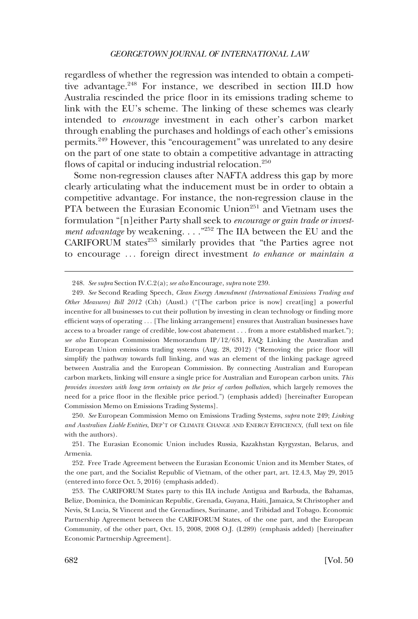regardless of whether the regression was intended to obtain a competitive advantage.<sup>248</sup> For instance, we described in section III.D how Australia rescinded the price floor in its emissions trading scheme to link with the EU's scheme. The linking of these schemes was clearly intended to *encourage* investment in each other's carbon market through enabling the purchases and holdings of each other's emissions permits.249 However, this "encouragement" was unrelated to any desire on the part of one state to obtain a competitive advantage in attracting flows of capital or inducing industrial relocation. $250$ 

Some non-regression clauses after NAFTA address this gap by more clearly articulating what the inducement must be in order to obtain a competitive advantage. For instance, the non-regression clause in the PTA between the Eurasian Economic Union<sup>251</sup> and Vietnam uses the formulation "[n]either Party shall seek to *encourage or gain trade or investment advantage* by weakening. . . ."252 The IIA between the EU and the CARIFORUM states<sup>253</sup> similarly provides that "the Parties agree not to encourage . . . foreign direct investment *to enhance or maintain a* 

<sup>248.</sup> *See supra* Section IV.C.2(a); *see also* Encourage, *supra* note 239.

<sup>249.</sup> *See* Second Reading Speech, *Clean Energy Amendment (International Emissions Trading and Other Measures) Bill 2012* (Cth) (Austl.) ("[The carbon price is now] creat[ing] a powerful incentive for all businesses to cut their pollution by investing in clean technology or finding more efficient ways of operating . . . [The linking arrangement] ensures that Australian businesses have access to a broader range of credible, low-cost abatement . . . from a more established market."); *see also* European Commission Memorandum IP/12/631, FAQ: Linking the Australian and European Union emissions trading systems (Aug. 28, 2012) ("Removing the price floor will simplify the pathway towards full linking, and was an element of the linking package agreed between Australia and the European Commission. By connecting Australian and European carbon markets, linking will ensure a single price for Australian and European carbon units. *This provides investors with long term certainty on the price of carbon pollution*, which largely removes the need for a price floor in the flexible price period.") (emphasis added) [hereinafter European Commission Memo on Emissions Trading Systems].

<sup>250.</sup> *See* European Commission Memo on Emissions Trading Systems, *supra* note 249; *Linking and Australian Liable Entities*, DEP'T OF CLIMATE CHANGE AND ENERGY EFFICIENCY, (full text on file with the authors).

<sup>251.</sup> The Eurasian Economic Union includes Russia, Kazakhstan Kyrgyzstan, Belarus, and Armenia.

<sup>252.</sup> Free Trade Agreement between the Eurasian Economic Union and its Member States, of the one part, and the Socialist Republic of Vietnam, of the other part, art. 12.4.3, May 29, 2015 (entered into force Oct. 5, 2016) (emphasis added).

<sup>253.</sup> The CARIFORUM States party to this IIA include Antigua and Barbuda, the Bahamas, Belize, Dominica, the Dominican Republic, Grenada, Guyana, Haiti, Jamaica, St Christopher and Nevis, St Lucia, St Vincent and the Grenadines, Suriname, and Tribidad and Tobago. Economic Partnership Agreement between the CARIFORUM States, of the one part, and the European Community, of the other part, Oct. 15, 2008, 2008 O.J. (L289) (emphasis added) [hereinafter Economic Partnership Agreement].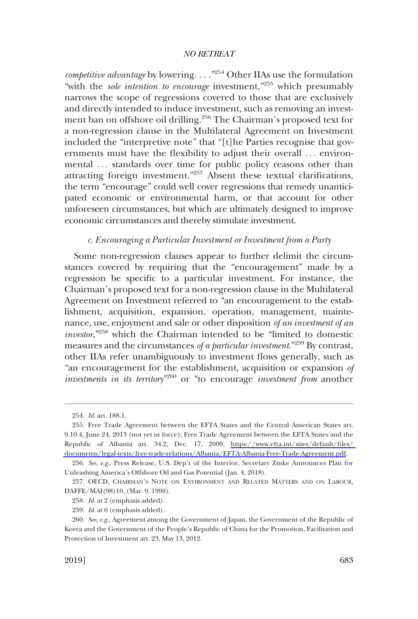*competitive advantage* by lowering. . . ."254 Other IIAs use the formulation "with the *sole intention to encourage* investment,"<sup>255</sup> which presumably narrows the scope of regressions covered to those that are exclusively and directly intended to induce investment, such as removing an investment ban on offshore oil drilling.256 The Chairman's proposed text for a non-regression clause in the Multilateral Agreement on Investment included the "interpretive note" that "[t]he Parties recognise that governments must have the flexibility to adjust their overall ... environmental ... standards over time for public policy reasons other than attracting foreign investment."257 Absent these textual clarifications, the term "encourage" could well cover regressions that remedy unanticipated economic or environmental harm, or that account for other unforeseen circumstances, but which are ultimately designed to improve economic circumstances and thereby stimulate investment.

#### *c. Encouraging a Particular Investment or Investment from a Party*

Some non-regression clauses appear to further delimit the circumstances covered by requiring that the "encouragement" made by a regression be specific to a particular investment. For instance, the Chairman's proposed text for a non-regression clause in the Multilateral Agreement on Investment referred to "an encouragement to the establishment, acquisition, expansion, operation, management, maintenance, use, enjoyment and sale or other disposition *of an investment of an investor*,"258 which the Chairman intended to be "limited to domestic measures and the circumstances *of a particular investment*."259 By contrast, other IIAs refer unambiguously to investment flows generally, such as "an encouragement for the establishment, acquisition or expansion *of investments in its territory*"260 or "to encourage *investment from* another

<sup>254.</sup> *Id*. art. 188.1.

<sup>255.</sup> Free Trade Agreement between the EFTA States and the Central American States art. 9.10.4, June 24, 2013 (not yet in force); Free Trade Agreement between the EFTA States and the Republic of Albania art. 34.2, Dec. 17, 2009, [https://www.efta.int/sites/default/files/](https://www.efta.int/sites/default/files/documents/legal-texts/free-trade-relations/Albania/EFTA-Albania-Free-Trade-Agreement.pdf)  [documents/legal-texts/free-trade-relations/Albania/EFTA-Albania-Free-Trade-Agreement.pdf](https://www.efta.int/sites/default/files/documents/legal-texts/free-trade-relations/Albania/EFTA-Albania-Free-Trade-Agreement.pdf).

<sup>256.</sup> *See*, *e.g*., Press Release, U.S. Dep't of the Interior, Secretary Zinke Announces Plan for Unleashing America's Offshore Oil and Gas Potential (Jan. 4, 2018).

<sup>257.</sup> OECD, CHAIRMAN'S NOTE ON ENVIRONMENT AND RELATED MATTERS AND ON LABOUR, DAFFE/MAI(98)10, (Mar. 9, 1998).

<sup>258.</sup> *Id*. at 2 (emphasis added).

<sup>259.</sup> *Id*. at 6 (emphasis added).

<sup>260.</sup> *See, e.g*., Agreement among the Government of Japan, the Government of the Republic of Korea and the Government of the People's Republic of China for the Promotion, Facilitation and Protection of Investment art. 23, May 13, 2012.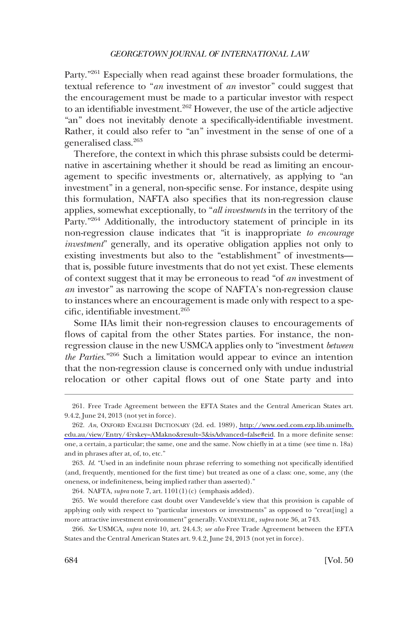Party."261 Especially when read against these broader formulations, the textual reference to "*an* investment of *an* investor" could suggest that the encouragement must be made to a particular investor with respect to an identifiable investment.<sup>262</sup> However, the use of the article adjective "an" does not inevitably denote a specifically-identifiable investment. Rather, it could also refer to "an" investment in the sense of one of a generalised class.263

Therefore, the context in which this phrase subsists could be determinative in ascertaining whether it should be read as limiting an encouragement to specific investments or, alternatively, as applying to "an investment" in a general, non-specific sense. For instance, despite using this formulation, NAFTA also specifies that its non-regression clause applies, somewhat exceptionally, to "*all investments* in the territory of the Party."<sup>264</sup> Additionally, the introductory statement of principle in its non-regression clause indicates that "it is inappropriate *to encourage investment*" generally, and its operative obligation applies not only to existing investments but also to the "establishment" of investments that is, possible future investments that do not yet exist. These elements of context suggest that it may be erroneous to read "of *an* investment of *an* investor" as narrowing the scope of NAFTA's non-regression clause to instances where an encouragement is made only with respect to a specific, identifiable investment.265

Some IIAs limit their non-regression clauses to encouragements of flows of capital from the other States parties. For instance, the nonregression clause in the new USMCA applies only to "investment *between the Parties*."266 Such a limitation would appear to evince an intention that the non-regression clause is concerned only with undue industrial relocation or other capital flows out of one State party and into

<sup>261.</sup> Free Trade Agreement between the EFTA States and the Central American States art. 9.4.2, June 24, 2013 (not yet in force).

*An*, OXFORD ENGLISH DICTIONARY (2d. ed. 1989), [http://www.oed.com.ezp.lib.unimelb.](http://www.oed.com.ezp.lib.unimelb.edu.au/view/Entry/4?rskey=AMakno&result=3&isAdvanced=false#eid)  262. [edu.au/view/Entry/4?rskey=AMakno&result=3&isAdvanced=false#eid](http://www.oed.com.ezp.lib.unimelb.edu.au/view/Entry/4?rskey=AMakno&result=3&isAdvanced=false#eid). In a more definite sense: one, a certain, a particular; the same, one and the same. Now chiefly in at a time (see time n. 18a) and in phrases after at, of, to, etc."

<sup>263.</sup> *Id*. "Used in an indefinite noun phrase referring to something not specifically identified (and, frequently, mentioned for the first time) but treated as one of a class: one, some, any (the oneness, or indefiniteness, being implied rather than asserted)."

<sup>264.</sup> NAFTA, *supra* note 7, art. 1101(1)(c) (emphasis added).

<sup>265.</sup> We would therefore cast doubt over Vandevelde's view that this provision is capable of applying only with respect to "particular investors or investments" as opposed to "creat[ing] a more attractive investment environment" generally. VANDEVELDE*, supra* note 36, at 743.

<sup>266.</sup> *See* USMCA, *supra* note 10, art. 24.4.3; *see also* Free Trade Agreement between the EFTA States and the Central American States art. 9.4.2, June 24, 2013 (not yet in force).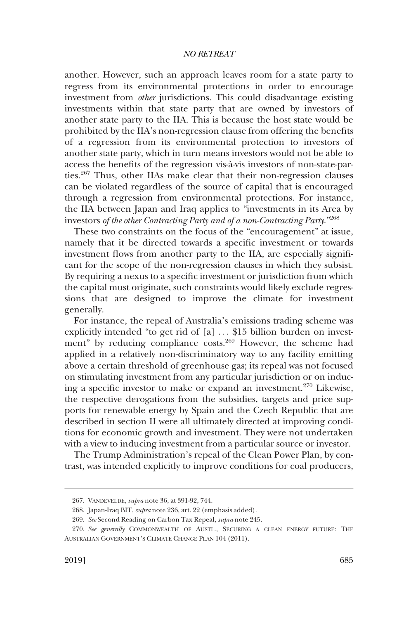another. However, such an approach leaves room for a state party to regress from its environmental protections in order to encourage investment from *other* jurisdictions. This could disadvantage existing investments within that state party that are owned by investors of another state party to the IIA. This is because the host state would be prohibited by the IIA's non-regression clause from offering the benefits of a regression from its environmental protection to investors of another state party, which in turn means investors would not be able to access the benefits of the regression vis-à-vis investors of non-state-parties.267 Thus, other IIAs make clear that their non-regression clauses can be violated regardless of the source of capital that is encouraged through a regression from environmental protections. For instance, the IIA between Japan and Iraq applies to "investments in its Area by investors *of the other Contracting Party and of a non-Contracting Party*."268

These two constraints on the focus of the "encouragement" at issue, namely that it be directed towards a specific investment or towards investment flows from another party to the IIA, are especially significant for the scope of the non-regression clauses in which they subsist. By requiring a nexus to a specific investment or jurisdiction from which the capital must originate, such constraints would likely exclude regressions that are designed to improve the climate for investment generally.

For instance, the repeal of Australia's emissions trading scheme was explicitly intended "to get rid of [a] ... \$15 billion burden on investment" by reducing compliance costs.<sup>269</sup> However, the scheme had applied in a relatively non-discriminatory way to any facility emitting above a certain threshold of greenhouse gas; its repeal was not focused on stimulating investment from any particular jurisdiction or on inducing a specific investor to make or expand an investment.270 Likewise, the respective derogations from the subsidies, targets and price supports for renewable energy by Spain and the Czech Republic that are described in section II were all ultimately directed at improving conditions for economic growth and investment. They were not undertaken with a view to inducing investment from a particular source or investor.

The Trump Administration's repeal of the Clean Power Plan, by contrast, was intended explicitly to improve conditions for coal producers,

<sup>267.</sup> VANDEVELDE, *supra* note 36, at 391-92, 744.

<sup>268.</sup> Japan-Iraq BIT, *supra* note 236, art. 22 (emphasis added).

<sup>269.</sup> *See* Second Reading on Carbon Tax Repeal, *supra* note 245.

<sup>270.</sup> *See generally* COMMONWEALTH OF AUSTL., SECURING A CLEAN ENERGY FUTURE: THE AUSTRALIAN GOVERNMENT'S CLIMATE CHANGE PLAN 104 (2011).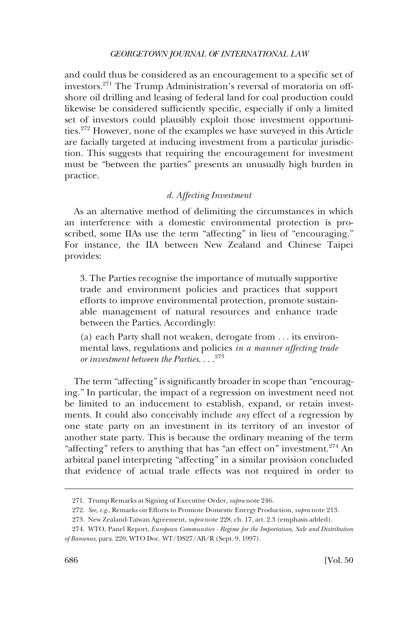and could thus be considered as an encouragement to a specific set of investors.271 The Trump Administration's reversal of moratoria on offshore oil drilling and leasing of federal land for coal production could likewise be considered sufficiently specific, especially if only a limited set of investors could plausibly exploit those investment opportunities.272 However, none of the examples we have surveyed in this Article are facially targeted at inducing investment from a particular jurisdiction. This suggests that requiring the encouragement for investment must be "between the parties" presents an unusually high burden in practice.

# *d. Affecting Investment*

As an alternative method of delimiting the circumstances in which an interference with a domestic environmental protection is proscribed, some IIAs use the term "affecting" in lieu of "encouraging." For instance, the IIA between New Zealand and Chinese Taipei provides:

3. The Parties recognise the importance of mutually supportive trade and environment policies and practices that support efforts to improve environmental protection, promote sustainable management of natural resources and enhance trade between the Parties. Accordingly:

(a) each Party shall not weaken, derogate from . . . its environmental laws, regulations and policies *in a manner affecting trade or investment between the Parties*. . . .<sup>273</sup>

The term "affecting" is significantly broader in scope than "encouraging." In particular, the impact of a regression on investment need not be limited to an inducement to establish, expand, or retain investments. It could also conceivably include *any* effect of a regression by one state party on an investment in its territory of an investor of another state party. This is because the ordinary meaning of the term "affecting" refers to anything that has "an effect on" investment.<sup>274</sup> An arbitral panel interpreting "affecting" in a similar provision concluded that evidence of actual trade effects was not required in order to

<sup>271.</sup> Trump Remarks at Signing of Executive Order, *supra* note 246.

<sup>272.</sup> *See, e.g*., Remarks on Efforts to Promote Domestic Energy Production, *supra* note 213.

<sup>273.</sup> New Zealand-Taiwan Agreement, *supra* note 228, ch. 17, art. 2.3 (emphasis added).

<sup>274.</sup> WTO, Panel Report, *European Communities - Regime for the Importation, Sale and Distribution of Bananas*, para. 220, WTO Doc. WT/DS27/AB/R (Sept. 9, 1997).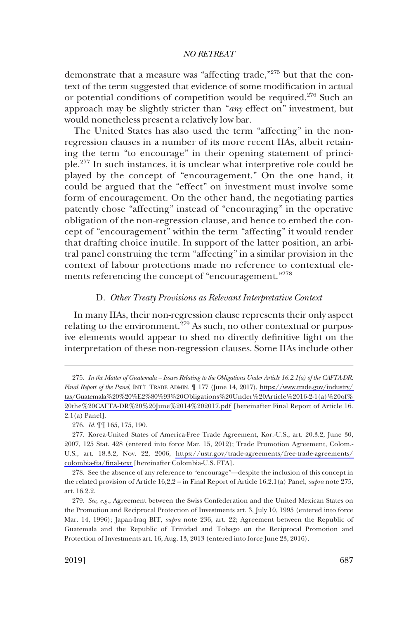demonstrate that a measure was "affecting trade,"275 but that the context of the term suggested that evidence of some modification in actual or potential conditions of competition would be required.<sup>276</sup> Such an approach may be slightly stricter than "*any* effect on" investment, but would nonetheless present a relatively low bar.

The United States has also used the term "affecting" in the nonregression clauses in a number of its more recent IIAs, albeit retaining the term "to encourage" in their opening statement of principle.<sup>277</sup> In such instances, it is unclear what interpretive role could be played by the concept of "encouragement." On the one hand, it could be argued that the "effect" on investment must involve some form of encouragement. On the other hand, the negotiating parties patently chose "affecting" instead of "encouraging" in the operative obligation of the non-regression clause, and hence to embed the concept of "encouragement" within the term "affecting" it would render that drafting choice inutile. In support of the latter position, an arbitral panel construing the term "affecting" in a similar provision in the context of labour protections made no reference to contextual elements referencing the concept of "encouragement."278

#### D. *Other Treaty Provisions as Relevant Interpretative Context*

In many IIAs, their non-regression clause represents their only aspect relating to the environment.<sup>279</sup> As such, no other contextual or purposive elements would appear to shed no directly definitive light on the interpretation of these non-regression clauses. Some IIAs include other

*In the Matter of Guatemala – Issues Relating to the Obligations Under Article 16.2.1(a) of the CAFTA-DR:*  275. *Final Report of the Panel*, INT'L TRADE ADMIN. ¶ 177 (June 14, 2017), [https://www.trade.gov/industry/](https://www.trade.gov/industry/tas/Guatemala%20%20%E2%80%93%20Obligations%20Under%20Article%2016-2-1(a)%20of%20the%20CAFTA-DR%20%20June%2014%202017.pdf)  [tas/Guatemala%20%20%E2%80%93%20Obligations%20Under%20Article%2016-2-1\(a\)%20of%](https://www.trade.gov/industry/tas/Guatemala%20%20%E2%80%93%20Obligations%20Under%20Article%2016-2-1(a)%20of%20the%20CAFTA-DR%20%20June%2014%202017.pdf)  [20the%20CAFTA-DR%20%20June%2014%202017.pdf](https://www.trade.gov/industry/tas/Guatemala%20%20%E2%80%93%20Obligations%20Under%20Article%2016-2-1(a)%20of%20the%20CAFTA-DR%20%20June%2014%202017.pdf) [hereinafter Final Report of Article 16. 2.1(a) Panel].

<sup>276.</sup> *Id*. ¶¶ 165, 175, 190.

<sup>277.</sup> Korea-United States of America-Free Trade Agreement, Kor.-U.S., art. 20.3.2, June 30, 2007, 125 Stat. 428 (entered into force Mar. 15, 2012); Trade Promotion Agreement, Colom.- U.S., art. 18.3.2, Nov. 22, 2006, [https://ustr.gov/trade-agreements/free-trade-agreements/](https://ustr.gov/trade-agreements/free-trade-agreements/colombia-fta/final-text)  [colombia-fta/final-text](https://ustr.gov/trade-agreements/free-trade-agreements/colombia-fta/final-text) [hereinafter Colombia-U.S. FTA].

<sup>278.</sup> See the absence of any reference to "encourage"—despite the inclusion of this concept in the related provision of Article 16,2,2 – in Final Report of Article 16.2.1(a) Panel, *supra* note 275, art. 16.2.2.

<sup>279.</sup> *See, e.g*., Agreement between the Swiss Confederation and the United Mexican States on the Promotion and Reciprocal Protection of Investments art. 3, July 10, 1995 (entered into force Mar. 14, 1996); Japan-Iraq BIT, *supra* note 236, art. 22; Agreement between the Republic of Guatemala and the Republic of Trinidad and Tobago on the Reciprocal Promotion and Protection of Investments art. 16, Aug. 13, 2013 (entered into force June 23, 2016).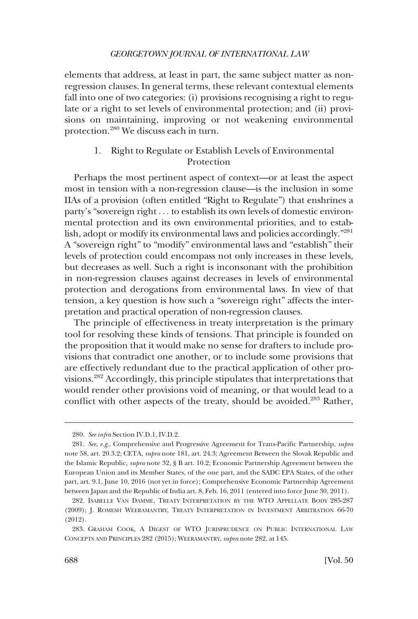elements that address, at least in part, the same subject matter as nonregression clauses. In general terms, these relevant contextual elements fall into one of two categories: (i) provisions recognising a right to regulate or a right to set levels of environmental protection; and (ii) provisions on maintaining, improving or not weakening environmental protection.280 We discuss each in turn.

# 1. Right to Regulate or Establish Levels of Environmental Protection

Perhaps the most pertinent aspect of context—or at least the aspect most in tension with a non-regression clause—is the inclusion in some IIAs of a provision (often entitled "Right to Regulate") that enshrines a party's "sovereign right . . . to establish its own levels of domestic environmental protection and its own environmental priorities, and to establish, adopt or modify its environmental laws and policies accordingly."281 A "sovereign right" to "modify" environmental laws and "establish" their levels of protection could encompass not only increases in these levels, but decreases as well. Such a right is inconsonant with the prohibition in non-regression clauses against decreases in levels of environmental protection and derogations from environmental laws. In view of that tension, a key question is how such a "sovereign right" affects the interpretation and practical operation of non-regression clauses.

The principle of effectiveness in treaty interpretation is the primary tool for resolving these kinds of tensions. That principle is founded on the proposition that it would make no sense for drafters to include provisions that contradict one another, or to include some provisions that are effectively redundant due to the practical application of other provisions.282 Accordingly, this principle stipulates that interpretations that would render other provisions void of meaning, or that would lead to a conflict with other aspects of the treaty, should be avoided.<sup>283</sup> Rather,

<sup>280.</sup> *See infra* Section IV.D.1, IV.D.2.

<sup>281.</sup> *See*, *e.g*., Comprehensive and Progressive Agreement for Trans-Pacific Partnership*, supra*  note 58, art. 20.3.2; CETA, *supra* note 181, art. 24.3; Agreement Between the Slovak Republic and the Islamic Republic, *supra* note 32, § B art. 10.2; Economic Partnership Agreement between the European Union and its Member States, of the one part, and the SADC EPA States, of the other part, art. 9.1, June 10, 2016 (not yet in force); Comprehensive Economic Partnership Agreement between Japan and the Republic of India art. 8, Feb. 16, 2011 (entered into force June 30, 2011).

<sup>282.</sup> ISABELLE VAN DAMME, TREATY INTERPRETATION BY THE WTO APPELLATE BODY 285-287 (2009); J. ROMESH WEERAMANTRY, TREATY INTERPRETATION IN INVESTMENT ARBITRATION 66-70 (2012).

<sup>283.</sup> GRAHAM COOK, A DIGEST OF WTO JURISPRUDENCE ON PUBLIC INTERNATIONAL LAW CONCEPTS AND PRINCIPLES 282 (2015); WEERAMANTRY, *supra* note 282, at 145.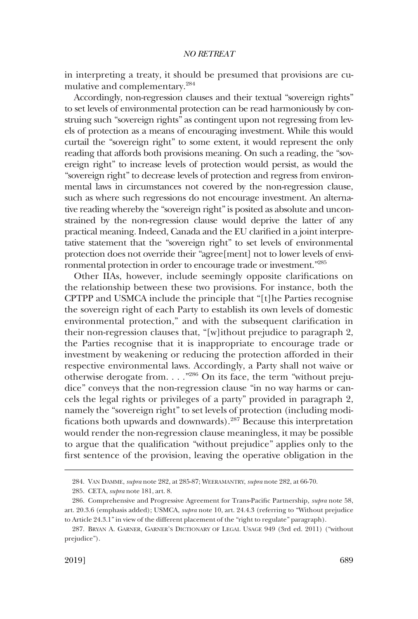in interpreting a treaty, it should be presumed that provisions are cumulative and complementary.<sup>284</sup>

Accordingly, non-regression clauses and their textual "sovereign rights" to set levels of environmental protection can be read harmoniously by construing such "sovereign rights" as contingent upon not regressing from levels of protection as a means of encouraging investment. While this would curtail the "sovereign right" to some extent, it would represent the only reading that affords both provisions meaning. On such a reading, the "sovereign right" to increase levels of protection would persist, as would the "sovereign right" to decrease levels of protection and regress from environmental laws in circumstances not covered by the non-regression clause, such as where such regressions do not encourage investment. An alternative reading whereby the "sovereign right" is posited as absolute and unconstrained by the non-regression clause would deprive the latter of any practical meaning. Indeed, Canada and the EU clarified in a joint interpretative statement that the "sovereign right" to set levels of environmental protection does not override their "agree[ment] not to lower levels of environmental protection in order to encourage trade or investment."285

Other IIAs, however, include seemingly opposite clarifications on the relationship between these two provisions. For instance, both the CPTPP and USMCA include the principle that "[t]he Parties recognise the sovereign right of each Party to establish its own levels of domestic environmental protection," and with the subsequent clarification in their non-regression clauses that, "[w]ithout prejudice to paragraph 2, the Parties recognise that it is inappropriate to encourage trade or investment by weakening or reducing the protection afforded in their respective environmental laws. Accordingly, a Party shall not waive or otherwise derogate from. . . ."286 On its face, the term "without prejudice" conveys that the non-regression clause "in no way harms or cancels the legal rights or privileges of a party" provided in paragraph 2, namely the "sovereign right" to set levels of protection (including modifications both upwards and downwards).287 Because this interpretation would render the non-regression clause meaningless, it may be possible to argue that the qualification "without prejudice" applies only to the first sentence of the provision, leaving the operative obligation in the

<sup>284.</sup> VAN DAMME, *supra* note 282, at 285-87; WEERAMANTRY, *supra* note 282, at 66-70.

<sup>285.</sup> CETA, *supra* note 181, art. 8.

<sup>286.</sup> Comprehensive and Progressive Agreement for Trans-Pacific Partnership*, supra* note 58, art. 20.3.6 (emphasis added); USMCA, *supra* note 10, art. 24.4.3 (referring to "Without prejudice to Article 24.3.1" in view of the different placement of the "right to regulate" paragraph).

<sup>287.</sup> BRYAN A. GARNER, GARNER'S DICTIONARY OF LEGAL USAGE 949 (3rd ed. 2011) ("without prejudice").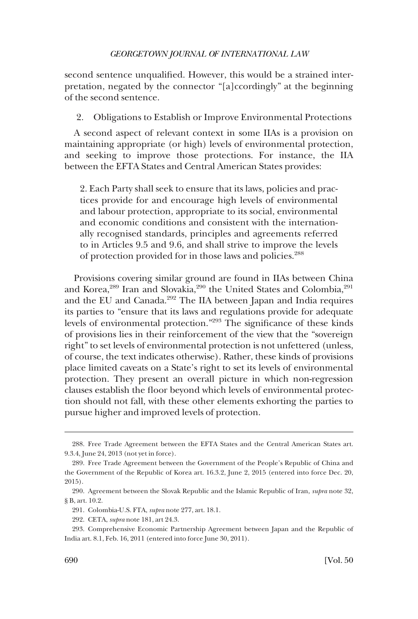second sentence unqualified. However, this would be a strained interpretation, negated by the connector "[a]ccordingly" at the beginning of the second sentence.

2. Obligations to Establish or Improve Environmental Protections

A second aspect of relevant context in some IIAs is a provision on maintaining appropriate (or high) levels of environmental protection, and seeking to improve those protections. For instance, the IIA between the EFTA States and Central American States provides:

2. Each Party shall seek to ensure that its laws, policies and practices provide for and encourage high levels of environmental and labour protection, appropriate to its social, environmental and economic conditions and consistent with the internationally recognised standards, principles and agreements referred to in Articles 9.5 and 9.6, and shall strive to improve the levels of protection provided for in those laws and policies.<sup>288</sup>

Provisions covering similar ground are found in IIAs between China and Korea,<sup>289</sup> Iran and Slovakia,<sup>290</sup> the United States and Colombia,<sup>291</sup> and the EU and Canada.292 The IIA between Japan and India requires its parties to "ensure that its laws and regulations provide for adequate levels of environmental protection."293 The significance of these kinds of provisions lies in their reinforcement of the view that the "sovereign right" to set levels of environmental protection is not unfettered (unless, of course, the text indicates otherwise). Rather, these kinds of provisions place limited caveats on a State's right to set its levels of environmental protection. They present an overall picture in which non-regression clauses establish the floor beyond which levels of environmental protection should not fall, with these other elements exhorting the parties to pursue higher and improved levels of protection.

<sup>288.</sup> Free Trade Agreement between the EFTA States and the Central American States art. 9.3.4, June 24, 2013 (not yet in force).

<sup>289.</sup> Free Trade Agreement between the Government of the People's Republic of China and the Government of the Republic of Korea art. 16.3.2, June 2, 2015 (entered into force Dec. 20, 2015).

<sup>290.</sup> Agreement between the Slovak Republic and the Islamic Republic of Iran, *supra* note 32, § B, art. 10.2.

<sup>291.</sup> Colombia-U.S. FTA, *supra* note 277, art. 18.1.

<sup>292.</sup> CETA, *supra* note 181, art 24.3.

<sup>293.</sup> Comprehensive Economic Partnership Agreement between Japan and the Republic of India art. 8.1, Feb. 16, 2011 (entered into force June 30, 2011).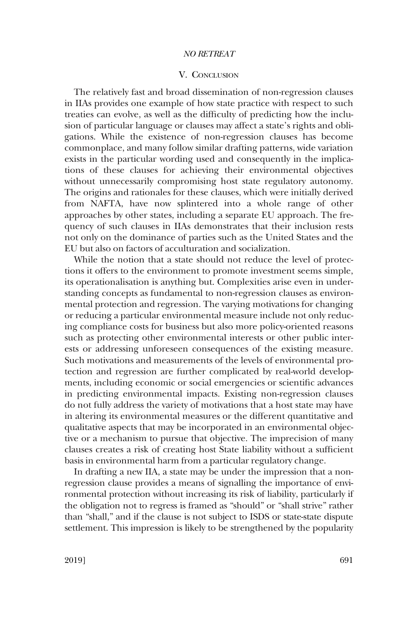#### V. CONCLUSION

The relatively fast and broad dissemination of non-regression clauses in IIAs provides one example of how state practice with respect to such treaties can evolve, as well as the difficulty of predicting how the inclusion of particular language or clauses may affect a state's rights and obligations. While the existence of non-regression clauses has become commonplace, and many follow similar drafting patterns, wide variation exists in the particular wording used and consequently in the implications of these clauses for achieving their environmental objectives without unnecessarily compromising host state regulatory autonomy. The origins and rationales for these clauses, which were initially derived from NAFTA, have now splintered into a whole range of other approaches by other states, including a separate EU approach. The frequency of such clauses in IIAs demonstrates that their inclusion rests not only on the dominance of parties such as the United States and the EU but also on factors of acculturation and socialization.

While the notion that a state should not reduce the level of protections it offers to the environment to promote investment seems simple, its operationalisation is anything but. Complexities arise even in understanding concepts as fundamental to non-regression clauses as environmental protection and regression. The varying motivations for changing or reducing a particular environmental measure include not only reducing compliance costs for business but also more policy-oriented reasons such as protecting other environmental interests or other public interests or addressing unforeseen consequences of the existing measure. Such motivations and measurements of the levels of environmental protection and regression are further complicated by real-world developments, including economic or social emergencies or scientific advances in predicting environmental impacts. Existing non-regression clauses do not fully address the variety of motivations that a host state may have in altering its environmental measures or the different quantitative and qualitative aspects that may be incorporated in an environmental objective or a mechanism to pursue that objective. The imprecision of many clauses creates a risk of creating host State liability without a sufficient basis in environmental harm from a particular regulatory change.

In drafting a new IIA, a state may be under the impression that a nonregression clause provides a means of signalling the importance of environmental protection without increasing its risk of liability, particularly if the obligation not to regress is framed as "should" or "shall strive" rather than "shall," and if the clause is not subject to ISDS or state-state dispute settlement. This impression is likely to be strengthened by the popularity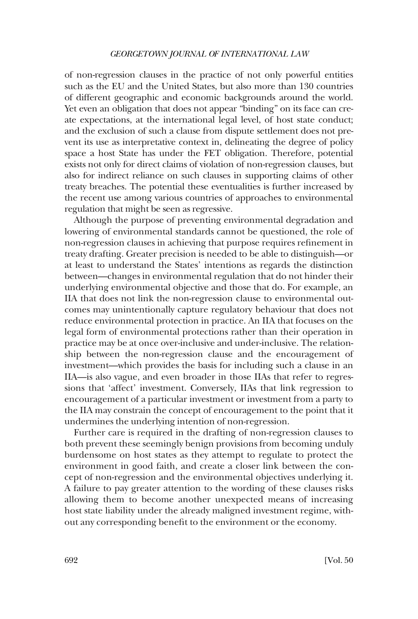of non-regression clauses in the practice of not only powerful entities such as the EU and the United States, but also more than 130 countries of different geographic and economic backgrounds around the world. Yet even an obligation that does not appear "binding" on its face can create expectations, at the international legal level, of host state conduct; and the exclusion of such a clause from dispute settlement does not prevent its use as interpretative context in, delineating the degree of policy space a host State has under the FET obligation. Therefore, potential exists not only for direct claims of violation of non-regression clauses, but also for indirect reliance on such clauses in supporting claims of other treaty breaches. The potential these eventualities is further increased by the recent use among various countries of approaches to environmental regulation that might be seen as regressive.

Although the purpose of preventing environmental degradation and lowering of environmental standards cannot be questioned, the role of non-regression clauses in achieving that purpose requires refinement in treaty drafting. Greater precision is needed to be able to distinguish—or at least to understand the States' intentions as regards the distinction between—changes in environmental regulation that do not hinder their underlying environmental objective and those that do. For example, an IIA that does not link the non-regression clause to environmental outcomes may unintentionally capture regulatory behaviour that does not reduce environmental protection in practice. An IIA that focuses on the legal form of environmental protections rather than their operation in practice may be at once over-inclusive and under-inclusive. The relationship between the non-regression clause and the encouragement of investment—which provides the basis for including such a clause in an IIA—is also vague, and even broader in those IIAs that refer to regressions that 'affect' investment. Conversely, IIAs that link regression to encouragement of a particular investment or investment from a party to the IIA may constrain the concept of encouragement to the point that it undermines the underlying intention of non-regression.

Further care is required in the drafting of non-regression clauses to both prevent these seemingly benign provisions from becoming unduly burdensome on host states as they attempt to regulate to protect the environment in good faith, and create a closer link between the concept of non-regression and the environmental objectives underlying it. A failure to pay greater attention to the wording of these clauses risks allowing them to become another unexpected means of increasing host state liability under the already maligned investment regime, without any corresponding benefit to the environment or the economy.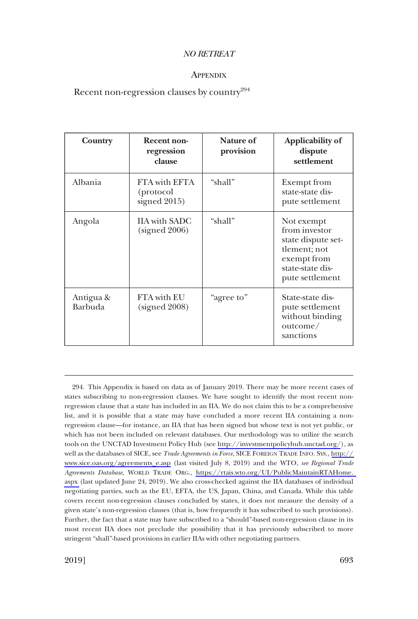### **APPENDIX**

# Recent non-regression clauses by country $294$

| Country              | Recent non-<br>regression<br>clause        | Nature of<br>provision | Applicability of<br>dispute<br>settlement                                                                               |
|----------------------|--------------------------------------------|------------------------|-------------------------------------------------------------------------------------------------------------------------|
| Albania              | FTA with EFTA<br>(protocol<br>signed 2015) | "shall"                | Exempt from<br>state-state dis-<br>pute settlement                                                                      |
| Angola               | <b>IIA</b> with SADC<br>(signed 2006)      | "shall"                | Not exempt<br>from investor<br>state dispute set-<br>tlement; not<br>exempt from<br>state-state dis-<br>pute settlement |
| Antigua &<br>Barbuda | FTA with EU<br>(signed 2008)               | "agree to"             | State-state dis-<br>pute settlement<br>without binding<br>outcome/<br>sanctions                                         |

<sup>294.</sup> This Appendix is based on data as of January 2019. There may be more recent cases of states subscribing to non-regression clauses. We have sought to identify the most recent nonregression clause that a state has included in an IIA. We do not claim this to be a comprehensive list, and it is possible that a state may have concluded a more recent IIA containing a nonregression clause—for instance, an IIA that has been signed but whose text is not yet public, or which has not been included on relevant databases. Our methodology was to utilize the search tools on the UNCTAD Investment Policy Hub (see <http://investmentpolicyhub.unctad.org/>), as well as the databases of SICE, see *Trade Agreements in Force*, SICE FOREIGN TRADE INFO. SYS., [http://](http://www.sice.oas.org/agreements_e.asp)  [www.sice.oas.org/agreements\\_e.asp](http://www.sice.oas.org/agreements_e.asp) (last visited July 8, 2019) and the WTO, *see Regional Trade Agreements Database*, WORLD TRADE ORG., [https://rtais.wto.org/UI/PublicMaintainRTAHome.](https://rtais.wto.org/UI/PublicMaintainRTAHome.aspx)  [aspx](https://rtais.wto.org/UI/PublicMaintainRTAHome.aspx) (last updated June 24, 2019). We also cross-checked against the IIA databases of individual negotiating parties, such as the EU, EFTA, the US, Japan, China, and Canada. While this table covers recent non-regression clauses concluded by states, it does not measure the density of a given state's non-regression clauses (that is, how frequently it has subscribed to such provisions). Further, the fact that a state may have subscribed to a "should"-based non-regression clause in its most recent IIA does not preclude the possibility that it has previously subscribed to more stringent "shall"-based provisions in earlier IIAs with other negotiating partners.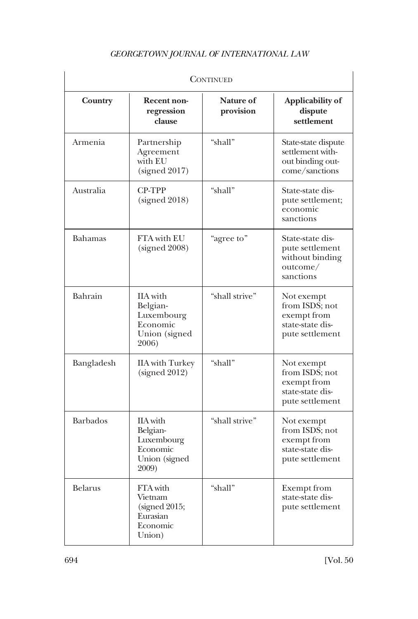| <b>CONTINUED</b> |                                                                                 |                               |                                                                                    |  |  |
|------------------|---------------------------------------------------------------------------------|-------------------------------|------------------------------------------------------------------------------------|--|--|
| Country          | <b>Recent non-</b><br>regression<br>clause                                      | <b>Nature of</b><br>provision | Applicability of<br>dispute<br>settlement                                          |  |  |
| Armenia          | Partnership<br>Agreement<br>with EU<br>(signed 2017)                            | "shall"                       | State-state dispute<br>settlement with-<br>out binding out-<br>come/sanctions      |  |  |
| Australia        | <b>CP-TPP</b><br>(signed 2018)                                                  | "shall"                       | State-state dis-<br>pute settlement;<br>economic<br>sanctions                      |  |  |
| <b>Bahamas</b>   | <b>FTA</b> with EU<br>(signed 2008)                                             | "agree to"                    | State-state dis-<br>pute settlement<br>without binding<br>outcome/<br>sanctions    |  |  |
| Bahrain          | <b>IIA</b> with<br>Belgian-<br>Luxembourg<br>Economic<br>Union (signed<br>2006) | "shall strive"                | Not exempt<br>from ISDS; not<br>exempt from<br>state-state dis-<br>pute settlement |  |  |
| Bangladesh       | <b>IIA</b> with Turkey<br>(signed 2012)                                         | "shall"                       | Not exempt<br>from ISDS; not<br>exempt from<br>state-state dis-<br>pute settlement |  |  |
| <b>Barbados</b>  | IIA with<br>Belgian-<br>Luxembourg<br>Economic<br>Union (signed<br>2009)        | "shall strive"                | Not exempt<br>from ISDS; not<br>exempt from<br>state-state dis-<br>pute settlement |  |  |
| <b>Belarus</b>   | FTA with<br>Vietnam<br>(signed 2015;<br>Eurasian<br>Economic<br>Union)          | "shall"                       | Exempt from<br>state-state dis-<br>pute settlement                                 |  |  |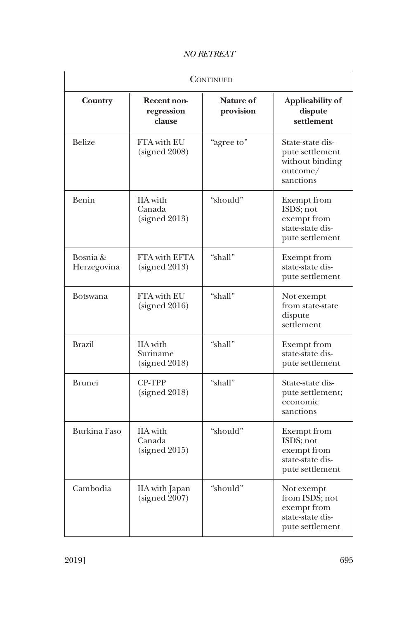| <b>CONTINUED</b>        |                                            |                               |                                                                                    |  |  |
|-------------------------|--------------------------------------------|-------------------------------|------------------------------------------------------------------------------------|--|--|
| Country                 | Recent non-<br>regression<br>clause        | <b>Nature of</b><br>provision | Applicability of<br>dispute<br>settlement                                          |  |  |
| <b>Belize</b>           | FTA with EU<br>(signed 2008)               | "agree to"                    | State-state dis-<br>pute settlement<br>without binding<br>outcome/<br>sanctions    |  |  |
| Benin                   | <b>IIA</b> with<br>Canada<br>(signed 2013) | "should"                      | Exempt from<br>ISDS; not<br>exempt from<br>state-state dis-<br>pute settlement     |  |  |
| Bosnia &<br>Herzegovina | FTA with EFTA<br>(signed 2013)             | "shall"                       | <b>Exempt</b> from<br>state-state dis-<br>pute settlement                          |  |  |
| <b>Botswana</b>         | FTA with EU<br>(signed 2016)               | "shall"                       | Not exempt<br>from state-state<br>dispute<br>settlement                            |  |  |
| <b>Brazil</b>           | IIA with<br>Suriname<br>(signed 2018)      | "shall"                       | <b>Exempt</b> from<br>state-state dis-<br>pute settlement                          |  |  |
| <b>Brunei</b>           | <b>CP-TPP</b><br>(signed 2018)             | "shall"                       | State-state dis-<br>pute settlement;<br>economic<br>sanctions                      |  |  |
| Burkina Faso            | <b>IIA</b> with<br>Canada<br>(signed 2015) | "should"                      | Exempt from<br>ISDS; not<br>exempt from<br>state-state dis-<br>pute settlement     |  |  |
| Cambodia                | IIA with Japan<br>(signed 2007)            | "should"                      | Not exempt<br>from ISDS; not<br>exempt from<br>state-state dis-<br>pute settlement |  |  |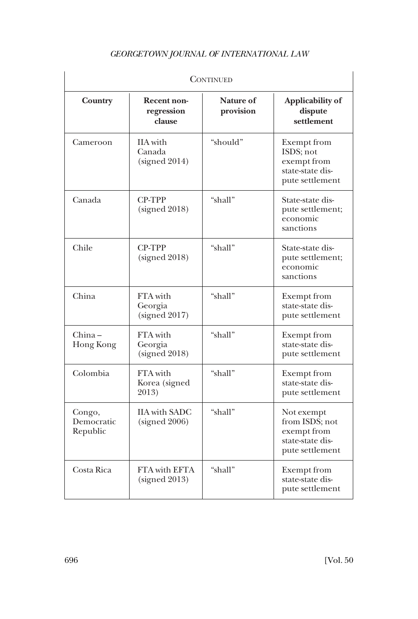| CONTINUED                        |                                            |                               |                                                                                       |  |  |
|----------------------------------|--------------------------------------------|-------------------------------|---------------------------------------------------------------------------------------|--|--|
| Country                          | <b>Recent non-</b><br>regression<br>clause | <b>Nature of</b><br>provision | Applicability of<br>dispute<br>settlement                                             |  |  |
| Cameroon                         | <b>IIA</b> with<br>Canada<br>(signed 2014) | "should"                      | <b>Exempt</b> from<br>ISDS: not<br>exempt from<br>state-state dis-<br>pute settlement |  |  |
| Canada                           | <b>CP-TPP</b><br>(signed 2018)             | "shall"                       | State-state dis-<br>pute settlement;<br>economic<br>sanctions                         |  |  |
| Chile                            | <b>CP-TPP</b><br>(signed 2018)             | "shall"                       | State-state dis-<br>pute settlement;<br>economic<br>sanctions                         |  |  |
| China                            | FTA with<br>Georgia<br>(signed 2017)       | "shall"                       | Exempt from<br>state-state dis-<br>pute settlement                                    |  |  |
| China –<br>Hong Kong             | FTA with<br>Georgia<br>(signed 2018)       | "shall"                       | <b>Exempt</b> from<br>state-state dis-<br>pute settlement                             |  |  |
| Colombia                         | FTA with<br>Korea (signed<br>2013)         | "shall"                       | <b>Exempt</b> from<br>state-state dis-<br>pute settlement                             |  |  |
| Congo,<br>Democratic<br>Republic | <b>IIA</b> with SADC<br>(signed 2006)      | "shall"                       | Not exempt<br>from ISDS; not<br>exempt from<br>state-state dis-<br>pute settlement    |  |  |
| Costa Rica                       | FTA with EFTA<br>(signed 2013)             | "shall"                       | Exempt from<br>state-state dis-<br>pute settlement                                    |  |  |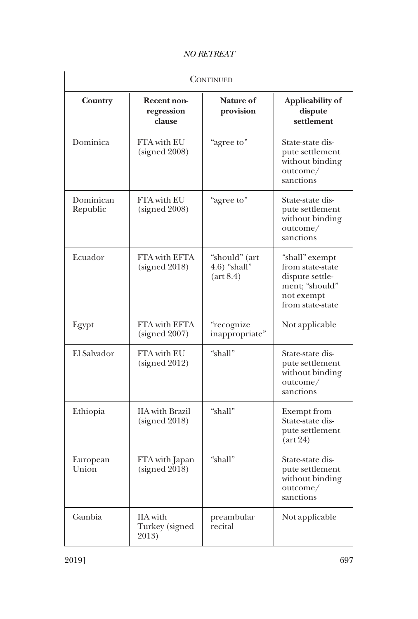| <b>CONTINUED</b>      |                                              |                                                         |                                                                                                           |  |
|-----------------------|----------------------------------------------|---------------------------------------------------------|-----------------------------------------------------------------------------------------------------------|--|
| Country               | Recent non-<br>regression<br>clause          | Nature of<br>provision                                  | Applicability of<br>dispute<br>settlement                                                                 |  |
| Dominica              | FTA with EU<br>(signed 2008)                 | "agree to"                                              | State-state dis-<br>pute settlement<br>without binding<br>outcome/<br>sanctions                           |  |
| Dominican<br>Republic | FTA with EU<br>(signed 2008)                 | "agree to"                                              | State-state dis-<br>pute settlement<br>without binding<br>outcome/<br>sanctions                           |  |
| Ecuador               | FTA with EFTA<br>(signed 2018)               | "should" (art<br>$4.6$ ) "shall"<br>$(\text{art } 8.4)$ | "shall" exempt<br>from state-state<br>dispute settle-<br>ment; "should"<br>not exempt<br>from state-state |  |
| Egypt                 | <b>FTA</b> with <b>EFTA</b><br>(signed 2007) | "recognize<br>inappropriate"                            | Not applicable                                                                                            |  |
| El Salvador           | FTA with EU<br>(signed 2012)                 | "shall"                                                 | State-state dis-<br>pute settlement<br>without binding<br>outcome/<br>sanctions                           |  |
| Ethiopia              | <b>IIA</b> with Brazil<br>(signed 2018)      | "shall"                                                 | <b>Exempt from</b><br>State-state dis-<br>pute settlement<br>$(\text{art } 24)$                           |  |
| European<br>Union     | FTA with Japan<br>(signed 2018)              | "shall"                                                 | State-state dis-<br>pute settlement<br>without binding<br>outcome/<br>sanctions                           |  |
| Gambia                | IIA with<br>Turkey (signed<br>2013)          | preambular<br>recital                                   | Not applicable                                                                                            |  |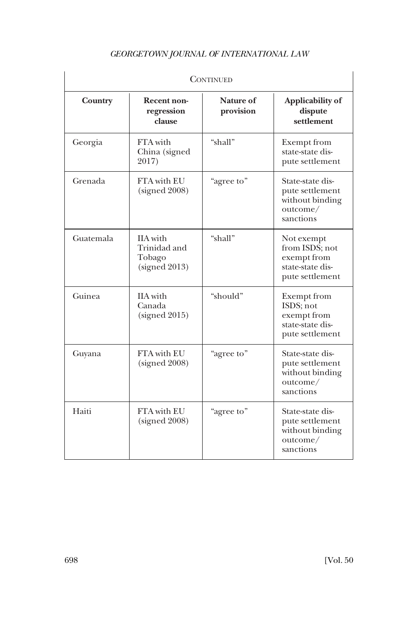| <b>CONTINUED</b> |                                                            |                        |                                                                                       |  |
|------------------|------------------------------------------------------------|------------------------|---------------------------------------------------------------------------------------|--|
| Country          | Recent non-<br>regression<br>clause                        | Nature of<br>provision | Applicability of<br>dispute<br>settlement                                             |  |
| Georgia          | FTA with<br>China (signed<br>2017)                         | "shall"                | <b>Exempt</b> from<br>state-state dis-<br>pute settlement                             |  |
| Grenada          | FTA with EU<br>(signed 2008)                               | "agree to"             | State-state dis-<br>pute settlement<br>without binding<br>outcome/<br>sanctions       |  |
| Guatemala        | <b>IIA</b> with<br>Trinidad and<br>Tobago<br>(signed 2013) | "shall"                | Not exempt<br>from ISDS; not<br>exempt from<br>state-state dis-<br>pute settlement    |  |
| Guinea           | <b>IIA</b> with<br>Canada<br>(signed 2015)                 | "should"               | <b>Exempt</b> from<br>ISDS; not<br>exempt from<br>state-state dis-<br>pute settlement |  |
| Guyana           | FTA with EU<br>(signed 2008)                               | "agree to"             | State-state dis-<br>pute settlement<br>without binding<br>outcome/<br>sanctions       |  |
| Haiti            | FTA with EU<br>(signed 2008)                               | "agree to"             | State-state dis-<br>pute settlement<br>without binding<br>outcome/<br>sanctions       |  |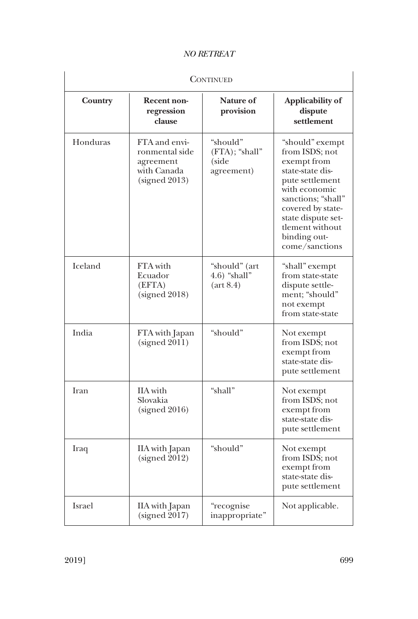| <b>CONTINUED</b> |                                                                              |                                                         |                                                                                                                                                                                                                                |
|------------------|------------------------------------------------------------------------------|---------------------------------------------------------|--------------------------------------------------------------------------------------------------------------------------------------------------------------------------------------------------------------------------------|
| Country          | Recent non-<br>regression<br>clause                                          | <b>Nature of</b><br>provision                           | Applicability of<br>dispute<br>settlement                                                                                                                                                                                      |
| Honduras         | FTA and envi-<br>ronmental side<br>agreement<br>with Canada<br>(signed 2013) | "should"<br>$(FTA)$ ; "shall"<br>(side<br>agreement)    | "should" exempt<br>from ISDS; not<br>exempt from<br>state-state dis-<br>pute settlement<br>with economic<br>sanctions; "shall"<br>covered by state-<br>state dispute set-<br>tlement without<br>binding out-<br>come/sanctions |
| Iceland          | FTA with<br>Ecuador<br>(EFTA)<br>(signed 2018)                               | "should" (art<br>$4.6$ ) "shall"<br>$(\text{art } 8.4)$ | "shall" exempt<br>from state-state<br>dispute settle-<br>ment; "should"<br>not exempt<br>from state-state                                                                                                                      |
| India            | FTA with Japan<br>(signed 2011)                                              | "should"                                                | Not exempt<br>from ISDS; not<br>exempt from<br>state-state dis-<br>pute settlement                                                                                                                                             |
| Iran             | <b>IIA</b> with<br>Slovakia<br>(signed 2016)                                 | "shall"                                                 | Not exempt<br>from ISDS; not<br>exempt from<br>state-state dis-<br>pute settlement                                                                                                                                             |
| Iraq             | IIA with Japan<br>(signed 2012)                                              | "should"                                                | Not exempt<br>from ISDS; not<br>exempt from<br>state-state dis-<br>pute settlement                                                                                                                                             |
| Israel           | IIA with Japan<br>(signed 2017)                                              | "recognise<br>inappropriate"                            | Not applicable.                                                                                                                                                                                                                |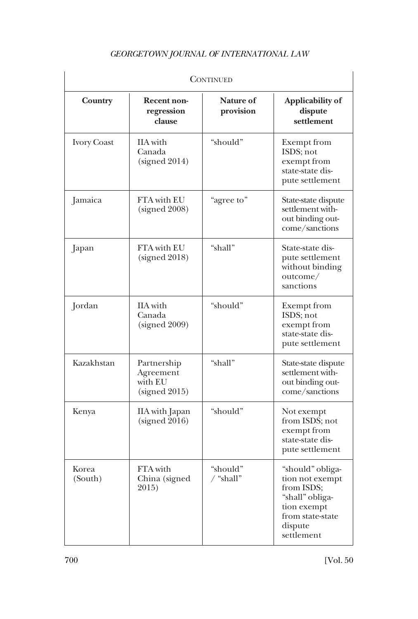| <b>CONTINUED</b>   |                                                      |                               |                                                                                                                                  |  |
|--------------------|------------------------------------------------------|-------------------------------|----------------------------------------------------------------------------------------------------------------------------------|--|
| Country            | Recent non-<br>regression<br>clause                  | <b>Nature of</b><br>provision | Applicability of<br>dispute<br>settlement                                                                                        |  |
| <b>Ivory Coast</b> | IIA with<br>Canada<br>(signed 2014)                  | "should"                      | Exempt from<br>ISDS; not<br>exempt from<br>state-state dis-<br>pute settlement                                                   |  |
| Jamaica            | FTA with EU<br>(signed 2008)                         | "agree to"                    | State-state dispute<br>settlement with-<br>out binding out-<br>come/sanctions                                                    |  |
| Japan              | FTA with EU<br>(signed 2018)                         | "shall"                       | State-state dis-<br>pute settlement<br>without binding<br>outcome/<br>sanctions                                                  |  |
| Jordan             | <b>IIA</b> with<br>Canada<br>(signed 2009)           | "should"                      | Exempt from<br>ISDS; not<br>exempt from<br>state-state dis-<br>pute settlement                                                   |  |
| Kazakhstan         | Partnership<br>Agreement<br>with EU<br>(signed 2015) | "shall"                       | State-state dispute<br>settlement with-<br>out binding out-<br>come/sanctions                                                    |  |
| Kenya              | IIA with Japan<br>(signed 2016)                      | "should"                      | Not exempt<br>from ISDS; not<br>exempt from<br>state-state dis-<br>pute settlement                                               |  |
| Korea<br>(South)   | FTA with<br>China (signed<br>2015)                   | "should"<br>/ "shall"         | "should" obliga-<br>tion not exempt<br>from ISDS;<br>"shall" obliga-<br>tion exempt<br>from state-state<br>dispute<br>settlement |  |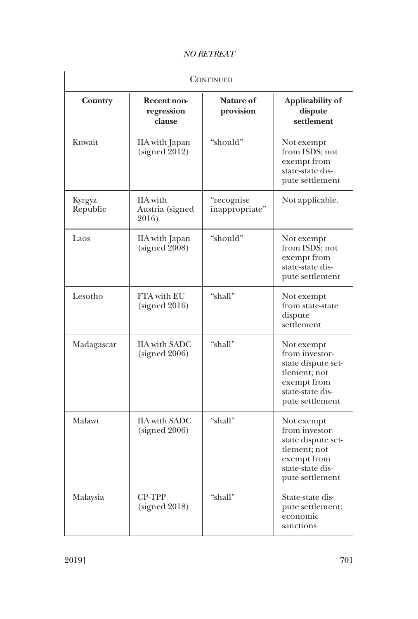| <b>CONTINUED</b>          |                                             |                              |                                                                                                                          |
|---------------------------|---------------------------------------------|------------------------------|--------------------------------------------------------------------------------------------------------------------------|
| Country                   | Recent non-<br>regression<br>clause         | Nature of<br>provision       | Applicability of<br>dispute<br>settlement                                                                                |
| Kuwait                    | IIA with Japan<br>(signed 2012)             | "should"                     | Not exempt<br>from ISDS; not<br>exempt from<br>state-state dis-<br>pute settlement                                       |
| <b>Kyrgyz</b><br>Republic | <b>IIA</b> with<br>Austria (signed<br>2016) | "recognise<br>inappropriate" | Not applicable.                                                                                                          |
| Laos                      | IIA with Japan<br>(signed 2008)             | "should"                     | Not exempt<br>from ISDS; not<br>exempt from<br>state-state dis-<br>pute settlement                                       |
| Lesotho                   | FTA with EU<br>(signed 2016)                | "shall"                      | Not exempt<br>from state-state<br>dispute<br>settlement                                                                  |
| Madagascar                | <b>IIA</b> with SADC<br>(signed 2006)       | "shall"                      | Not exempt<br>from investor-<br>state dispute set-<br>tlement; not<br>exempt from<br>state-state dis-<br>pute settlement |
| Malawi                    | <b>IIA</b> with SADC<br>(signed 2006)       | "shall"                      | Not exempt<br>from investor<br>state dispute set-<br>tlement; not<br>exempt from<br>state-state dis-<br>pute settlement  |
| Malaysia                  | CP-TPP<br>(signed 2018)                     | "shall"                      | State-state dis-<br>pute settlement;<br>economic<br>sanctions                                                            |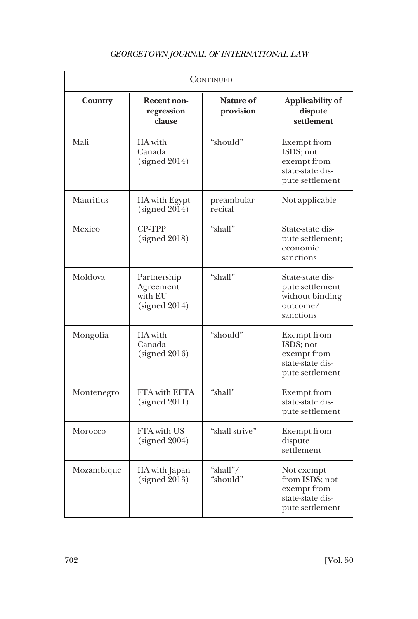| <b>CONTINUED</b> |                                                      |                               |                                                                                       |  |
|------------------|------------------------------------------------------|-------------------------------|---------------------------------------------------------------------------------------|--|
| Country          | <b>Recent non-</b><br>regression<br>clause           | <b>Nature of</b><br>provision | Applicability of<br>dispute<br>settlement                                             |  |
| Mali             | IIA with<br>Canada<br>(signed 2014)                  | "should"                      | Exempt from<br>ISDS; not<br>exempt from<br>state-state dis-<br>pute settlement        |  |
| Mauritius        | <b>IIA</b> with Egypt<br>(signed 2014)               | preambular<br>recital         | Not applicable                                                                        |  |
| Mexico           | <b>CP-TPP</b><br>(signed 2018)                       | "shall"                       | State-state dis-<br>pute settlement;<br>economic<br>sanctions                         |  |
| Moldova          | Partnership<br>Agreement<br>with EU<br>(signed 2014) | "shall"                       | State-state dis-<br>pute settlement<br>without binding<br>outcome/<br>sanctions       |  |
| Mongolia         | IIA with<br>Canada<br>(signed 2016)                  | "should"                      | <b>Exempt</b> from<br>ISDS; not<br>exempt from<br>state-state dis-<br>pute settlement |  |
| Montenegro       | FTA with EFTA<br>(signed 2011)                       | "shall"                       | Exempt from<br>state-state dis-<br>pute settlement                                    |  |
| Morocco          | FTA with US<br>(signed 2004)                         | "shall strive"                | <b>Exempt</b> from<br>dispute<br>settlement                                           |  |
| Mozambique       | IIA with Japan<br>(signed 2013)                      | "shall"/<br>"should"          | Not exempt<br>from ISDS; not<br>exempt from<br>state-state dis-<br>pute settlement    |  |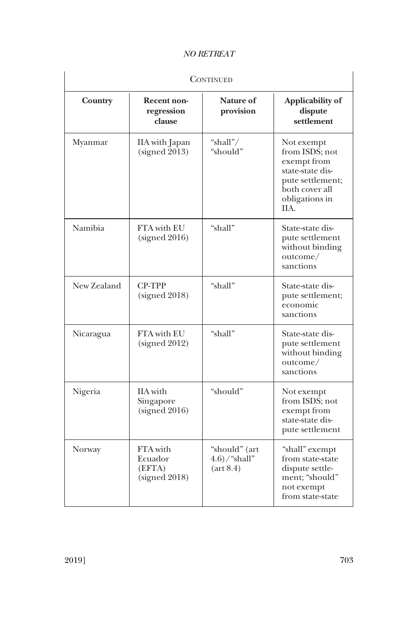| <b>CONTINUED</b> |                                                |                                                          |                                                                                                                                 |
|------------------|------------------------------------------------|----------------------------------------------------------|---------------------------------------------------------------------------------------------------------------------------------|
| Country          | <b>Recent non-</b><br>regression<br>clause     | Nature of<br>provision                                   | Applicability of<br>dispute<br>settlement                                                                                       |
| Myanmar          | IIA with Japan<br>(signed 2013)                | "shall"/<br>"should"                                     | Not exempt<br>from ISDS; not<br>exempt from<br>state-state dis-<br>pute settlement;<br>both cover all<br>obligations in<br>IIA. |
| Namibia          | <b>FTA</b> with EU<br>(signed 2016)            | "shall"                                                  | State-state dis-<br>pute settlement<br>without binding<br>outcome/<br>sanctions                                                 |
| New Zealand      | CP-TPP<br>(signed 2018)                        | "shall"                                                  | State-state dis-<br>pute settlement;<br>economic<br>sanctions                                                                   |
| Nicaragua        | FTA with EU<br>(signed 2012)                   | "shall"                                                  | State-state dis-<br>pute settlement<br>without binding<br>outcome/<br>sanctions                                                 |
| Nigeria          | <b>IIA</b> with<br>Singapore<br>(signed 2016)  | "should"                                                 | Not exempt<br>from ISDS; not<br>exempt from<br>state-state dis-<br>pute settlement                                              |
| Norway           | FTA with<br>Ecuador<br>(EFTA)<br>(signed 2018) | "should" (art<br>$(4.6)$ /"shall"<br>$(\text{art } 8.4)$ | "shall" exempt<br>from state-state<br>dispute settle-<br>ment; "should"<br>not exempt<br>from state-state                       |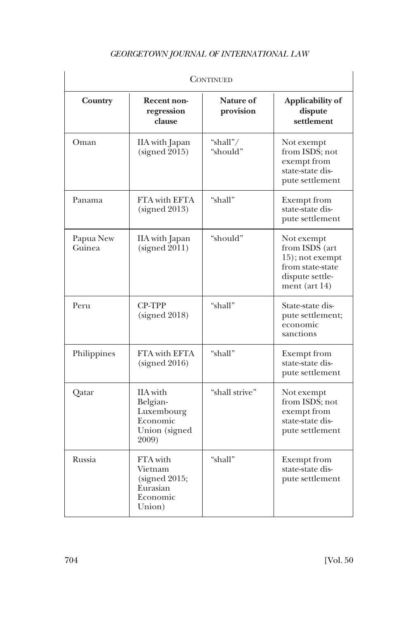| <b>CONTINUED</b>    |                                                                          |                        |                                                                                                            |  |
|---------------------|--------------------------------------------------------------------------|------------------------|------------------------------------------------------------------------------------------------------------|--|
| Country             | <b>Recent non-</b><br>regression<br>clause                               | Nature of<br>provision | Applicability of<br>dispute<br>settlement                                                                  |  |
| Oman                | IIA with Japan<br>(signed 2015)                                          | "shall"/<br>"should"   | Not exempt<br>from ISDS; not<br>exempt from<br>state-state dis-<br>pute settlement                         |  |
| Panama              | <b>FTA</b> with <b>EFTA</b><br>(signed 2013)                             | "shall"                | <b>Exempt</b> from<br>state-state dis-<br>pute settlement                                                  |  |
| Papua New<br>Guinea | IIA with Japan<br>(signed 2011)                                          | "should"               | Not exempt<br>from ISDS (art<br>15); not exempt<br>from state-state<br>dispute settle-<br>ment (art $14$ ) |  |
| Peru                | <b>CP-TPP</b><br>(signed 2018)                                           | "shall"                | State-state dis-<br>pute settlement;<br>economic<br>sanctions                                              |  |
| Philippines         | FTA with EFTA<br>(signed 2016)                                           | "shall"                | <b>Exempt</b> from<br>state-state dis-<br>pute settlement                                                  |  |
| Qatar               | IIA with<br>Belgian-<br>Luxembourg<br>Economic<br>Union (signed<br>2009) | "shall strive"         | Not exempt<br>from ISDS; not<br>exempt from<br>state-state dis-<br>pute settlement                         |  |
| Russia              | FTA with<br>Vietnam<br>(signed 2015;<br>Eurasian<br>Economic<br>Union)   | "shall"                | <b>Exempt</b> from<br>state-state dis-<br>pute settlement                                                  |  |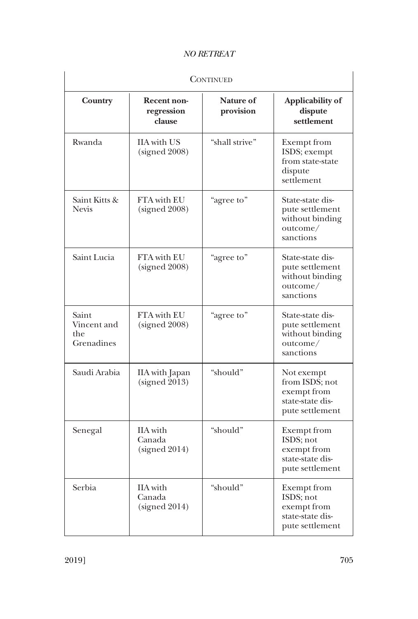| <b>CONTINUED</b>                          |                                            |                               |                                                                                       |
|-------------------------------------------|--------------------------------------------|-------------------------------|---------------------------------------------------------------------------------------|
| Country                                   | Recent non-<br>regression<br>clause        | <b>Nature of</b><br>provision | Applicability of<br>dispute<br>settlement                                             |
| Rwanda                                    | <b>IIA</b> with US<br>(signed 2008)        | "shall strive"                | Exempt from<br>ISDS; exempt<br>from state-state<br>dispute<br>settlement              |
| Saint Kitts &<br><b>Nevis</b>             | <b>FTA</b> with EU<br>(signed 2008)        | "agree to"                    | State-state dis-<br>pute settlement<br>without binding<br>outcome/<br>sanctions       |
| Saint Lucia                               | FTA with EU<br>(signed 2008)               | "agree to"                    | State-state dis-<br>pute settlement<br>without binding<br>outcome/<br>sanctions       |
| Saint<br>Vincent and<br>the<br>Grenadines | FTA with EU<br>(signed 2008)               | "agree to"                    | State-state dis-<br>pute settlement<br>without binding<br>outcome/<br>sanctions       |
| Saudi Arabia                              | IIA with Japan<br>(signed 2013)            | "should"                      | Not exempt<br>from ISDS; not<br>exempt from<br>state-state dis-<br>pute settlement    |
| Senegal                                   | <b>IIA</b> with<br>Canada<br>(signed 2014) | "should"                      | <b>Exempt</b> from<br>ISDS; not<br>exempt from<br>state-state dis-<br>pute settlement |
| Serbia                                    | IIA with<br>Canada<br>(signed 2014)        | "should"                      | Exempt from<br>ISDS; not<br>exempt from<br>state-state dis-<br>pute settlement        |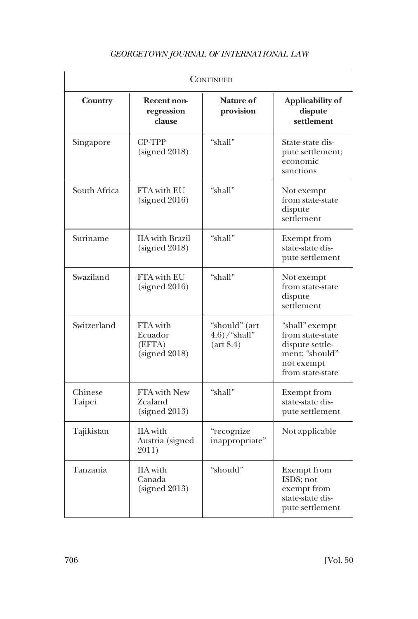| <b>CONTINUED</b>  |                                                |                                                          |                                                                                                           |  |
|-------------------|------------------------------------------------|----------------------------------------------------------|-----------------------------------------------------------------------------------------------------------|--|
| Country           | Recent non-<br>regression<br>clause            | <b>Nature of</b><br>provision                            | Applicability of<br>dispute<br>settlement                                                                 |  |
| Singapore         | <b>CP-TPP</b><br>(signed 2018)                 | "shall"                                                  | State-state dis-<br>pute settlement;<br>economic<br>sanctions                                             |  |
| South Africa      | FTA with EU<br>(signed 2016)                   | "shall"                                                  | Not exempt<br>from state-state<br>dispute<br>settlement                                                   |  |
| Suriname          | <b>IIA</b> with Brazil<br>(signed 2018)        | "shall"                                                  | <b>Exempt</b> from<br>state-state dis-<br>pute settlement                                                 |  |
| Swaziland         | <b>FTA</b> with EU<br>(signed 2016)            | "shall"                                                  | Not exempt<br>from state-state<br>dispute<br>settlement                                                   |  |
| Switzerland       | FTA with<br>Ecuador<br>(EFTA)<br>(signed 2018) | "should" (art<br>$(4.6)$ /"shall"<br>$(\text{art } 8.4)$ | "shall" exempt<br>from state-state<br>dispute settle-<br>ment; "should"<br>not exempt<br>from state-state |  |
| Chinese<br>Taipei | FTA with New<br>Zealand<br>(signed 2013)       | "shall"                                                  | <b>Exempt</b> from<br>state-state dis-<br>pute settlement                                                 |  |
| Tajikistan        | IIA with<br>Austria (signed<br>2011)           | "recognize<br>inappropriate"                             | Not applicable                                                                                            |  |
| Tanzania          | <b>IIA</b> with<br>Canada<br>(signed 2013)     | "should"                                                 | <b>Exempt</b> from<br>ISDS; not<br>exempt from<br>state-state dis-<br>pute settlement                     |  |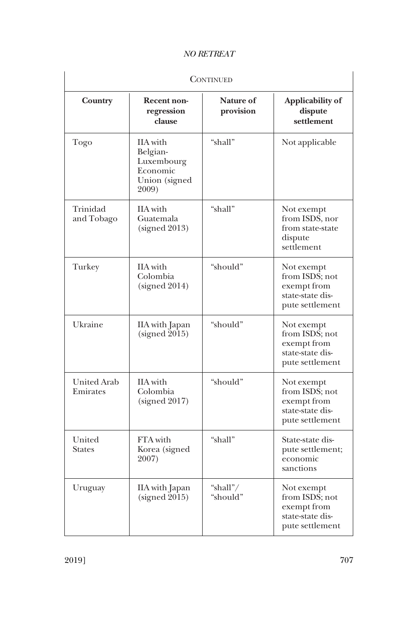| <b>CONTINUED</b>               |                                                                          |                               |                                                                                    |
|--------------------------------|--------------------------------------------------------------------------|-------------------------------|------------------------------------------------------------------------------------|
| Country                        | Recent non-<br>regression<br>clause                                      | <b>Nature of</b><br>provision | Applicability of<br>dispute<br>settlement                                          |
| Togo                           | IIA with<br>Belgian-<br>Luxembourg<br>Economic<br>Union (signed<br>2009) | "shall"                       | Not applicable                                                                     |
| Trinidad<br>and Tobago         | <b>IIA</b> with<br>Guatemala<br>(signed 2013)                            | "shall"                       | Not exempt<br>from ISDS, nor<br>from state-state<br>dispute<br>settlement          |
| Turkey                         | <b>IIA</b> with<br>Colombia<br>(signed 2014)                             | "should"                      | Not exempt<br>from ISDS; not<br>exempt from<br>state-state dis-<br>pute settlement |
| Ukraine                        | IIA with Japan<br>(signed 2015)                                          | "should"                      | Not exempt<br>from ISDS; not<br>exempt from<br>state-state dis-<br>pute settlement |
| <b>United Arab</b><br>Emirates | <b>IIA</b> with<br>Colombia<br>(signed 2017)                             | "should"                      | Not exempt<br>from ISDS; not<br>exempt from<br>state-state dis-<br>pute settlement |
| United<br><b>States</b>        | FTA with<br>Korea (signed<br>2007)                                       | "shall"                       | State-state dis-<br>pute settlement;<br>economic<br>sanctions                      |
| Uruguay                        | IIA with Japan<br>(signed 2015)                                          | "shall"/<br>"should"          | Not exempt<br>from ISDS; not<br>exempt from<br>state-state dis-<br>pute settlement |